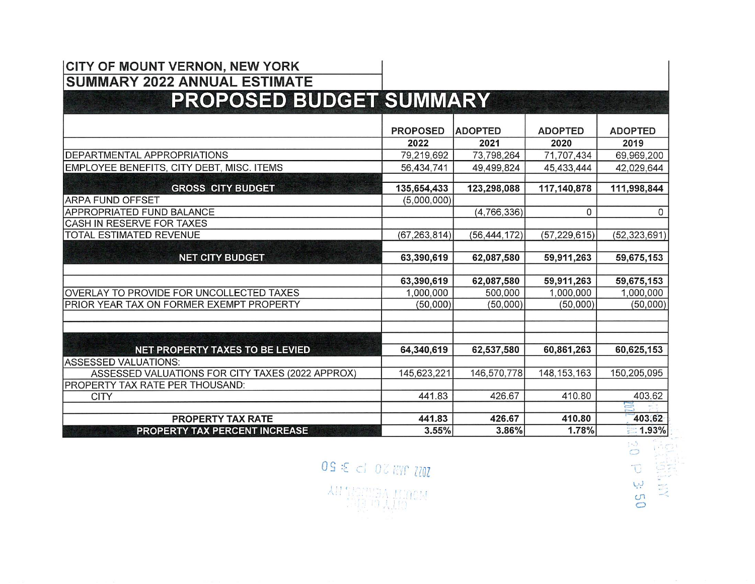#### CITY OF MOUNT VERNON, NEW YORK SUMMARY 2022 ANNUAL ESTIMA

#### a J aq ROF OSED BL DGET SUMMA RY z z z z z ffl a z z ffl z z s s a sz z s a s a a s a a z i a

|                                                  | <b>PROPOSED</b> | <b>ADOPTED</b> | <b>ADOPTED</b> | <b>ADOPTED</b>  |
|--------------------------------------------------|-----------------|----------------|----------------|-----------------|
|                                                  | 2022            | 2021           | 2020           | 2019            |
| <b>DEPARTMENTAL APPROPRIATIONS</b>               | 79,219,692      | 73,798,264     | 71,707,434     | 69,969,200      |
| EMPLOYEE BENEFITS, CITY DEBT, MISC. ITEMS        | 56,434,741      | 49,499,824     | 45,433,444     | 42,029,644      |
|                                                  |                 |                |                |                 |
| <b>GROSS CITY BUDGET</b>                         | 135,654,433     | 123,298,088    | 117,140,878    | 111,998,844     |
| <b>ARPA FUND OFFSET</b>                          | (5,000,000)     |                |                |                 |
| APPROPRIATED FUND BALANCE                        |                 | (4,766,336)    | 0              | $\Omega$        |
| CASH IN RESERVE FOR TAXES                        |                 |                |                |                 |
| TOTAL ESTIMATED REVENUE                          | (67, 263, 814)  | (56, 444, 172) | (57, 229, 615) | (52, 323, 691)  |
|                                                  |                 |                |                |                 |
| <b>NET CITY BUDGET</b>                           | 63,390,619      | 62,087,580     | 59,911,263     | 59,675,153      |
|                                                  |                 |                |                |                 |
|                                                  | 63,390,619      | 62,087,580     | 59,911,263     | 59,675,153      |
| OVERLAY TO PROVIDE FOR UNCOLLECTED TAXES         | 1,000,000       | 500,000        | 1,000,000      | 1,000,000       |
| PRIOR YEAR TAX ON FORMER EXEMPT PROPERTY         | (50,000)        | (50,000)       | (50,000)       | (50,000)        |
|                                                  |                 |                |                |                 |
|                                                  |                 |                |                |                 |
|                                                  |                 |                |                |                 |
| <b>NET PROPERTY TAXES TO BE LEVIED</b>           | 64,340,619      | 62,537,580     | 60,861,263     | 60,625,153      |
| ASSESSED VALUATIONS:                             |                 |                |                |                 |
| ASSESSED VALUATIONS FOR CITY TAXES (2022 APPROX) | 145,623,221     | 146,570,778    | 148, 153, 163  | 150,205,095     |
| PROPERTY TAX RATE PER THOUSAND:                  |                 |                |                |                 |
| <b>CITY</b>                                      | 441.83          | 426.67         | 410.80         | 403.62          |
|                                                  |                 |                |                | Ξ               |
| <b>PROPERTY TAX RATE</b>                         | 441.83          | 426.67         | 410.80         | 403.62          |
| PROPERTY TAX PERCENT INCREASE                    | 3.55%           | 3.86%          | 1.78%          | $\equiv 1.93\%$ |

770Z yn Hölmey unden  $\frac{1}{2}$ EC<sub>E</sub> **12 13 50**<br>THE MALLEY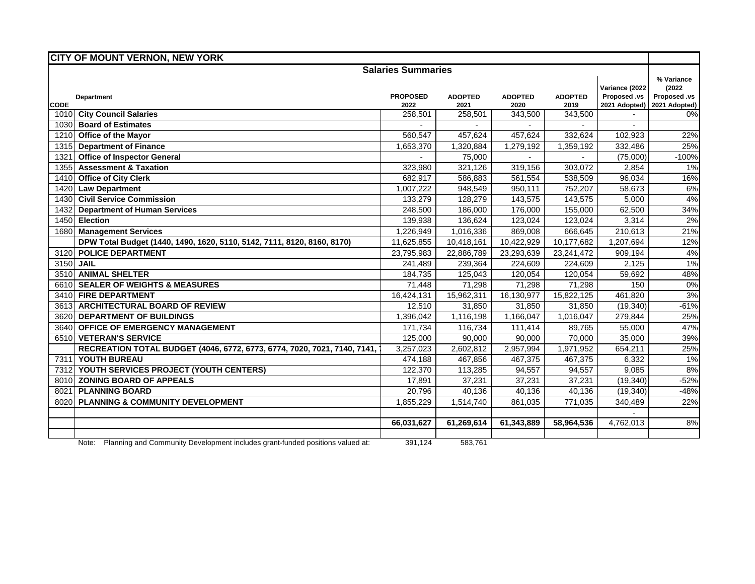|                     | <b>CITY OF MOUNT VERNON, NEW YORK</b>                                                |                           |                 |                 |                 |                                                 |                                                       |
|---------------------|--------------------------------------------------------------------------------------|---------------------------|-----------------|-----------------|-----------------|-------------------------------------------------|-------------------------------------------------------|
|                     |                                                                                      | <b>Salaries Summaries</b> |                 |                 |                 |                                                 |                                                       |
|                     | <b>Department</b>                                                                    | <b>PROPOSED</b><br>2022   | <b>ADOPTED</b>  | <b>ADOPTED</b>  | <b>ADOPTED</b>  | Variance (2022<br>Proposed .vs<br>2021 Adopted) | % Variance<br>(2022)<br>Proposed .vs<br>2021 Adopted) |
| <b>CODE</b><br>1010 | <b>City Council Salaries</b>                                                         | 258,501                   | 2021<br>258,501 | 2020<br>343,500 | 2019<br>343,500 |                                                 | 0%                                                    |
| 1030                | <b>Board of Estimates</b>                                                            |                           |                 |                 |                 |                                                 |                                                       |
| 1210                | Office of the Mayor                                                                  | 560,547                   | 457,624         | 457,624         | 332,624         | 102,923                                         | 22%                                                   |
| 1315                | <b>Department of Finance</b>                                                         | 1,653,370                 | 1,320,884       | 1,279,192       | 1,359,192       | 332,486                                         | 25%                                                   |
| 1321                | <b>Office of Inspector General</b>                                                   |                           | 75,000          |                 |                 | (75,000)                                        | $-100%$                                               |
| 1355                | <b>Assessment &amp; Taxation</b>                                                     | 323,980                   | 321,126         | 319,156         | 303,072         | 2,854                                           | 1%                                                    |
|                     | 1410 Office of City Clerk                                                            | 682,917                   | 586,883         | 561,554         | 538,509         | 96,034                                          | 16%                                                   |
| 1420                | <b>Law Department</b>                                                                | 1,007,222                 | 948.549         | 950,111         | 752,207         | 58,673                                          | 6%                                                    |
|                     | 1430 Civil Service Commission                                                        | 133,279                   | 128,279         | 143,575         | 143,575         | 5,000                                           | 4%                                                    |
| 1432                | <b>Department of Human Services</b>                                                  | 248,500                   | 186,000         | 176,000         | 155,000         | 62,500                                          | 34%                                                   |
| 1450                | Election                                                                             | 139,938                   | 136,624         | 123,024         | 123,024         | 3,314                                           | 2%                                                    |
| 1680                | <b>Management Services</b>                                                           | 1,226,949                 | 1,016,336       | 869,008         | 666,645         | 210,613                                         | 21%                                                   |
|                     | DPW Total Budget (1440, 1490, 1620, 5110, 5142, 7111, 8120, 8160, 8170)              | 11,625,855                | 10,418,161      | 10,422,929      | 10,177,682      | 1,207,694                                       | 12%                                                   |
| 3120                | <b>POLICE DEPARTMENT</b>                                                             | 23,795,983                | 22,886,789      | 23,293,639      | 23,241,472      | 909,194                                         | 4%                                                    |
| 3150 JAIL           |                                                                                      | 241,489                   | 239,364         | 224,609         | 224,609         | 2,125                                           | 1%                                                    |
|                     | 3510 ANIMAL SHELTER                                                                  | 184,735                   | 125,043         | 120,054         | 120,054         | 59,692                                          | 48%                                                   |
|                     | 6610 SEALER OF WEIGHTS & MEASURES                                                    | 71,448                    | 71,298          | 71,298          | 71,298          | 150                                             | 0%                                                    |
|                     | 3410 FIRE DEPARTMENT                                                                 | 16,424,131                | 15,962,311      | 16,130,977      | 15,822,125      | 461,820                                         | 3%                                                    |
|                     | 3613 ARCHITECTURAL BOARD OF REVIEW                                                   | 12,510                    | 31,850          | 31,850          | 31,850          | (19, 340)                                       | $-61%$                                                |
|                     | 3620 DEPARTMENT OF BUILDINGS                                                         | 1,396,042                 | 1,116,198       | 1,166,047       | 1,016,047       | 279,844                                         | 25%                                                   |
|                     | 3640 OFFICE OF EMERGENCY MANAGEMENT                                                  | 171,734                   | 116,734         | 111,414         | 89,765          | 55,000                                          | 47%                                                   |
|                     | 6510 VETERAN'S SERVICE                                                               | 125,000                   | 90,000          | 90,000          | 70,000          | 35,000                                          | 39%                                                   |
|                     | RECREATION TOTAL BUDGET (4046, 6772, 6773, 6774, 7020, 7021, 7140, 7141,             | 3,257,023                 | 2,602,812       | 2,957,994       | 1,971,952       | 654,211                                         | 25%                                                   |
|                     | 7311 YOUTH BUREAU                                                                    | 474,188                   | 467,856         | 467,375         | 467,375         | 6,332                                           | 1%                                                    |
|                     | 7312 YOUTH SERVICES PROJECT (YOUTH CENTERS)                                          | 122,370                   | 113,285         | 94,557          | 94,557          | 9,085                                           | 8%                                                    |
|                     | 8010 ZONING BOARD OF APPEALS                                                         | 17,891                    | 37,231          | 37,231          | 37,231          | (19, 340)                                       | $-52%$                                                |
| 8021                | <b>PLANNING BOARD</b>                                                                | 20,796                    | 40,136          | 40,136          | 40,136          | (19, 340)                                       | $-48%$                                                |
| 8020                | <b>PLANNING &amp; COMMUNITY DEVELOPMENT</b>                                          | 1,855,229                 | 1,514,740       | 861,035         | 771,035         | 340,489                                         | 22%                                                   |
|                     |                                                                                      |                           |                 |                 |                 |                                                 |                                                       |
|                     |                                                                                      | 66,031,627                | 61,269,614      | 61,343,889      | 58,964,536      | 4,762,013                                       | 8%                                                    |
|                     | Note: Dlanging and Campainity Douglangeont includes agent fundad positions uplued at | 204.424                   | EOOZCA          |                 |                 |                                                 |                                                       |

Note: Planning and Community Development includes grant-funded positions valued at: 391,124 583,761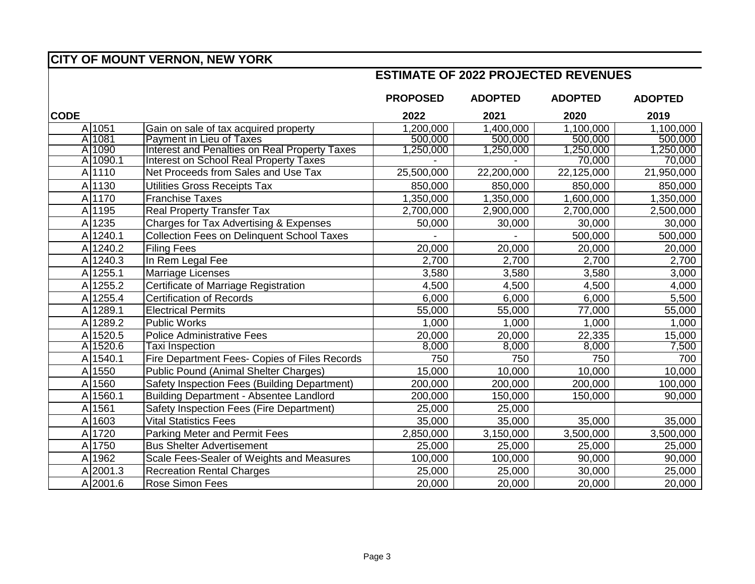#### **ESTIMATE OF 2022 PROJECTED REVENUES**

|             |             |                                                      | <b>PROPOSED</b> | <b>ADOPTED</b> | <b>ADOPTED</b> | <b>ADOPTED</b> |
|-------------|-------------|------------------------------------------------------|-----------------|----------------|----------------|----------------|
| <b>CODE</b> |             |                                                      | 2022            | 2021           | 2020           | 2019           |
|             | A 1051      | Gain on sale of tax acquired property                | 1,200,000       | 1,400,000      | 1,100,000      | 1,100,000      |
|             | A 1081      | <b>Payment in Lieu of Taxes</b>                      | 500,000         | 500,000        | 500,000        | 500,000        |
|             | A 1090      | <b>Interest and Penalties on Real Property Taxes</b> | ,250,000        | 1,250,000      | 1,250,000      | 1,250,000      |
|             | A 1090.1    | <b>Interest on School Real Property Taxes</b>        |                 |                | 70,000         | 70,000         |
|             | A 1110      | Net Proceeds from Sales and Use Tax                  | 25,500,000      | 22,200,000     | 22,125,000     | 21,950,000     |
|             | A 1130      | Utilities Gross Receipts Tax                         | 850,000         | 850,000        | 850,000        | 850,000        |
|             | A 1170      | <b>Franchise Taxes</b>                               | 1,350,000       | 1,350,000      | 1,600,000      | 1,350,000      |
|             | A 1195      | <b>Real Property Transfer Tax</b>                    | 2,700,000       | 2,900,000      | 2,700,000      | 2,500,000      |
|             | A 1235      | Charges for Tax Advertising & Expenses               | 50,000          | 30,000         | 30,000         | 30,000         |
|             | A 1240.1    | <b>Collection Fees on Delinquent School Taxes</b>    |                 |                | 500,000        | 500,000        |
|             | A 1240.2    | <b>Filing Fees</b>                                   | 20,000          | 20,000         | 20,000         | 20,000         |
|             | A 1240.3    | In Rem Legal Fee                                     | 2,700           | 2,700          | 2,700          | 2,700          |
|             | A 1255.1    | <b>Marriage Licenses</b>                             | 3,580           | 3,580          | 3,580          | 3,000          |
|             | A 1255.2    | Certificate of Marriage Registration                 | 4,500           | 4,500          | 4,500          | 4,000          |
|             | A 1255.4    | <b>Certification of Records</b>                      | 6,000           | 6,000          | 6,000          | 5,500          |
|             | A 1289.1    | <b>Electrical Permits</b>                            | 55,000          | 55,000         | 77,000         | 55,000         |
|             | A 1289.2    | <b>Public Works</b>                                  | 1,000           | 1,000          | 1,000          | 1,000          |
|             | A 1520.5    | <b>Police Administrative Fees</b>                    | 20,000          | 20,000         | 22,335         | 15,000         |
|             | A 1520.6    | Taxi Inspection                                      | 8,000           | 8,000          | 8,000          | 7,500          |
|             | A 1540.1    | Fire Department Fees- Copies of Files Records        | 750             | 750            | 750            | 700            |
|             | A 1550      | <b>Public Pound (Animal Shelter Charges)</b>         | 15,000          | 10,000         | 10,000         | 10,000         |
|             | A 1560      | Safety Inspection Fees (Building Department)         | 200,000         | 200,000        | 200,000        | 100,000        |
|             | A 1560.1    | <b>Building Department - Absentee Landlord</b>       | 200,000         | 150,000        | 150,000        | 90,000         |
|             | A 1561      | Safety Inspection Fees (Fire Department)             | 25,000          | 25,000         |                |                |
|             | A 1603      | <b>Vital Statistics Fees</b>                         | 35,000          | 35,000         | 35,000         | 35,000         |
|             | A 1720      | <b>Parking Meter and Permit Fees</b>                 | 2,850,000       | 3,150,000      | 3,500,000      | 3,500,000      |
|             | A 1750      | <b>Bus Shelter Advertisement</b>                     | 25,000          | 25,000         | 25,000         | 25,000         |
|             | A 1962      | Scale Fees-Sealer of Weights and Measures            | 100,000         | 100,000        | 90,000         | 90,000         |
|             | A 2001.3    | <b>Recreation Rental Charges</b>                     | 25,000          | 25,000         | 30,000         | 25,000         |
|             | $A$  2001.6 | Rose Simon Fees                                      | 20,000          | 20,000         | 20,000         | 20,000         |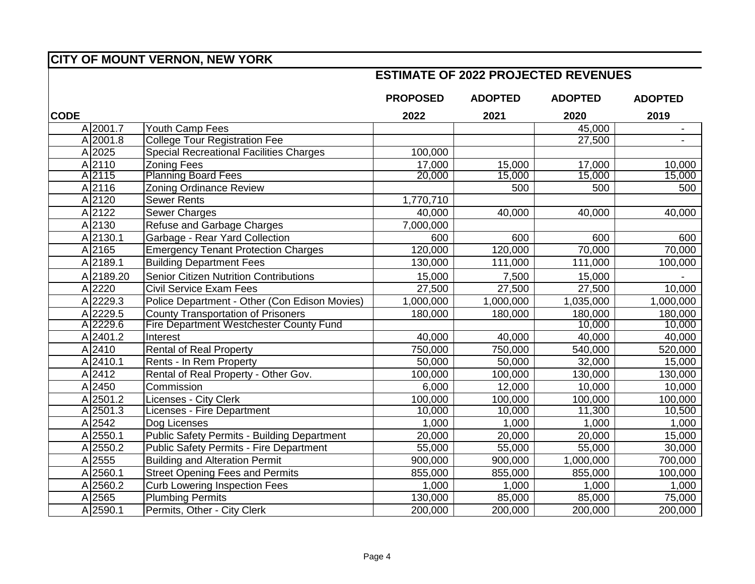#### **ESTIMATE OF 2022 PROJECTED REVENUES**

|             |                       |                                                    | <b>PROPOSED</b> | <b>ADOPTED</b> | <b>ADOPTED</b> | <b>ADOPTED</b>           |
|-------------|-----------------------|----------------------------------------------------|-----------------|----------------|----------------|--------------------------|
| <b>CODE</b> |                       |                                                    | 2022            | 2021           | 2020           | 2019                     |
|             | A 2001.7              | Youth Camp Fees                                    |                 |                | 45,000         | $\overline{\phantom{a}}$ |
|             | A 2001.8              | <b>College Tour Registration Fee</b>               |                 |                | 27,500         |                          |
|             | A 2025                | <b>Special Recreational Facilities Charges</b>     | 100,000         |                |                |                          |
|             | A 2110                | <b>Zoning Fees</b>                                 | 17,000          | 15,000         | 17,000         | 10,000                   |
|             | A 2115                | <b>Planning Board Fees</b>                         | 20,000          | 15,000         | 15,000         | 15,000                   |
|             | A 2116                | <b>Zoning Ordinance Review</b>                     |                 | 500            | 500            | 500                      |
|             | A 2120                | <b>Sewer Rents</b>                                 | 1,770,710       |                |                |                          |
|             | A 2122                | <b>Sewer Charges</b>                               | 40,000          | 40,000         | 40,000         | 40,000                   |
|             | A 2130                | Refuse and Garbage Charges                         | 7,000,000       |                |                |                          |
|             | A 2130.1              | Garbage - Rear Yard Collection                     | 600             | 600            | 600            | 600                      |
|             | A 2165                | <b>Emergency Tenant Protection Charges</b>         | 120,000         | 120,000        | 70,000         | 70,000                   |
|             | A2189.1               | <b>Building Department Fees</b>                    | 130,000         | 111,000        | 111,000        | 100,000                  |
|             | A 2189.20             | <b>Senior Citizen Nutrition Contributions</b>      | 15,000          | 7,500          | 15,000         |                          |
|             | A 2220                | <b>Civil Service Exam Fees</b>                     | 27,500          | 27,500         | 27,500         | 10,000                   |
|             | A 2229.3              | Police Department - Other (Con Edison Movies)      | 1,000,000       | 1,000,000      | 1,035,000      | 1,000,000                |
|             | $\overline{A}$ 2229.5 | <b>County Transportation of Prisoners</b>          | 180,000         | 180,000        | 180,000        | 180,000                  |
|             | A 2229.6              | <b>Fire Department Westchester County Fund</b>     |                 |                | 10,000         | 10,000                   |
|             | A 2401.2              | Interest                                           | 40,000          | 40,000         | 40,000         | 40,000                   |
|             | A 2410                | <b>Rental of Real Property</b>                     | 750,000         | 750,000        | 540,000        | 520,000                  |
|             | A 2410.1              | Rents - In Rem Property                            | 50,000          | 50,000         | 32,000         | 15,000                   |
|             | A 2412                | Rental of Real Property - Other Gov.               | 100,000         | 100,000        | 130,000        | 130,000                  |
|             | A 2450                | Commission                                         | 6,000           | 12,000         | 10,000         | 10,000                   |
|             | A 2501.2              | Licenses - City Clerk                              | 100,000         | 100,000        | 100,000        | 100,000                  |
|             | A 2501.3              | Licenses - Fire Department                         | 10,000          | 10,000         | 11,300         | 10,500                   |
|             | A 2542                | Dog Licenses                                       | 1,000           | 1,000          | 1,000          | 1,000                    |
|             | A 2550.1              | <b>Public Safety Permits - Building Department</b> | 20,000          | 20,000         | 20,000         | 15,000                   |
|             | A 2550.2              | <b>Public Safety Permits - Fire Department</b>     | 55,000          | 55,000         | 55,000         | 30,000                   |
|             | A 2555                | <b>Building and Alteration Permit</b>              | 900,000         | 900,000        | 1,000,000      | 700,000                  |
|             | A 2560.1              | <b>Street Opening Fees and Permits</b>             | 855,000         | 855,000        | 855,000        | 100,000                  |
|             | A 2560.2              | <b>Curb Lowering Inspection Fees</b>               | 1,000           | 1,000          | 1,000          | 1,000                    |
|             | A 2565                | <b>Plumbing Permits</b>                            | 130,000         | 85,000         | 85,000         | 75,000                   |
|             | A 2590.1              | Permits, Other - City Clerk                        | 200,000         | 200,000        | 200,000        | 200,000                  |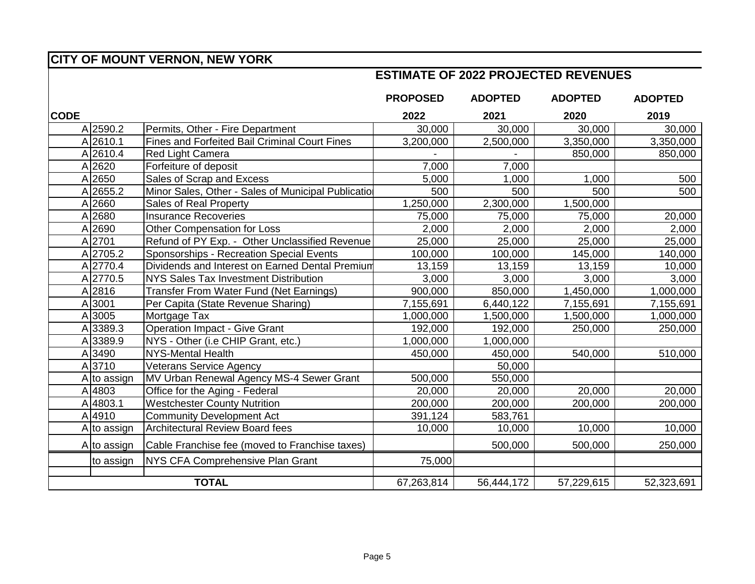#### **ESTIMATE OF 2022 PROJECTED REVENUES**

|             |             |                                                      | <b>PROPOSED</b> | <b>ADOPTED</b> | <b>ADOPTED</b> | <b>ADOPTED</b> |
|-------------|-------------|------------------------------------------------------|-----------------|----------------|----------------|----------------|
| <b>CODE</b> |             |                                                      | 2022            | 2021           | 2020           | 2019           |
|             | A 2590.2    | Permits, Other - Fire Department                     | 30,000          | 30,000         | 30,000         | 30,000         |
|             | A 2610.1    | <b>Fines and Forfeited Bail Criminal Court Fines</b> | 3,200,000       | 2,500,000      | 3,350,000      | 3,350,000      |
|             | A 2610.4    | Red Light Camera                                     |                 |                | 850,000        | 850,000        |
|             | A 2620      | Forfeiture of deposit                                | 7,000           | 7,000          |                |                |
|             | A 2650      | Sales of Scrap and Excess                            | 5,000           | 1,000          | 1,000          | 500            |
|             | A 2655.2    | Minor Sales, Other - Sales of Municipal Publication  | 500             | 500            | 500            | 500            |
|             | A 2660      | Sales of Real Property                               | 1,250,000       | 2,300,000      | 1,500,000      |                |
|             | A 2680      | <b>Insurance Recoveries</b>                          | 75,000          | 75,000         | 75,000         | 20,000         |
|             | A 2690      | Other Compensation for Loss                          | 2,000           | 2,000          | 2,000          | 2,000          |
|             | A 2701      | Refund of PY Exp. - Other Unclassified Revenue       | 25,000          | 25,000         | 25,000         | 25,000         |
|             | A 2705.2    | Sponsorships - Recreation Special Events             | 100,000         | 100,000        | 145,000        | 140,000        |
|             | A 2770.4    | Dividends and Interest on Earned Dental Premium      | 13,159          | 13,159         | 13,159         | 10,000         |
|             | A 2770.5    | NYS Sales Tax Investment Distribution                | 3,000           | 3,000          | 3,000          | 3,000          |
|             | A 2816      | Transfer From Water Fund (Net Earnings)              | 900,000         | 850,000        | 1,450,000      | 1,000,000      |
|             | A 3001      | Per Capita (State Revenue Sharing)                   | 7,155,691       | 6,440,122      | 7,155,691      | 7,155,691      |
|             | A 3005      | Mortgage Tax                                         | 1,000,000       | 1,500,000      | 1,500,000      | 1,000,000      |
|             | A 3389.3    | <b>Operation Impact - Give Grant</b>                 | 192,000         | 192,000        | 250,000        | 250,000        |
|             | A 3389.9    | NYS - Other (i.e CHIP Grant, etc.)                   | 1.000,000       | 1,000,000      |                |                |
|             | A 3490      | <b>NYS-Mental Health</b>                             | 450,000         | 450,000        | 540,000        | 510,000        |
|             | A 3710      | <b>Veterans Service Agency</b>                       |                 | 50,000         |                |                |
|             | A to assign | MV Urban Renewal Agency MS-4 Sewer Grant             | 500,000         | 550,000        |                |                |
|             | A 4803      | Office for the Aging - Federal                       | 20,000          | 20,000         | 20,000         | 20,000         |
|             | A 4803.1    | <b>Westchester County Nutrition</b>                  | 200,000         | 200,000        | 200,000        | 200,000        |
|             | A 4910      | <b>Community Development Act</b>                     | 391,124         | 583,761        |                |                |
|             | A to assign | <b>Architectural Review Board fees</b>               | 10,000          | 10,000         | 10,000         | 10,000         |
|             | A to assign | Cable Franchise fee (moved to Franchise taxes)       |                 | 500,000        | 500,000        | 250,000        |
|             | to assign   | <b>NYS CFA Comprehensive Plan Grant</b>              | 75,000          |                |                |                |
|             |             | <b>TOTAL</b>                                         | 67,263,814      | 56,444,172     | 57,229,615     | 52,323,691     |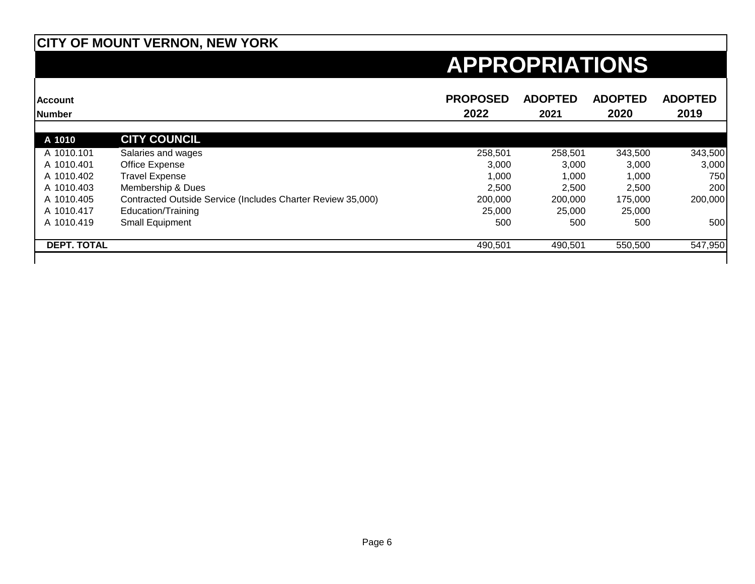| <b>Account</b><br><b>Number</b> |                                                             | <b>PROPOSED</b><br>2022 | <b>ADOPTED</b><br>2021 | <b>ADOPTED</b><br>2020 | <b>ADOPTED</b><br>2019 |
|---------------------------------|-------------------------------------------------------------|-------------------------|------------------------|------------------------|------------------------|
| A 1010                          | <b>CITY COUNCIL</b>                                         |                         |                        |                        |                        |
| A 1010.101                      | Salaries and wages                                          | 258,501                 | 258,501                | 343,500                | 343,500                |
| A 1010.401                      | Office Expense                                              | 3,000                   | 3,000                  | 3,000                  | 3,000                  |
| A 1010.402                      | <b>Travel Expense</b>                                       | 1,000                   | 1,000                  | 1,000                  | 750                    |
| A 1010.403                      | Membership & Dues                                           | 2.500                   | 2.500                  | 2,500                  | 200                    |
| A 1010.405                      | Contracted Outside Service (Includes Charter Review 35,000) | 200,000                 | 200,000                | 175,000                | 200,000                |
| A 1010.417                      | Education/Training                                          | 25,000                  | 25,000                 | 25,000                 |                        |
| A 1010.419                      | Small Equipment                                             | 500                     | 500                    | 500                    | 500                    |
| <b>DEPT. TOTAL</b>              |                                                             | 490,501                 | 490,501                | 550,500                | 547,950                |
|                                 |                                                             |                         |                        |                        |                        |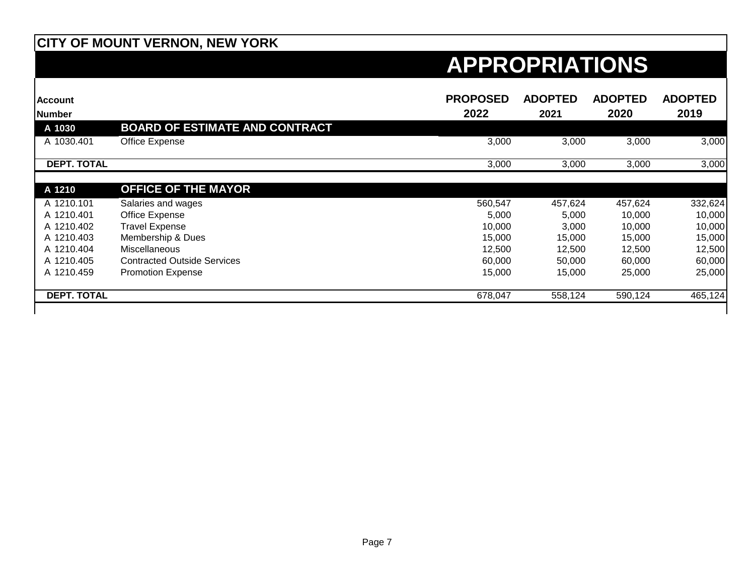| <b>Account</b><br><b>Number</b> |                                       | <b>PROPOSED</b><br>2022 | <b>ADOPTED</b><br>2021 | <b>ADOPTED</b><br>2020 | <b>ADOPTED</b><br>2019 |
|---------------------------------|---------------------------------------|-------------------------|------------------------|------------------------|------------------------|
| A 1030                          | <b>BOARD OF ESTIMATE AND CONTRACT</b> |                         |                        |                        |                        |
| A 1030.401                      | Office Expense                        | 3,000                   | 3,000                  | 3,000                  | 3,000                  |
| <b>DEPT. TOTAL</b>              |                                       | 3,000                   | 3,000                  | 3,000                  | 3,000                  |
| A 1210                          | <b>OFFICE OF THE MAYOR</b>            |                         |                        |                        |                        |
| A 1210.101                      | Salaries and wages                    | 560,547                 | 457,624                | 457,624                | 332,624                |
| A 1210.401                      | Office Expense                        | 5,000                   | 5,000                  | 10,000                 | 10,000                 |
| A 1210.402                      | <b>Travel Expense</b>                 | 10,000                  | 3,000                  | 10,000                 | 10,000                 |
| A 1210.403                      | Membership & Dues                     | 15,000                  | 15,000                 | 15,000                 | 15,000                 |
| A 1210.404                      | Miscellaneous                         | 12,500                  | 12,500                 | 12,500                 | 12,500                 |
| A 1210.405                      | <b>Contracted Outside Services</b>    | 60,000                  | 50,000                 | 60,000                 | 60,000                 |
| A 1210.459                      | <b>Promotion Expense</b>              | 15,000                  | 15,000                 | 25,000                 | 25,000                 |
| <b>DEPT. TOTAL</b>              |                                       | 678,047                 | 558,124                | 590,124                | 465,124                |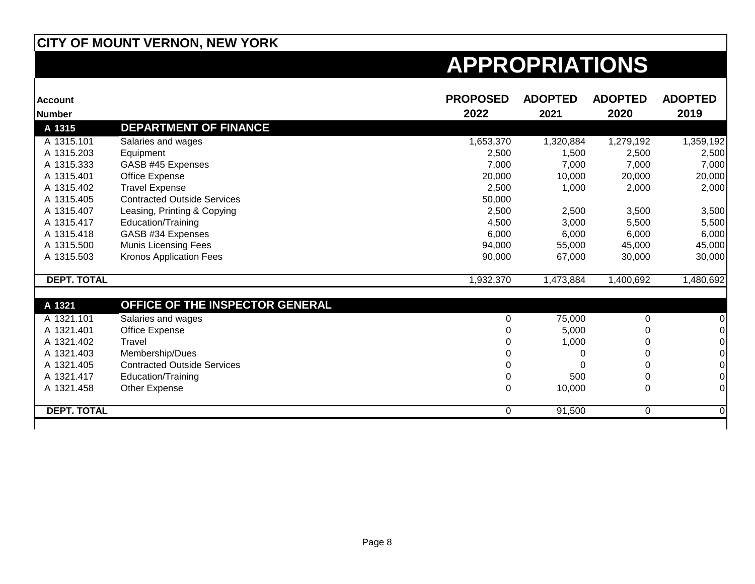| <b>Account</b>     |                                    | <b>PROPOSED</b> | <b>ADOPTED</b> | <b>ADOPTED</b> | <b>ADOPTED</b> |
|--------------------|------------------------------------|-----------------|----------------|----------------|----------------|
| <b>Number</b>      |                                    | 2022            | 2021           | 2020           | 2019           |
| A 1315             | <b>DEPARTMENT OF FINANCE</b>       |                 |                |                |                |
| A 1315.101         | Salaries and wages                 | 1,653,370       | 1,320,884      | 1,279,192      | 1,359,192      |
| A 1315.203         | Equipment                          | 2,500           | 1,500          | 2,500          | 2,500          |
| A 1315.333         | GASB #45 Expenses                  | 7,000           | 7,000          | 7,000          | 7,000          |
| A 1315.401         | Office Expense                     | 20,000          | 10,000         | 20,000         | 20,000         |
| A 1315.402         | <b>Travel Expense</b>              | 2,500           | 1,000          | 2,000          | 2,000          |
| A 1315.405         | <b>Contracted Outside Services</b> | 50,000          |                |                |                |
| A 1315.407         | Leasing, Printing & Copying        | 2,500           | 2,500          | 3,500          | 3,500          |
| A 1315.417         | Education/Training                 | 4,500           | 3,000          | 5,500          | 5,500          |
| A 1315.418         | GASB #34 Expenses                  | 6,000           | 6,000          | 6,000          | 6,000          |
| A 1315.500         | <b>Munis Licensing Fees</b>        | 94,000          | 55,000         | 45,000         | 45,000         |
| A 1315.503         | <b>Kronos Application Fees</b>     | 90,000          | 67,000         | 30,000         | 30,000         |
| <b>DEPT. TOTAL</b> |                                    | 1,932,370       | 1,473,884      | 1,400,692      | 1,480,692      |
| A 1321             | OFFICE OF THE INSPECTOR GENERAL    |                 |                |                |                |
| A 1321.101         | Salaries and wages                 | 0               | 75,000         | $\Omega$       |                |
| A 1321.401         | Office Expense                     |                 | 5,000          | 0              |                |
| A 1321.402         | Travel                             |                 | 1,000          | 0              |                |
| A 1321.403         | Membership/Dues                    |                 | 0              | 0              |                |
| A 1321.405         | <b>Contracted Outside Services</b> |                 | U              | 0              |                |
| A 1321.417         | Education/Training                 |                 | 500            | 0              |                |
| A 1321.458         | Other Expense                      | 0               | 10,000         | 0              | 0              |
| <b>DEPT. TOTAL</b> |                                    | 0               | 91,500         | $\Omega$       | 0              |
|                    |                                    |                 |                |                |                |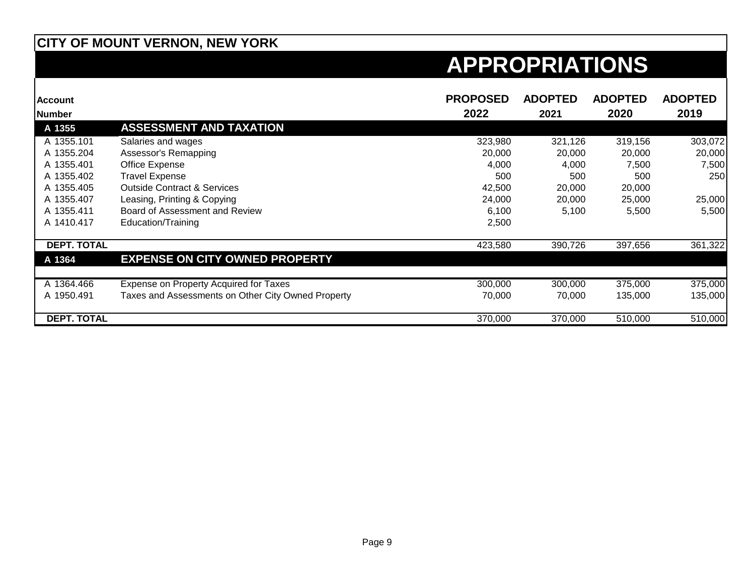| <b>Account</b>     |                                                    | <b>PROPOSED</b> | <b>ADOPTED</b> | <b>ADOPTED</b> | <b>ADOPTED</b> |
|--------------------|----------------------------------------------------|-----------------|----------------|----------------|----------------|
| Number             |                                                    | 2022            | 2021           | 2020           | 2019           |
| A 1355             | <b>ASSESSMENT AND TAXATION</b>                     |                 |                |                |                |
| A 1355.101         | Salaries and wages                                 | 323,980         | 321,126        | 319,156        | 303,072        |
| A 1355.204         | Assessor's Remapping                               | 20,000          | 20,000         | 20,000         | 20,000         |
| A 1355.401         | Office Expense                                     | 4,000           | 4,000          | 7,500          | 7,500          |
| A 1355.402         | <b>Travel Expense</b>                              | 500             | 500            | 500            | 250            |
| A 1355.405         | <b>Outside Contract &amp; Services</b>             | 42,500          | 20,000         | 20,000         |                |
| A 1355.407         | Leasing, Printing & Copying                        | 24,000          | 20,000         | 25,000         | 25,000         |
| A 1355.411         | Board of Assessment and Review                     | 6,100           | 5,100          | 5,500          | 5,500          |
| A 1410.417         | Education/Training                                 | 2,500           |                |                |                |
|                    |                                                    |                 |                |                |                |
| <b>DEPT. TOTAL</b> |                                                    | 423,580         | 390,726        | 397,656        | 361,322        |
| A 1364             | <b>EXPENSE ON CITY OWNED PROPERTY</b>              |                 |                |                |                |
|                    |                                                    |                 |                |                |                |
| A 1364.466         | Expense on Property Acquired for Taxes             | 300,000         | 300,000        | 375,000        | 375,000        |
| A 1950.491         | Taxes and Assessments on Other City Owned Property | 70,000          | 70,000         | 135,000        | 135,000        |
|                    |                                                    |                 |                |                |                |
| <b>DEPT. TOTAL</b> |                                                    | 370,000         | 370,000        | 510,000        | 510,000        |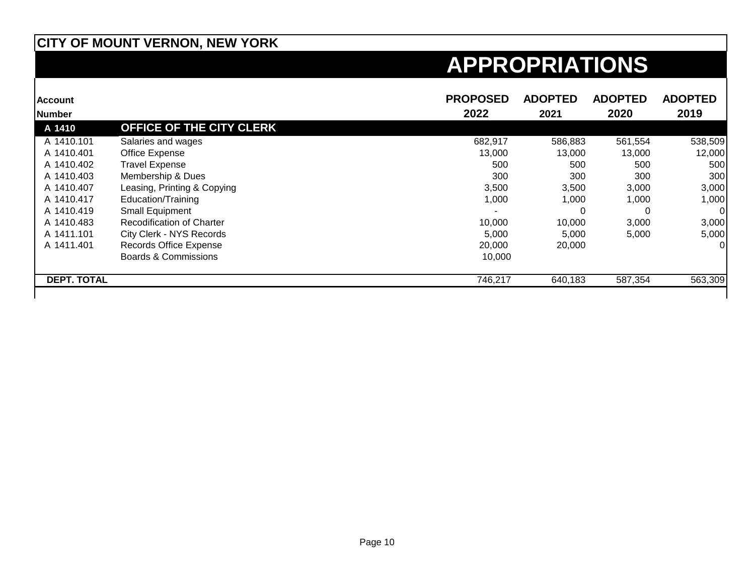| <b>Account</b>     |                                  | <b>PROPOSED</b> | <b>ADOPTED</b> | <b>ADOPTED</b> | <b>ADOPTED</b> |
|--------------------|----------------------------------|-----------------|----------------|----------------|----------------|
| <b>Number</b>      |                                  | 2022            | 2021           | 2020           | 2019           |
| A 1410             | <b>OFFICE OF THE CITY CLERK</b>  |                 |                |                |                |
| A 1410.101         | Salaries and wages               | 682,917         | 586,883        | 561,554        | 538,509        |
| A 1410.401         | Office Expense                   | 13,000          | 13,000         | 13,000         | 12,000         |
| A 1410.402         | <b>Travel Expense</b>            | 500             | 500            | 500            | 500            |
| A 1410.403         | Membership & Dues                | 300             | 300            | 300            | 300            |
| A 1410.407         | Leasing, Printing & Copying      | 3,500           | 3,500          | 3,000          | 3,000          |
| A 1410.417         | Education/Training               | 1,000           | 1,000          | 1,000          | 1,000          |
| A 1410.419         | <b>Small Equipment</b>           |                 |                | 0              | <sup>0</sup>   |
| A 1410.483         | <b>Recodification of Charter</b> | 10,000          | 10,000         | 3,000          | 3,000          |
| A 1411.101         | City Clerk - NYS Records         | 5,000           | 5,000          | 5,000          | 5,000          |
| A 1411.401         | <b>Records Office Expense</b>    | 20,000          | 20,000         |                | $\Omega$       |
|                    | <b>Boards &amp; Commissions</b>  | 10,000          |                |                |                |
| <b>DEPT. TOTAL</b> |                                  | 746,217         | 640,183        | 587,354        | 563,309        |
|                    |                                  |                 |                |                |                |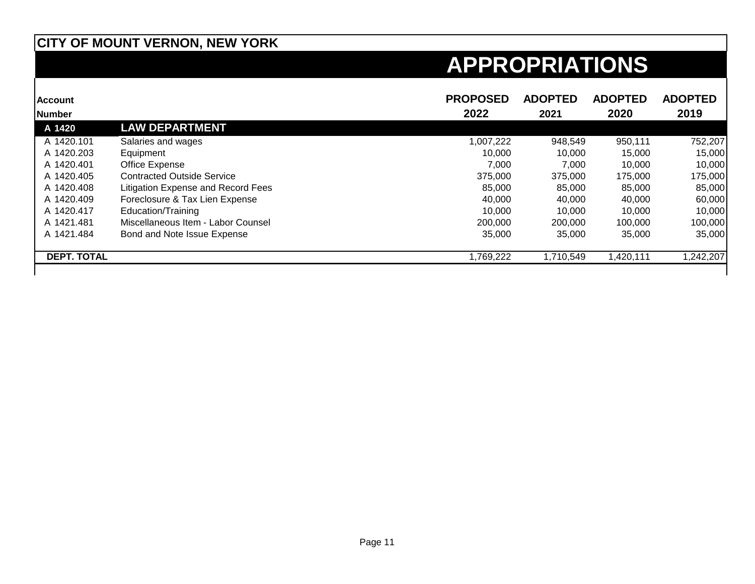| <b>Account</b>     |                                    | <b>PROPOSED</b> | <b>ADOPTED</b> | <b>ADOPTED</b> | <b>ADOPTED</b> |
|--------------------|------------------------------------|-----------------|----------------|----------------|----------------|
| <b>Number</b>      |                                    | 2022            | 2021           | 2020           | 2019           |
| A 1420             | <b>LAW DEPARTMENT</b>              |                 |                |                |                |
| A 1420.101         | Salaries and wages                 | 1,007,222       | 948,549        | 950,111        | 752,207        |
| A 1420.203         | Equipment                          | 10,000          | 10,000         | 15,000         | 15,000         |
| A 1420.401         | Office Expense                     | 7.000           | 7.000          | 10.000         | 10,000         |
| A 1420.405         | <b>Contracted Outside Service</b>  | 375,000         | 375,000        | 175,000        | 175,000        |
| A 1420.408         | Litigation Expense and Record Fees | 85,000          | 85,000         | 85,000         | 85,000         |
| A 1420.409         | Foreclosure & Tax Lien Expense     | 40.000          | 40,000         | 40.000         | 60,000         |
| A 1420.417         | Education/Training                 | 10,000          | 10,000         | 10,000         | 10,000         |
| A 1421.481         | Miscellaneous Item - Labor Counsel | 200,000         | 200,000        | 100,000        | 100,000        |
| A 1421.484         | Bond and Note Issue Expense        | 35,000          | 35,000         | 35,000         | 35,000         |
| <b>DEPT. TOTAL</b> |                                    | 1,769,222       | 1,710,549      | ,420,111       | 1,242,207      |
|                    |                                    |                 |                |                |                |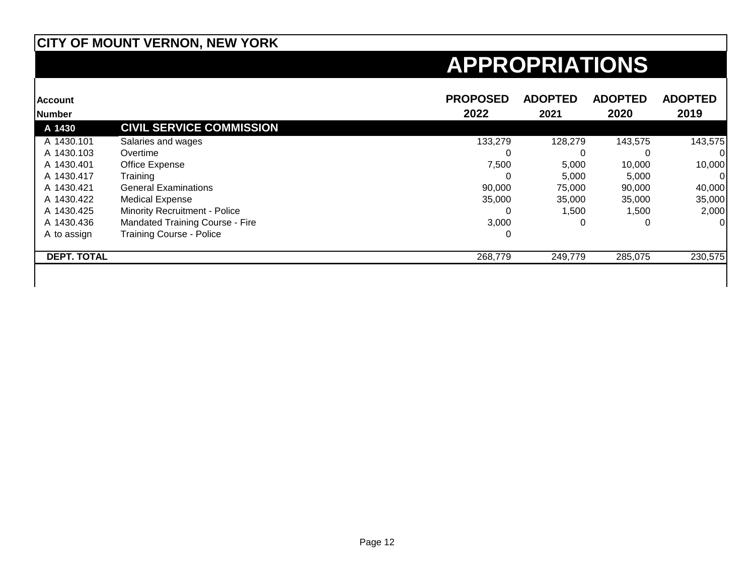| <b>Account</b>     |                                      | <b>PROPOSED</b> | <b>ADOPTED</b> | <b>ADOPTED</b> | <b>ADOPTED</b> |
|--------------------|--------------------------------------|-----------------|----------------|----------------|----------------|
| <b>Number</b>      |                                      | 2022            | 2021           | 2020           | 2019           |
| A 1430             | <b>CIVIL SERVICE COMMISSION</b>      |                 |                |                |                |
| A 1430.101         | Salaries and wages                   | 133,279         | 128,279        | 143,575        | 143,575        |
| A 1430.103         | Overtime                             | O               |                |                |                |
| A 1430.401         | Office Expense                       | 7,500           | 5,000          | 10,000         | 10,000         |
| A 1430.417         | Training                             | 0               | 5,000          | 5,000          | 01             |
| A 1430.421         | <b>General Examinations</b>          | 90.000          | 75,000         | 90.000         | 40,000         |
| A 1430.422         | <b>Medical Expense</b>               | 35,000          | 35,000         | 35,000         | 35,000         |
| A 1430.425         | <b>Minority Recruitment - Police</b> | 0               | 1,500          | 1,500          | 2,000          |
| A 1430.436         | Mandated Training Course - Fire      | 3,000           |                | 0              | 01             |
| A to assign        | <b>Training Course - Police</b>      | 0               |                |                |                |
| <b>DEPT. TOTAL</b> |                                      | 268,779         | 249,779        | 285,075        | 230,575        |
|                    |                                      |                 |                |                |                |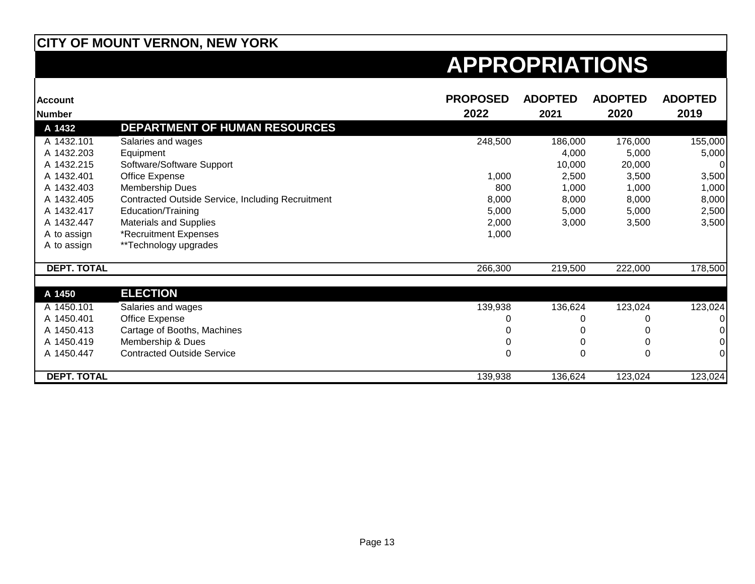| <b>Account</b><br><b>Number</b> |                                                   | <b>PROPOSED</b><br>2022 | <b>ADOPTED</b><br>2021 | <b>ADOPTED</b><br>2020 | <b>ADOPTED</b><br>2019 |
|---------------------------------|---------------------------------------------------|-------------------------|------------------------|------------------------|------------------------|
| A 1432                          | <b>DEPARTMENT OF HUMAN RESOURCES</b>              |                         |                        |                        |                        |
| A 1432.101                      | Salaries and wages                                | 248,500                 | 186,000                | 176,000                | 155,000                |
| A 1432.203                      | Equipment                                         |                         | 4,000                  | 5,000                  | 5,000                  |
| A 1432.215                      | Software/Software Support                         |                         | 10,000                 | 20,000                 |                        |
| A 1432.401                      |                                                   | 1,000                   |                        |                        |                        |
| A 1432.403                      | Office Expense                                    | 800                     | 2,500                  | 3,500                  | 3,500                  |
| A 1432.405                      | Membership Dues                                   | 8,000                   | 1,000                  | 1,000                  | 1,000                  |
|                                 | Contracted Outside Service, Including Recruitment |                         | 8,000                  | 8,000                  | 8,000                  |
| A 1432.417                      | Education/Training                                | 5,000                   | 5,000                  | 5,000                  | 2,500                  |
| A 1432.447                      | <b>Materials and Supplies</b>                     | 2,000                   | 3,000                  | 3,500                  | 3,500                  |
| A to assign                     | *Recruitment Expenses                             | 1,000                   |                        |                        |                        |
| A to assign                     | **Technology upgrades                             |                         |                        |                        |                        |
| <b>DEPT. TOTAL</b>              |                                                   | 266,300                 | 219,500                | 222,000                | 178,500                |
| A 1450                          | <b>ELECTION</b>                                   |                         |                        |                        |                        |
|                                 |                                                   |                         |                        |                        |                        |
| A 1450.101                      | Salaries and wages                                | 139,938                 | 136,624                | 123,024                | 123,024                |
| A 1450.401                      | Office Expense                                    |                         |                        |                        |                        |
| A 1450.413                      | Cartage of Booths, Machines                       |                         |                        |                        |                        |
| A 1450.419                      | Membership & Dues                                 |                         |                        |                        |                        |
| A 1450.447                      | <b>Contracted Outside Service</b>                 |                         | 0                      | 0                      |                        |
| <b>DEPT. TOTAL</b>              |                                                   | 139,938                 | 136,624                | 123,024                | 123,024                |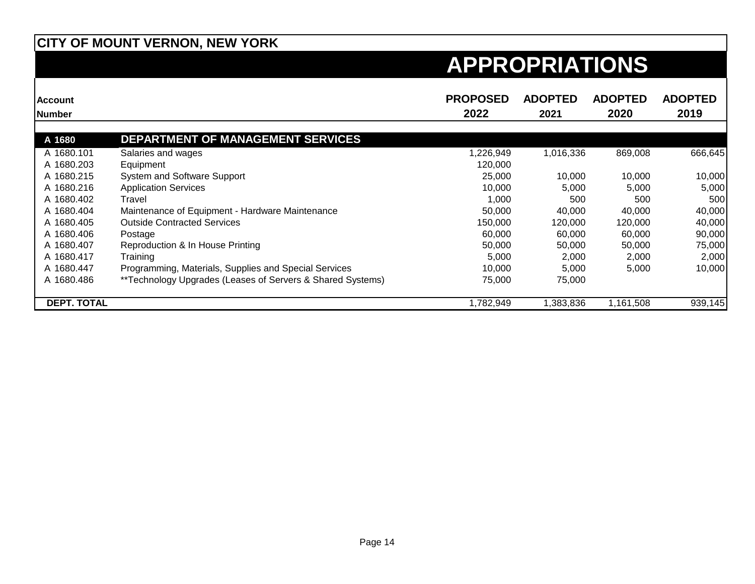| <b>Account</b>     |                                                            | <b>PROPOSED</b> | <b>ADOPTED</b> | <b>ADOPTED</b> | <b>ADOPTED</b> |
|--------------------|------------------------------------------------------------|-----------------|----------------|----------------|----------------|
| Number             |                                                            | 2022            | 2021           | 2020           | 2019           |
|                    |                                                            |                 |                |                |                |
| A 1680             | <b>DEPARTMENT OF MANAGEMENT SERVICES</b>                   |                 |                |                |                |
| A 1680.101         | Salaries and wages                                         | 1,226,949       | 1,016,336      | 869,008        | 666,645        |
| A 1680.203         | Equipment                                                  | 120,000         |                |                |                |
| A 1680.215         | System and Software Support                                | 25,000          | 10,000         | 10,000         | 10,000         |
| A 1680.216         | <b>Application Services</b>                                | 10,000          | 5,000          | 5,000          | 5,000          |
| A 1680.402         | Travel                                                     | 1,000           | 500            | 500            | 500            |
| A 1680.404         | Maintenance of Equipment - Hardware Maintenance            | 50,000          | 40,000         | 40,000         | 40,000         |
| A 1680.405         | <b>Outside Contracted Services</b>                         | 150.000         | 120,000        | 120,000        | 40,000         |
| A 1680.406         | Postage                                                    | 60,000          | 60,000         | 60,000         | 90,000         |
| A 1680.407         | Reproduction & In House Printing                           | 50,000          | 50,000         | 50,000         | 75,000         |
| A 1680.417         | Training                                                   | 5,000           | 2,000          | 2,000          | 2,000          |
| A 1680.447         | Programming, Materials, Supplies and Special Services      | 10,000          | 5,000          | 5,000          | 10,000         |
| A 1680.486         | **Technology Upgrades (Leases of Servers & Shared Systems) | 75,000          | 75,000         |                |                |
| <b>DEPT. TOTAL</b> |                                                            | 1,782,949       | ,383,836       | 1,161,508      | 939,145        |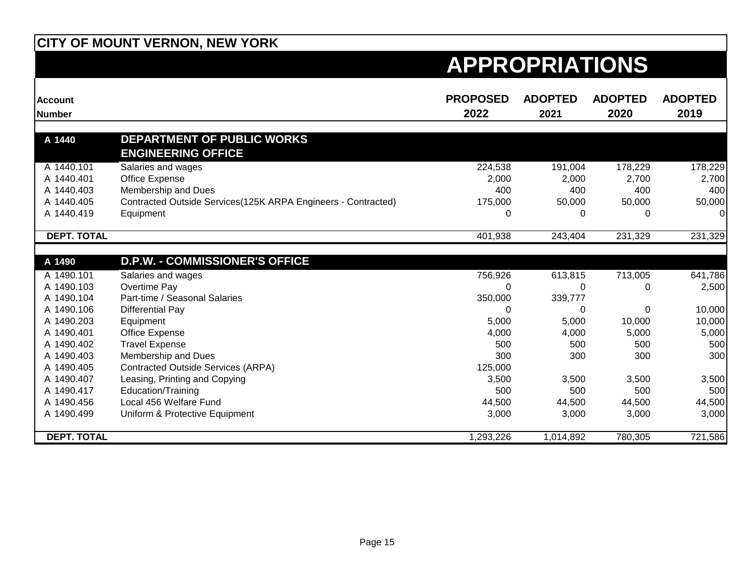| <b>Account</b><br><b>Number</b> |                                                               | <b>PROPOSED</b><br>2022 | <b>ADOPTED</b><br>2021 | <b>ADOPTED</b><br>2020 | <b>ADOPTED</b><br>2019 |
|---------------------------------|---------------------------------------------------------------|-------------------------|------------------------|------------------------|------------------------|
|                                 |                                                               |                         |                        |                        |                        |
| A 1440                          | DEPARTMENT OF PUBLIC WORKS<br><b>ENGINEERING OFFICE</b>       |                         |                        |                        |                        |
| A 1440.101                      | Salaries and wages                                            | 224,538                 | 191,004                | 178,229                | 178,229                |
| A 1440.401                      | Office Expense                                                | 2,000                   | 2,000                  | 2,700                  | 2,700                  |
| A 1440.403                      | Membership and Dues                                           | 400                     | 400                    | 400                    | 400                    |
| A 1440.405                      | Contracted Outside Services(125K ARPA Engineers - Contracted) | 175,000                 | 50,000                 | 50,000                 | 50,000                 |
| A 1440.419                      | Equipment                                                     | 0                       | 0                      | 0                      | $\Omega$               |
| <b>DEPT. TOTAL</b>              |                                                               | 401,938                 | 243,404                | 231,329                | 231,329                |
|                                 |                                                               |                         |                        |                        |                        |
| A 1490                          | <b>D.P.W. - COMMISSIONER'S OFFICE</b>                         |                         |                        |                        |                        |
| A 1490.101                      | Salaries and wages                                            | 756,926                 | 613,815                | 713,005                | 641,786                |
| A 1490.103                      | Overtime Pay                                                  | 0                       | 0                      | 0                      | 2,500                  |
| A 1490.104                      | Part-time / Seasonal Salaries                                 | 350,000                 | 339,777                |                        |                        |
| A 1490.106                      | <b>Differential Pay</b>                                       | 0                       | 0                      | 0                      | 10,000                 |
| A 1490.203                      | Equipment                                                     | 5,000                   | 5,000                  | 10,000                 | 10,000                 |
| A 1490.401                      | Office Expense                                                | 4,000                   | 4,000                  | 5,000                  | 5,000                  |
| A 1490.402                      | <b>Travel Expense</b>                                         | 500                     | 500                    | 500                    | 500                    |
| A 1490.403                      | Membership and Dues                                           | 300                     | 300                    | 300                    | 300                    |
| A 1490.405                      | <b>Contracted Outside Services (ARPA)</b>                     | 125,000                 |                        |                        |                        |
| A 1490.407                      | Leasing, Printing and Copying                                 | 3,500                   | 3,500                  | 3,500                  | 3,500                  |
| A 1490.417                      | Education/Training                                            | 500                     | 500                    | 500                    | 500                    |
| A 1490.456                      | Local 456 Welfare Fund                                        | 44,500                  | 44,500                 | 44,500                 | 44,500                 |
| A 1490.499                      | Uniform & Protective Equipment                                | 3,000                   | 3,000                  | 3,000                  | 3,000                  |
| <b>DEPT. TOTAL</b>              |                                                               | 1,293,226               | 1,014,892              | 780,305                | 721,586                |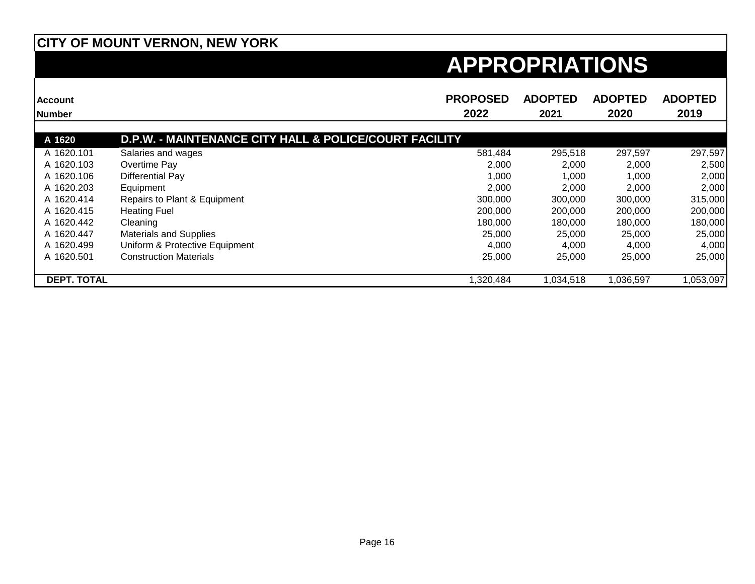| <b>Account</b>     |                                                                   | <b>PROPOSED</b> | <b>ADOPTED</b> | <b>ADOPTED</b> | <b>ADOPTED</b> |
|--------------------|-------------------------------------------------------------------|-----------------|----------------|----------------|----------------|
| Number             |                                                                   | 2022            | 2021           | 2020           | 2019           |
|                    |                                                                   |                 |                |                |                |
| A 1620             | <b>D.P.W. - MAINTENANCE CITY HALL &amp; POLICE/COURT FACILITY</b> |                 |                |                |                |
| A 1620.101         | Salaries and wages                                                | 581,484         | 295,518        | 297,597        | 297,597        |
| A 1620.103         | Overtime Pay                                                      | 2,000           | 2,000          | 2,000          | 2,500          |
| A 1620.106         | Differential Pay                                                  | 1,000           | 1,000          | 1,000          | 2,000          |
| A 1620.203         | Equipment                                                         | 2,000           | 2,000          | 2,000          | 2,000          |
| A 1620.414         | Repairs to Plant & Equipment                                      | 300,000         | 300,000        | 300,000        | 315,000        |
| A 1620.415         | <b>Heating Fuel</b>                                               | 200,000         | 200,000        | 200,000        | 200,000        |
| A 1620.442         | Cleaning                                                          | 180,000         | 180,000        | 180,000        | 180,000        |
| A 1620.447         | <b>Materials and Supplies</b>                                     | 25,000          | 25,000         | 25,000         | 25,000         |
| A 1620.499         | Uniform & Protective Equipment                                    | 4,000           | 4,000          | 4,000          | 4,000          |
| A 1620.501         | <b>Construction Materials</b>                                     | 25,000          | 25,000         | 25,000         | 25,000         |
| <b>DEPT. TOTAL</b> |                                                                   | 1,320,484       | 1,034,518      | 1,036,597      | 1,053,097      |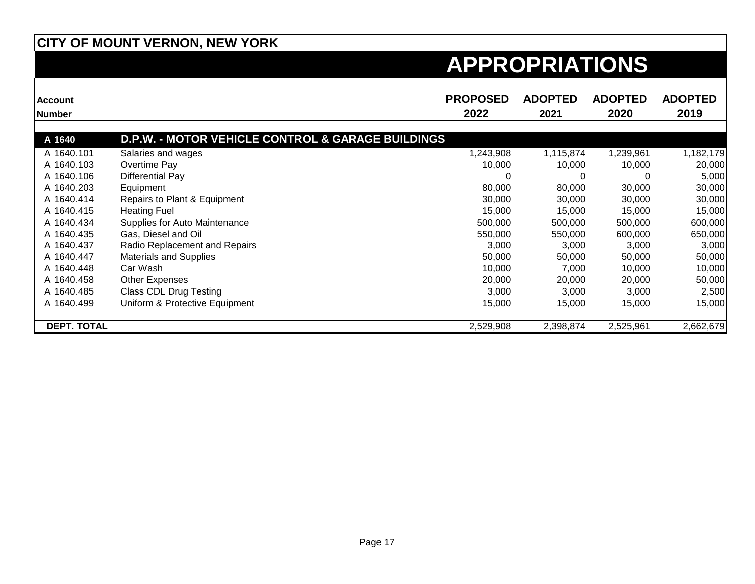| <b>Account</b>     |                                                   | <b>PROPOSED</b> | <b>ADOPTED</b> | <b>ADOPTED</b> | <b>ADOPTED</b> |
|--------------------|---------------------------------------------------|-----------------|----------------|----------------|----------------|
| <b>Number</b>      |                                                   | 2022            | 2021           | 2020           | 2019           |
|                    |                                                   |                 |                |                |                |
| A 1640             | D.P.W. - MOTOR VEHICLE CONTROL & GARAGE BUILDINGS |                 |                |                |                |
| A 1640.101         | Salaries and wages                                | 1,243,908       | 1,115,874      | 1,239,961      | 1,182,179      |
| A 1640.103         | Overtime Pay                                      | 10,000          | 10,000         | 10,000         | 20,000         |
| A 1640.106         | Differential Pay                                  | 0               | 0              | 0              | 5,000          |
| A 1640.203         | Equipment                                         | 80,000          | 80,000         | 30,000         | 30,000         |
| A 1640.414         | Repairs to Plant & Equipment                      | 30,000          | 30,000         | 30,000         | 30,000         |
| A 1640.415         | <b>Heating Fuel</b>                               | 15,000          | 15,000         | 15,000         | 15,000         |
| A 1640.434         | Supplies for Auto Maintenance                     | 500,000         | 500,000        | 500,000        | 600,000        |
| A 1640.435         | Gas, Diesel and Oil                               | 550,000         | 550,000        | 600,000        | 650,000        |
| A 1640.437         | Radio Replacement and Repairs                     | 3,000           | 3,000          | 3,000          | 3,000          |
| A 1640.447         | <b>Materials and Supplies</b>                     | 50,000          | 50,000         | 50,000         | 50,000         |
| A 1640.448         | Car Wash                                          | 10,000          | 7,000          | 10,000         | 10,000         |
| A 1640.458         | Other Expenses                                    | 20,000          | 20,000         | 20,000         | 50,000         |
| A 1640.485         | <b>Class CDL Drug Testing</b>                     | 3,000           | 3,000          | 3,000          | 2,500          |
| A 1640.499         | Uniform & Protective Equipment                    | 15,000          | 15,000         | 15,000         | 15,000         |
| <b>DEPT. TOTAL</b> |                                                   | 2,529,908       | 2,398,874      | 2,525,961      | 2,662,679      |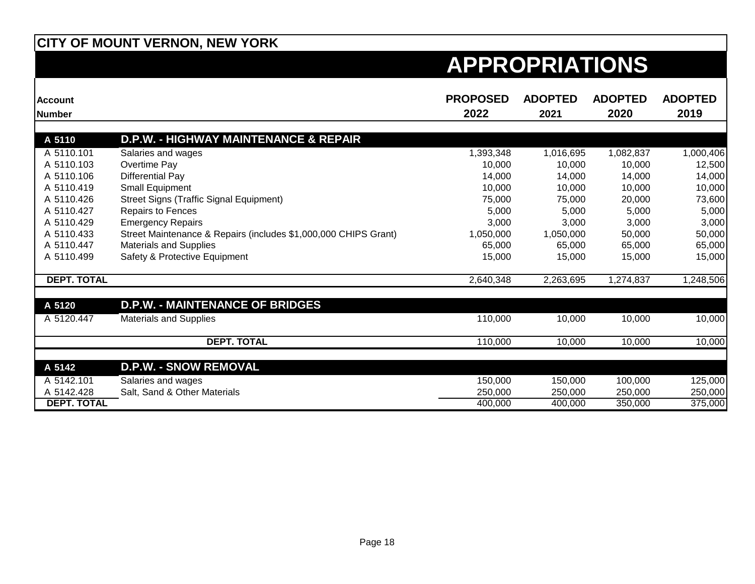| <b>Account</b><br><b>Number</b> |                                                                 | <b>PROPOSED</b><br>2022 | <b>ADOPTED</b><br>2021 | <b>ADOPTED</b><br>2020 | <b>ADOPTED</b><br>2019 |
|---------------------------------|-----------------------------------------------------------------|-------------------------|------------------------|------------------------|------------------------|
| A 5110                          | <b>D.P.W. - HIGHWAY MAINTENANCE &amp; REPAIR</b>                |                         |                        |                        |                        |
|                                 |                                                                 |                         |                        |                        |                        |
| A 5110.101<br>A 5110.103        | Salaries and wages                                              | 1,393,348               | 1,016,695              | 1,082,837              | 1,000,406              |
|                                 | Overtime Pay                                                    | 10,000                  | 10,000                 | 10,000                 | 12,500                 |
| A 5110.106                      | Differential Pay                                                | 14,000                  | 14,000                 | 14,000                 | 14,000                 |
| A 5110.419                      | Small Equipment                                                 | 10,000                  | 10,000                 | 10,000                 | 10,000                 |
| A 5110.426                      | <b>Street Signs (Traffic Signal Equipment)</b>                  | 75,000                  | 75,000                 | 20,000                 | 73,600                 |
| A 5110.427                      | Repairs to Fences                                               | 5,000                   | 5,000                  | 5,000                  | 5,000                  |
| A 5110.429                      | <b>Emergency Repairs</b>                                        | 3,000                   | 3,000                  | 3,000                  | 3,000                  |
| A 5110.433                      | Street Maintenance & Repairs (includes \$1,000,000 CHIPS Grant) | 1,050,000               | 1,050,000              | 50,000                 | 50,000                 |
| A 5110.447                      | <b>Materials and Supplies</b>                                   | 65,000                  | 65,000                 | 65,000                 | 65,000                 |
| A 5110.499                      | Safety & Protective Equipment                                   | 15,000                  | 15,000                 | 15,000                 | 15,000                 |
| <b>DEPT. TOTAL</b>              |                                                                 | 2,640,348               | 2,263,695              | 1,274,837              | 1,248,506              |
| A 5120                          | <b>D.P.W. - MAINTENANCE OF BRIDGES</b>                          |                         |                        |                        |                        |
| A 5120.447                      | <b>Materials and Supplies</b>                                   | 110,000                 | 10,000                 | 10,000                 | 10,000                 |
|                                 | <b>DEPT. TOTAL</b>                                              | 110,000                 | 10,000                 | 10,000                 | 10,000                 |
|                                 |                                                                 |                         |                        |                        |                        |
| A 5142                          | <b>D.P.W. - SNOW REMOVAL</b>                                    |                         |                        |                        |                        |
| A 5142.101                      | Salaries and wages                                              | 150,000                 | 150,000                | 100,000                | 125,000                |
| A 5142.428                      | Salt, Sand & Other Materials                                    | 250,000                 | 250,000                | 250,000                | 250,000                |
| <b>DEPT. TOTAL</b>              |                                                                 | 400,000                 | 400.000                | 350,000                | 375,000                |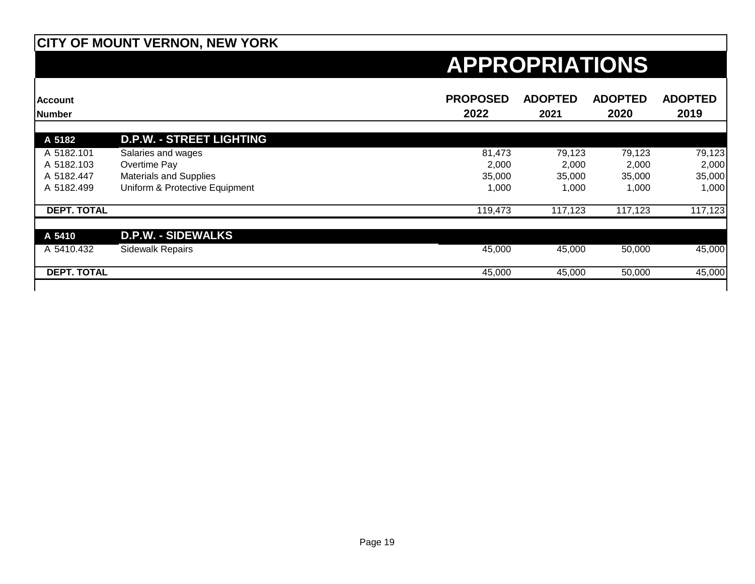| <b>Account</b><br><b>Number</b> |                                 | <b>PROPOSED</b><br>2022 | <b>ADOPTED</b><br>2021 | <b>ADOPTED</b><br>2020 | <b>ADOPTED</b><br>2019 |
|---------------------------------|---------------------------------|-------------------------|------------------------|------------------------|------------------------|
|                                 |                                 |                         |                        |                        |                        |
| A 5182                          | <b>D.P.W. - STREET LIGHTING</b> |                         |                        |                        |                        |
| A 5182.101                      | Salaries and wages              | 81,473                  | 79,123                 | 79,123                 | 79,123                 |
| A 5182.103                      | Overtime Pay                    | 2,000                   | 2,000                  | 2,000                  | 2,000                  |
| A 5182.447                      | <b>Materials and Supplies</b>   | 35,000                  | 35,000                 | 35,000                 | 35,000                 |
| A 5182.499                      | Uniform & Protective Equipment  | 1,000                   | 1,000                  | 1,000                  | 1,000                  |
| <b>DEPT. TOTAL</b>              |                                 | 119,473                 | 117,123                | 117,123                | 117,123                |
| A 5410                          | <b>D.P.W. - SIDEWALKS</b>       |                         |                        |                        |                        |
| A 5410.432                      | <b>Sidewalk Repairs</b>         | 45,000                  | 45,000                 | 50,000                 | 45,000                 |
| <b>DEPT. TOTAL</b>              |                                 | 45,000                  | 45,000                 | 50,000                 | 45,000                 |
|                                 |                                 |                         |                        |                        |                        |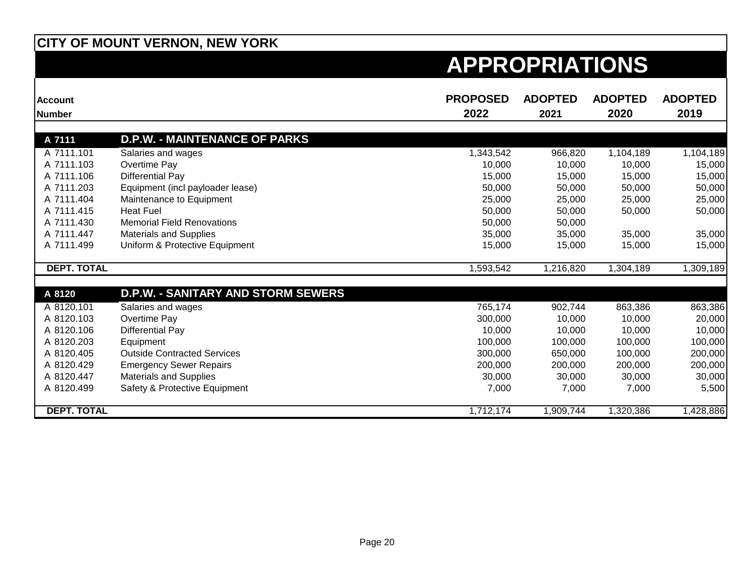| <b>Account</b><br><b>Number</b> |                                           | <b>PROPOSED</b><br>2022 | <b>ADOPTED</b><br>2021 | <b>ADOPTED</b><br>2020 | <b>ADOPTED</b><br>2019 |
|---------------------------------|-------------------------------------------|-------------------------|------------------------|------------------------|------------------------|
|                                 |                                           |                         |                        |                        |                        |
| A 7111                          | <b>D.P.W. - MAINTENANCE OF PARKS</b>      |                         |                        |                        |                        |
| A 7111.101                      | Salaries and wages                        | 1,343,542               | 966,820                | 1,104,189              | 1,104,189              |
| A 7111.103                      | Overtime Pay                              | 10,000                  | 10,000                 | 10,000                 | 15,000                 |
| A 7111.106                      | Differential Pay                          | 15,000                  | 15,000                 | 15,000                 | 15,000                 |
| A 7111.203                      | Equipment (incl payloader lease)          | 50,000                  | 50,000                 | 50,000                 | 50,000                 |
| A 7111.404                      | Maintenance to Equipment                  | 25,000                  | 25,000                 | 25,000                 | 25,000                 |
| A 7111.415                      | <b>Heat Fuel</b>                          | 50,000                  | 50,000                 | 50,000                 | 50,000                 |
| A 7111.430                      | <b>Memorial Field Renovations</b>         | 50,000                  | 50,000                 |                        |                        |
| A 7111.447                      | <b>Materials and Supplies</b>             | 35,000                  | 35,000                 | 35,000                 | 35,000                 |
| A 7111.499                      | Uniform & Protective Equipment            | 15,000                  | 15,000                 | 15,000                 | 15,000                 |
| <b>DEPT. TOTAL</b>              |                                           | 1,593,542               | 1,216,820              | 1,304,189              | 1,309,189              |
|                                 |                                           |                         |                        |                        |                        |
| A 8120                          | <b>D.P.W. - SANITARY AND STORM SEWERS</b> |                         |                        |                        |                        |
| A 8120.101                      | Salaries and wages                        | 765,174                 | 902,744                | 863,386                | 863,386                |
| A 8120.103                      | Overtime Pay                              | 300,000                 | 10,000                 | 10,000                 | 20,000                 |
| A 8120.106                      | <b>Differential Pay</b>                   | 10,000                  | 10,000                 | 10,000                 | 10,000                 |
| A 8120.203                      | Equipment                                 | 100,000                 | 100,000                | 100,000                | 100,000                |
| A 8120.405                      | <b>Outside Contracted Services</b>        | 300,000                 | 650,000                | 100,000                | 200,000                |
| A 8120.429                      | <b>Emergency Sewer Repairs</b>            | 200,000                 | 200,000                | 200,000                | 200,000                |
| A 8120.447                      | <b>Materials and Supplies</b>             | 30,000                  | 30,000                 | 30,000                 | 30,000                 |
| A 8120.499                      | Safety & Protective Equipment             | 7,000                   | 7,000                  | 7,000                  | 5,500                  |
| <b>DEPT. TOTAL</b>              |                                           | 1,712,174               | 1,909,744              | 1,320,386              | 1,428,886              |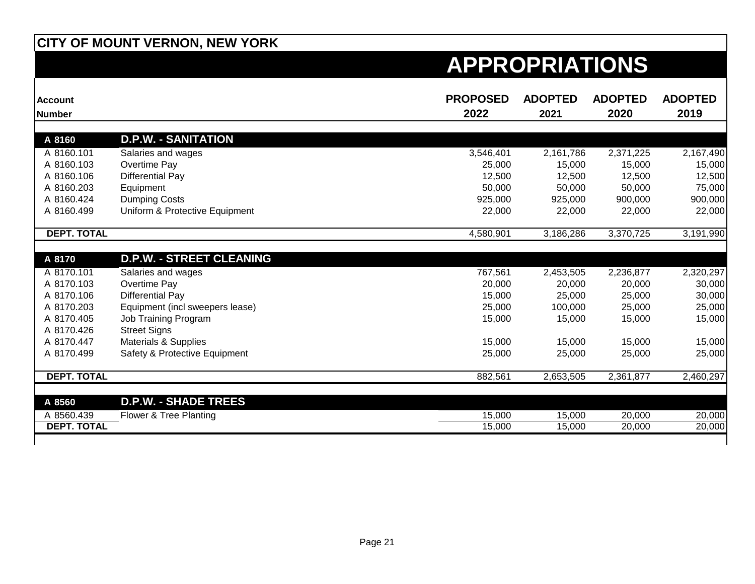| <b>Account</b><br><b>Number</b> |                                 | <b>PROPOSED</b><br>2022 | <b>ADOPTED</b><br>2021 | <b>ADOPTED</b><br>2020 | <b>ADOPTED</b><br>2019 |
|---------------------------------|---------------------------------|-------------------------|------------------------|------------------------|------------------------|
|                                 |                                 |                         |                        |                        |                        |
| A 8160                          | <b>D.P.W. - SANITATION</b>      |                         |                        |                        |                        |
| A 8160.101                      | Salaries and wages              | 3,546,401               | 2,161,786              | 2,371,225              | 2,167,490              |
| A 8160.103                      | Overtime Pay                    | 25,000                  | 15,000                 | 15,000                 | 15,000                 |
| A 8160.106                      | <b>Differential Pay</b>         | 12,500                  | 12,500                 | 12,500                 | 12,500                 |
| A 8160.203                      | Equipment                       | 50,000                  | 50,000                 | 50,000                 | 75,000                 |
| A 8160.424                      | <b>Dumping Costs</b>            | 925,000                 | 925,000                | 900,000                | 900,000                |
| A 8160.499                      | Uniform & Protective Equipment  | 22,000                  | 22,000                 | 22,000                 | 22,000                 |
| <b>DEPT. TOTAL</b>              |                                 | 4,580,901               | 3,186,286              | 3,370,725              | 3,191,990              |
|                                 |                                 |                         |                        |                        |                        |
| A 8170                          | <b>D.P.W. - STREET CLEANING</b> |                         |                        |                        |                        |
| A 8170.101                      | Salaries and wages              | 767,561                 | 2,453,505              | 2,236,877              | 2,320,297              |
| A 8170.103                      | Overtime Pay                    | 20,000                  | 20,000                 | 20,000                 | 30,000                 |
| A 8170.106                      | <b>Differential Pay</b>         | 15,000                  | 25,000                 | 25,000                 | 30,000                 |
| A 8170.203                      | Equipment (incl sweepers lease) | 25,000                  | 100,000                | 25,000                 | 25,000                 |
| A 8170.405                      | Job Training Program            | 15,000                  | 15,000                 | 15,000                 | 15,000                 |
| A 8170.426                      | <b>Street Signs</b>             |                         |                        |                        |                        |
| A 8170.447                      | <b>Materials &amp; Supplies</b> | 15,000                  | 15,000                 | 15,000                 | 15,000                 |
| A 8170.499                      | Safety & Protective Equipment   | 25,000                  | 25,000                 | 25,000                 | 25,000                 |
| <b>DEPT. TOTAL</b>              |                                 | 882,561                 | 2,653,505              | 2,361,877              | 2,460,297              |
|                                 |                                 |                         |                        |                        |                        |
| A 8560                          | <b>D.P.W. - SHADE TREES</b>     |                         |                        |                        |                        |
| A 8560.439                      | Flower & Tree Planting          | 15,000                  | 15,000                 | 20,000                 | 20,000                 |
| <b>DEPT. TOTAL</b>              |                                 | 15,000                  | 15,000                 | 20,000                 | 20,000                 |
|                                 |                                 |                         |                        |                        |                        |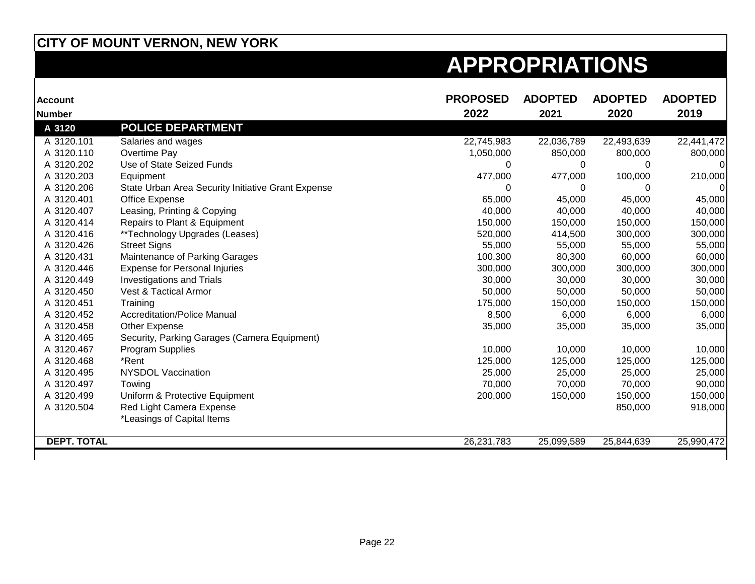| <b>Account</b>     |                                                    | <b>PROPOSED</b> | <b>ADOPTED</b> | <b>ADOPTED</b> | <b>ADOPTED</b> |
|--------------------|----------------------------------------------------|-----------------|----------------|----------------|----------------|
| <b>Number</b>      |                                                    | 2022            | 2021           | 2020           | 2019           |
| A 3120             | <b>POLICE DEPARTMENT</b>                           |                 |                |                |                |
| A 3120.101         | Salaries and wages                                 | 22,745,983      | 22,036,789     | 22,493,639     | 22,441,472     |
| A 3120.110         | Overtime Pay                                       | 1,050,000       | 850,000        | 800,000        | 800,000        |
| A 3120.202         | Use of State Seized Funds                          | $\Omega$        | 0              | 0              |                |
| A 3120.203         | Equipment                                          | 477,000         | 477,000        | 100,000        | 210,000        |
| A 3120.206         | State Urban Area Security Initiative Grant Expense | 0               | 0              | 0              |                |
| A 3120.401         | Office Expense                                     | 65,000          | 45,000         | 45,000         | 45,000         |
| A 3120.407         | Leasing, Printing & Copying                        | 40,000          | 40,000         | 40,000         | 40,000         |
| A 3120.414         | Repairs to Plant & Equipment                       | 150,000         | 150,000        | 150,000        | 150,000        |
| A 3120.416         | **Technology Upgrades (Leases)                     | 520,000         | 414,500        | 300,000        | 300,000        |
| A 3120.426         | <b>Street Signs</b>                                | 55,000          | 55,000         | 55,000         | 55,000         |
| A 3120.431         | Maintenance of Parking Garages                     | 100,300         | 80,300         | 60,000         | 60,000         |
| A 3120.446         | <b>Expense for Personal Injuries</b>               | 300,000         | 300,000        | 300,000        | 300,000        |
| A 3120.449         | <b>Investigations and Trials</b>                   | 30,000          | 30,000         | 30,000         | 30,000         |
| A 3120.450         | <b>Vest &amp; Tactical Armor</b>                   | 50,000          | 50,000         | 50,000         | 50,000         |
| A 3120.451         | Training                                           | 175,000         | 150,000        | 150,000        | 150,000        |
| A 3120.452         | <b>Accreditation/Police Manual</b>                 | 8,500           | 6,000          | 6,000          | 6,000          |
| A 3120.458         | Other Expense                                      | 35,000          | 35,000         | 35,000         | 35,000         |
| A 3120.465         | Security, Parking Garages (Camera Equipment)       |                 |                |                |                |
| A 3120.467         | Program Supplies                                   | 10,000          | 10,000         | 10,000         | 10,000         |
| A 3120.468         | *Rent                                              | 125,000         | 125,000        | 125,000        | 125,000        |
| A 3120.495         | <b>NYSDOL Vaccination</b>                          | 25,000          | 25,000         | 25,000         | 25,000         |
| A 3120.497         | Towing                                             | 70,000          | 70,000         | 70,000         | 90,000         |
| A 3120.499         | Uniform & Protective Equipment                     | 200,000         | 150,000        | 150,000        | 150,000        |
| A 3120.504         | Red Light Camera Expense                           |                 |                | 850,000        | 918,000        |
|                    | *Leasings of Capital Items                         |                 |                |                |                |
| <b>DEPT. TOTAL</b> |                                                    | 26,231,783      | 25,099,589     | 25,844,639     | 25,990,472     |
|                    |                                                    |                 |                |                |                |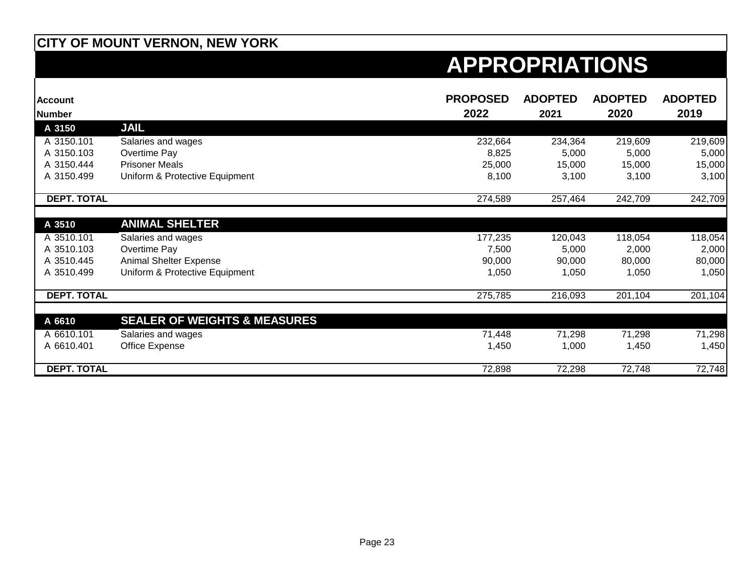| <b>Account</b><br><b>Number</b> |                                         | <b>PROPOSED</b><br>2022 | <b>ADOPTED</b><br>2021 | <b>ADOPTED</b><br>2020 | <b>ADOPTED</b><br>2019 |
|---------------------------------|-----------------------------------------|-------------------------|------------------------|------------------------|------------------------|
| A 3150                          | <b>JAIL</b>                             |                         |                        |                        |                        |
| A 3150.101                      | Salaries and wages                      | 232,664                 | 234,364                | 219,609                | 219,609                |
| A 3150.103                      | Overtime Pay                            | 8,825                   | 5,000                  | 5,000                  | 5,000                  |
| A 3150.444                      | <b>Prisoner Meals</b>                   | 25,000                  | 15,000                 | 15,000                 | 15,000                 |
| A 3150.499                      | Uniform & Protective Equipment          | 8,100                   | 3,100                  | 3,100                  | 3,100                  |
| <b>DEPT. TOTAL</b>              |                                         | 274,589                 | 257,464                | 242,709                | 242,709                |
|                                 |                                         |                         |                        |                        |                        |
| A 3510                          | <b>ANIMAL SHELTER</b>                   |                         |                        |                        |                        |
| A 3510.101                      | Salaries and wages                      | 177,235                 | 120,043                | 118,054                | 118,054                |
| A 3510.103                      | Overtime Pay                            | 7,500                   | 5,000                  | 2,000                  | 2,000                  |
| A 3510.445                      | Animal Shelter Expense                  | 90,000                  | 90,000                 | 80,000                 | 80,000                 |
| A 3510.499                      | Uniform & Protective Equipment          | 1,050                   | 1,050                  | 1,050                  | 1,050                  |
| <b>DEPT. TOTAL</b>              |                                         | 275,785                 | 216,093                | 201,104                | 201,104                |
|                                 |                                         |                         |                        |                        |                        |
| A 6610                          | <b>SEALER OF WEIGHTS &amp; MEASURES</b> |                         |                        |                        |                        |
| A 6610.101                      | Salaries and wages                      | 71,448                  | 71,298                 | 71,298                 | 71,298                 |
| A 6610.401                      | Office Expense                          | 1,450                   | 1,000                  | 1,450                  | 1,450                  |
| <b>DEPT. TOTAL</b>              |                                         | 72,898                  | 72,298                 | 72,748                 | 72,748                 |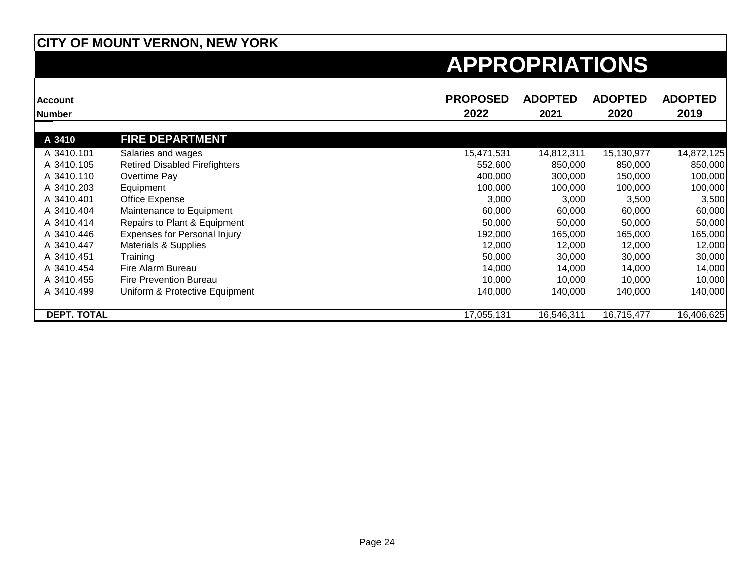| <b>Account</b><br><b>Number</b> |                                      | <b>PROPOSED</b><br>2022 | <b>ADOPTED</b><br>2021 | <b>ADOPTED</b><br>2020 | <b>ADOPTED</b><br>2019 |
|---------------------------------|--------------------------------------|-------------------------|------------------------|------------------------|------------------------|
|                                 |                                      |                         |                        |                        |                        |
| A 3410                          | <b>FIRE DEPARTMENT</b>               |                         |                        |                        |                        |
| A 3410.101                      | Salaries and wages                   | 15,471,531              | 14,812,311             | 15,130,977             | 14,872,125             |
| A 3410.105                      | <b>Retired Disabled Firefighters</b> | 552,600                 | 850,000                | 850,000                | 850,000                |
| A 3410.110                      | Overtime Pay                         | 400,000                 | 300,000                | 150,000                | 100,000                |
| A 3410.203                      | Equipment                            | 100,000                 | 100,000                | 100,000                | 100,000                |
| A 3410.401                      | Office Expense                       | 3,000                   | 3,000                  | 3,500                  | 3,500                  |
| A 3410.404                      | Maintenance to Equipment             | 60,000                  | 60,000                 | 60,000                 | 60,000                 |
| A 3410.414                      | Repairs to Plant & Equipment         | 50,000                  | 50,000                 | 50,000                 | 50,000                 |
| A 3410.446                      | <b>Expenses for Personal Injury</b>  | 192,000                 | 165,000                | 165,000                | 165,000                |
| A 3410.447                      | Materials & Supplies                 | 12,000                  | 12,000                 | 12,000                 | 12,000                 |
| A 3410.451                      | Training                             | 50,000                  | 30,000                 | 30,000                 | 30,000                 |
| A 3410.454                      | Fire Alarm Bureau                    | 14,000                  | 14,000                 | 14,000                 | 14,000                 |
| A 3410.455                      | Fire Prevention Bureau               | 10,000                  | 10,000                 | 10,000                 | 10,000                 |
| A 3410.499                      | Uniform & Protective Equipment       | 140,000                 | 140,000                | 140,000                | 140,000                |
| <b>DEPT. TOTAL</b>              |                                      | 17,055,131              | 16,546,311             | 16,715,477             | 16,406,625             |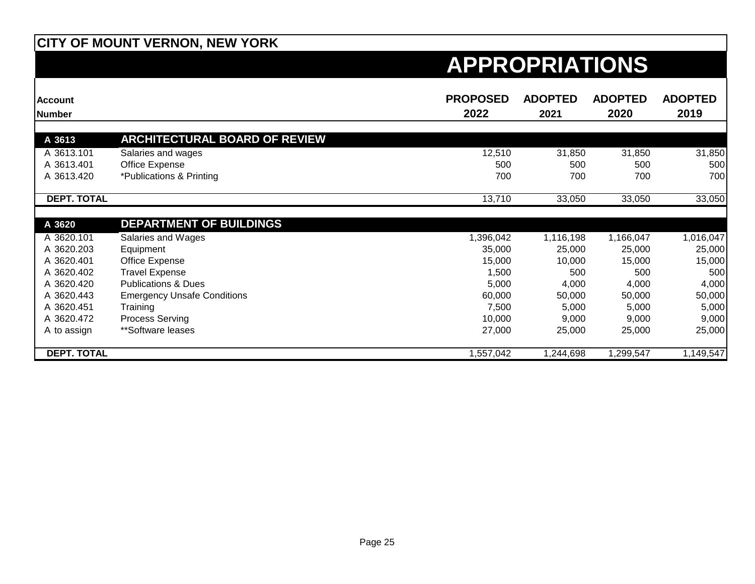| <b>Account</b>     |                                      | <b>PROPOSED</b> | <b>ADOPTED</b> | <b>ADOPTED</b> | <b>ADOPTED</b> |
|--------------------|--------------------------------------|-----------------|----------------|----------------|----------------|
| <b>Number</b>      |                                      | 2022            | 2021           | 2020           | 2019           |
| A 3613             | <b>ARCHITECTURAL BOARD OF REVIEW</b> |                 |                |                |                |
| A 3613.101         | Salaries and wages                   | 12,510          | 31,850         | 31,850         | 31,850         |
| A 3613.401         | Office Expense                       | 500             | 500            | 500            | 500            |
| A 3613.420         | *Publications & Printing             | 700             | 700            | 700            | 700            |
| <b>DEPT. TOTAL</b> |                                      | 13,710          | 33,050         | 33,050         | 33,050         |
| A 3620             | <b>DEPARTMENT OF BUILDINGS</b>       |                 |                |                |                |
| A 3620.101         | Salaries and Wages                   | 1,396,042       | 1,116,198      | 1,166,047      | 1,016,047      |
| A 3620.203         | Equipment                            | 35,000          | 25,000         | 25,000         | 25,000         |
| A 3620.401         | Office Expense                       | 15,000          | 10,000         | 15,000         | 15,000         |
| A 3620.402         | <b>Travel Expense</b>                | 1,500           | 500            | 500            | 500            |
| A 3620.420         | <b>Publications &amp; Dues</b>       | 5,000           | 4,000          | 4,000          | 4,000          |
| A 3620.443         | <b>Emergency Unsafe Conditions</b>   | 60,000          | 50,000         | 50,000         | 50,000         |
| A 3620.451         | Training                             | 7,500           | 5,000          | 5,000          | 5,000          |
| A 3620.472         | Process Serving                      | 10,000          | 9,000          | 9,000          | 9,000          |
| A to assign        | **Software leases                    | 27,000          | 25,000         | 25,000         | 25,000         |
| <b>DEPT. TOTAL</b> |                                      | 1,557,042       | 1,244,698      | 1,299,547      | 1,149,547      |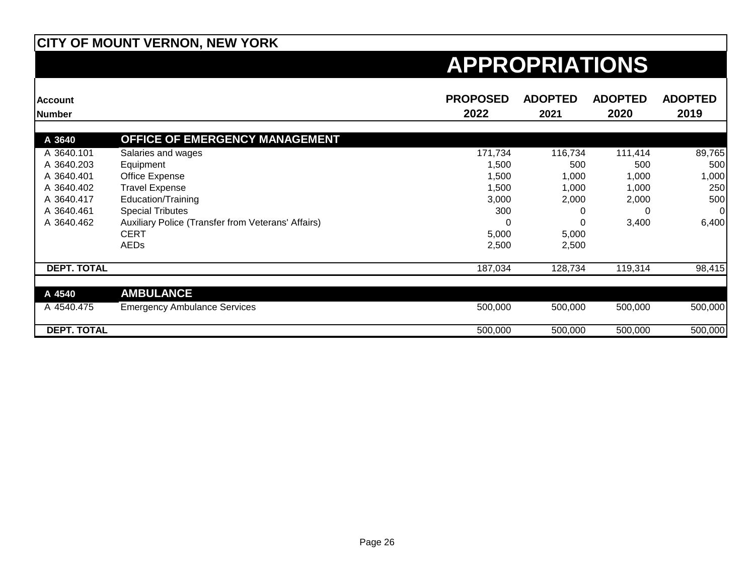| <b>Account</b>     |                                                    | <b>PROPOSED</b> | <b>ADOPTED</b> | <b>ADOPTED</b> | <b>ADOPTED</b> |
|--------------------|----------------------------------------------------|-----------------|----------------|----------------|----------------|
| <b>Number</b>      |                                                    | 2022            | 2021           | 2020           | 2019           |
| A 3640             | OFFICE OF EMERGENCY MANAGEMENT                     |                 |                |                |                |
| A 3640.101         | Salaries and wages                                 | 171,734         | 116,734        | 111,414        | 89,765         |
| A 3640.203         | Equipment                                          | 1,500           | 500            | 500            | 500            |
| A 3640.401         | Office Expense                                     | 1,500           | 1,000          | 1,000          | 1,000          |
| A 3640.402         | <b>Travel Expense</b>                              | 1,500           | 1,000          | 1,000          | 250            |
| A 3640.417         | Education/Training                                 | 3,000           | 2,000          | 2,000          | 500            |
| A 3640.461         | <b>Special Tributes</b>                            | 300             |                | 0              | 0              |
| A 3640.462         | Auxiliary Police (Transfer from Veterans' Affairs) |                 |                | 3,400          | 6,400          |
|                    | <b>CERT</b>                                        | 5,000           | 5,000          |                |                |
|                    | AEDs                                               | 2,500           | 2,500          |                |                |
| <b>DEPT. TOTAL</b> |                                                    | 187,034         | 128,734        | 119,314        | 98,415         |
| A 4540             | <b>AMBULANCE</b>                                   |                 |                |                |                |
| A 4540.475         | <b>Emergency Ambulance Services</b>                | 500,000         | 500,000        | 500,000        | 500,000        |
| <b>DEPT. TOTAL</b> |                                                    | 500,000         | 500,000        | 500,000        | 500,000        |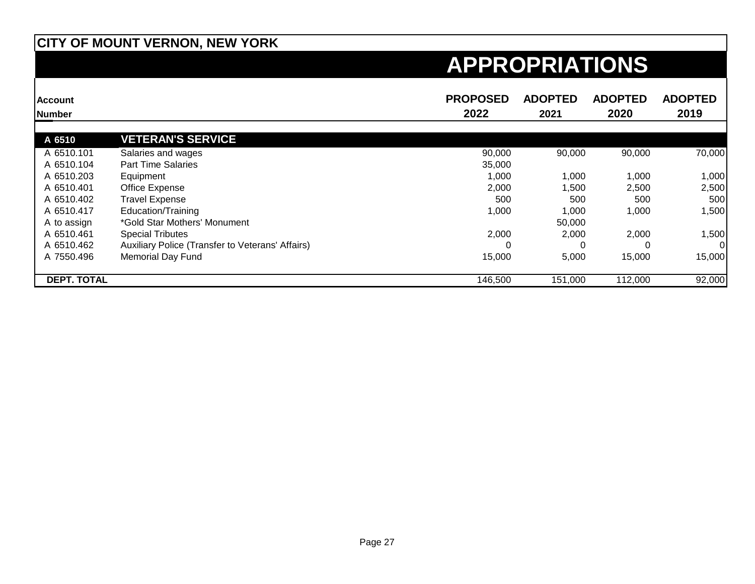| <b>Account</b>     |                                                  | <b>PROPOSED</b> | <b>ADOPTED</b> | <b>ADOPTED</b> | <b>ADOPTED</b> |
|--------------------|--------------------------------------------------|-----------------|----------------|----------------|----------------|
| <b>Number</b>      |                                                  | 2022            | 2021           | 2020           | 2019           |
| A 6510             | <b>VETERAN'S SERVICE</b>                         |                 |                |                |                |
| A 6510.101         | Salaries and wages                               | 90,000          | 90,000         | 90,000         | 70,000         |
| A 6510.104         | <b>Part Time Salaries</b>                        | 35,000          |                |                |                |
| A 6510.203         | Equipment                                        | 1,000           | 1,000          | 1,000          | 1,000          |
| A 6510.401         | Office Expense                                   | 2,000           | 1,500          | 2,500          | 2,500          |
| A 6510.402         | <b>Travel Expense</b>                            | 500             | 500            | 500            | 500            |
| A 6510.417         | Education/Training                               | 1,000           | 1,000          | 1,000          | 1,500          |
| A to assign        | *Gold Star Mothers' Monument                     |                 | 50,000         |                |                |
| A 6510.461         | <b>Special Tributes</b>                          | 2,000           | 2,000          | 2,000          | 1,500          |
| A 6510.462         | Auxiliary Police (Transfer to Veterans' Affairs) |                 |                | 0              | 01             |
| A 7550.496         | <b>Memorial Day Fund</b>                         | 15,000          | 5,000          | 15,000         | 15,000         |
| <b>DEPT. TOTAL</b> |                                                  | 146,500         | 151,000        | 112,000        | 92,000         |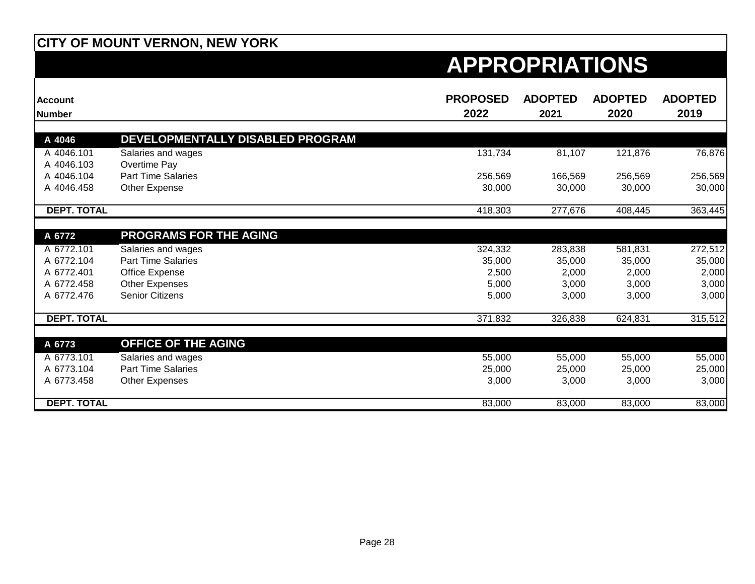| <b>Account</b><br><b>Number</b> |                                                 | <b>PROPOSED</b><br>2022 | <b>ADOPTED</b><br>2021 | <b>ADOPTED</b><br>2020 | <b>ADOPTED</b><br>2019 |
|---------------------------------|-------------------------------------------------|-------------------------|------------------------|------------------------|------------------------|
|                                 |                                                 |                         |                        |                        |                        |
| A 4046                          | DEVELOPMENTALLY DISABLED PROGRAM                |                         |                        |                        |                        |
| A 4046.101                      | Salaries and wages                              | 131,734                 | 81,107                 | 121,876                | 76,876                 |
| A 4046.103                      | Overtime Pay                                    |                         |                        |                        |                        |
| A 4046.104                      | <b>Part Time Salaries</b>                       | 256,569                 | 166,569                | 256,569                | 256,569                |
| A 4046.458                      | Other Expense                                   | 30,000                  | 30,000                 | 30,000                 | 30,000                 |
| <b>DEPT. TOTAL</b>              |                                                 | 418,303                 | 277,676                | 408,445                | 363,445                |
|                                 |                                                 |                         |                        |                        |                        |
| A 6772                          | <b>PROGRAMS FOR THE AGING</b>                   |                         |                        |                        |                        |
| A 6772.101                      | Salaries and wages                              | 324,332                 | 283,838                | 581,831                | 272,512                |
| A 6772.104                      | <b>Part Time Salaries</b>                       | 35,000                  | 35,000                 | 35,000                 | 35,000                 |
| A 6772.401                      | Office Expense                                  | 2,500                   | 2,000                  | 2,000                  | 2,000                  |
| A 6772.458                      | <b>Other Expenses</b>                           | 5,000                   | 3,000                  | 3,000                  | 3,000                  |
| A 6772.476                      | <b>Senior Citizens</b>                          | 5,000                   | 3,000                  | 3,000                  | 3,000                  |
| <b>DEPT. TOTAL</b>              |                                                 | 371,832                 | 326,838                | 624,831                | 315,512                |
| A 6773                          | <b>OFFICE OF THE AGING</b>                      |                         |                        |                        |                        |
| A 6773.101                      |                                                 |                         |                        |                        |                        |
| A 6773.104                      | Salaries and wages<br><b>Part Time Salaries</b> | 55,000<br>25,000        | 55,000                 | 55,000                 | 55,000                 |
|                                 |                                                 |                         | 25,000                 | 25,000                 | 25,000                 |
| A 6773.458                      | Other Expenses                                  | 3,000                   | 3,000                  | 3,000                  | 3,000                  |
| <b>DEPT. TOTAL</b>              |                                                 | 83,000                  | 83,000                 | 83,000                 | 83,000                 |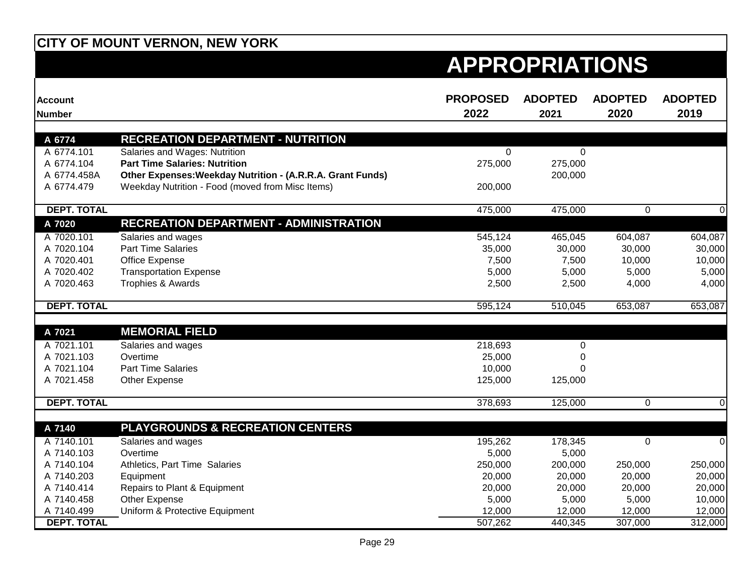| <b>Account</b><br><b>Number</b> |                                                                           | <b>PROPOSED</b><br>2022 | <b>ADOPTED</b><br>2021 | <b>ADOPTED</b><br>2020 | <b>ADOPTED</b><br>2019 |
|---------------------------------|---------------------------------------------------------------------------|-------------------------|------------------------|------------------------|------------------------|
|                                 |                                                                           |                         |                        |                        |                        |
| A 6774<br>A 6774.101            | <b>RECREATION DEPARTMENT - NUTRITION</b><br>Salaries and Wages: Nutrition | $\Omega$                | $\Omega$               |                        |                        |
| A 6774.104                      | <b>Part Time Salaries: Nutrition</b>                                      | 275,000                 | 275,000                |                        |                        |
| A 6774.458A                     | Other Expenses: Weekday Nutrition - (A.R.R.A. Grant Funds)                |                         | 200,000                |                        |                        |
| A 6774.479                      | Weekday Nutrition - Food (moved from Misc Items)                          | 200,000                 |                        |                        |                        |
| <b>DEPT. TOTAL</b>              |                                                                           | 475,000                 | 475,000                | $\Omega$               | $\mathbf 0$            |
| A 7020                          | <b>RECREATION DEPARTMENT - ADMINISTRATION</b>                             |                         |                        |                        |                        |
| A 7020.101                      | Salaries and wages                                                        | 545,124                 | 465,045                | 604,087                | 604,087                |
| A 7020.104                      | <b>Part Time Salaries</b>                                                 | 35,000                  | 30,000                 | 30,000                 | 30,000                 |
| A 7020.401                      | Office Expense                                                            | 7,500                   | 7,500                  | 10,000                 | 10,000                 |
| A 7020.402                      | <b>Transportation Expense</b>                                             | 5,000                   | 5,000                  | 5,000                  | 5,000                  |
| A 7020.463                      | Trophies & Awards                                                         | 2,500                   | 2,500                  | 4,000                  | 4,000                  |
| <b>DEPT. TOTAL</b>              |                                                                           | 595,124                 | 510,045                | 653,087                | 653,087                |
|                                 |                                                                           |                         |                        |                        |                        |
| A 7021                          | <b>MEMORIAL FIELD</b>                                                     |                         |                        |                        |                        |
| A 7021.101                      | Salaries and wages                                                        | 218,693                 | $\mathbf 0$            |                        |                        |
| A 7021.103                      | Overtime<br><b>Part Time Salaries</b>                                     | 25,000                  | $\Omega$               |                        |                        |
| A 7021.104                      |                                                                           | 10,000                  | $\Omega$               |                        |                        |
| A 7021.458                      | Other Expense                                                             | 125,000                 | 125,000                |                        |                        |
| <b>DEPT. TOTAL</b>              |                                                                           | 378,693                 | 125,000                | 0                      | $\overline{0}$         |
| A 7140                          | <b>PLAYGROUNDS &amp; RECREATION CENTERS</b>                               |                         |                        |                        |                        |
| A 7140.101                      | Salaries and wages                                                        | 195,262                 | 178,345                | 0                      | $\mathbf 0$            |
| A 7140.103                      | Overtime                                                                  | 5,000                   | 5,000                  |                        |                        |
| A 7140.104                      | Athletics, Part Time Salaries                                             | 250,000                 | 200,000                | 250,000                | 250,000                |
| A 7140.203                      | Equipment                                                                 | 20,000                  | 20,000                 | 20,000                 | 20,000                 |
| A 7140.414                      | Repairs to Plant & Equipment                                              | 20,000                  | 20,000                 | 20,000                 | 20,000                 |
| A 7140.458                      | Other Expense                                                             | 5,000                   | 5,000                  | 5,000                  | 10,000                 |
| A 7140.499                      | Uniform & Protective Equipment                                            | 12,000                  | 12,000                 | 12,000                 | 12,000                 |
| <b>DEPT. TOTAL</b>              |                                                                           | 507,262                 | 440,345                | 307,000                | 312,000                |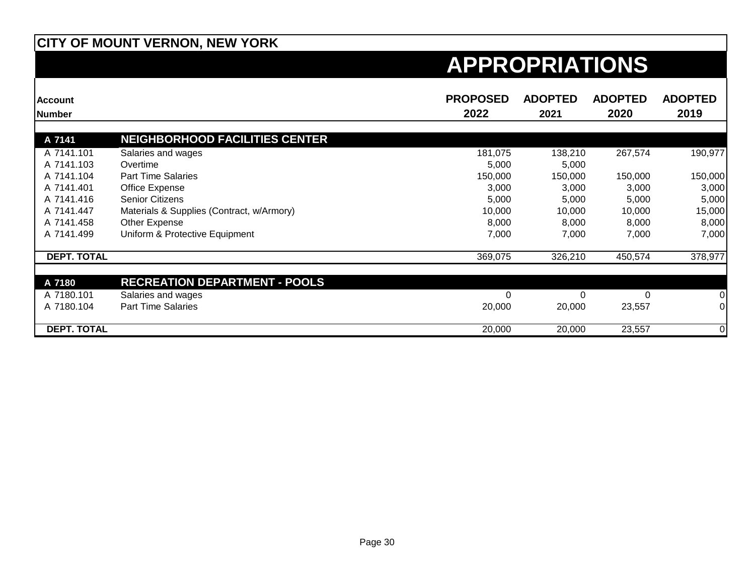| <b>Account</b>     |                                           | <b>PROPOSED</b> | <b>ADOPTED</b> | <b>ADOPTED</b> | <b>ADOPTED</b> |
|--------------------|-------------------------------------------|-----------------|----------------|----------------|----------------|
| Number             |                                           | 2022            | 2021           | 2020           | 2019           |
|                    |                                           |                 |                |                |                |
| A 7141             | <b>NEIGHBORHOOD FACILITIES CENTER</b>     |                 |                |                |                |
| A 7141.101         | Salaries and wages                        | 181,075         | 138,210        | 267,574        | 190,977        |
| A 7141.103         | Overtime                                  | 5,000           | 5,000          |                |                |
| A 7141.104         | <b>Part Time Salaries</b>                 | 150,000         | 150,000        | 150,000        | 150,000        |
| A 7141.401         | Office Expense                            | 3,000           | 3,000          | 3,000          | 3,000          |
| A 7141.416         | <b>Senior Citizens</b>                    | 5,000           | 5,000          | 5,000          | 5,000          |
| A 7141.447         | Materials & Supplies (Contract, w/Armory) | 10,000          | 10,000         | 10,000         | 15,000         |
| A 7141.458         | Other Expense                             | 8,000           | 8,000          | 8,000          | 8,000          |
| A 7141.499         | Uniform & Protective Equipment            | 7,000           | 7,000          | 7,000          | 7,000          |
| <b>DEPT. TOTAL</b> |                                           | 369,075         | 326,210        | 450,574        | 378,977        |
|                    | <b>RECREATION DEPARTMENT - POOLS</b>      |                 |                |                |                |
| A 7180             |                                           |                 |                |                |                |
| A 7180.101         | Salaries and wages                        |                 |                | 0              | 0              |
| A 7180.104         | <b>Part Time Salaries</b>                 | 20,000          | 20,000         | 23,557         | 0              |
| <b>DEPT. TOTAL</b> |                                           | 20,000          | 20,000         | 23,557         | 0              |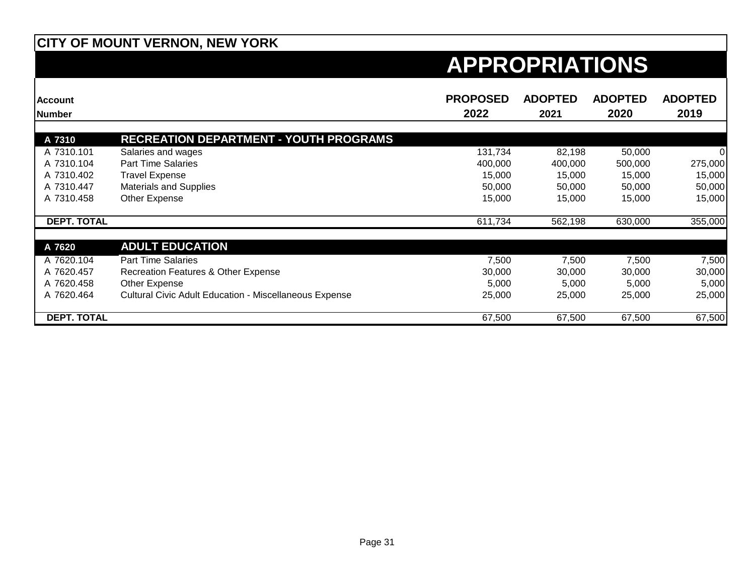| <b>Account</b>     |                                                               | <b>PROPOSED</b> | <b>ADOPTED</b> | <b>ADOPTED</b> | <b>ADOPTED</b> |
|--------------------|---------------------------------------------------------------|-----------------|----------------|----------------|----------------|
| <b>INumber</b>     |                                                               | 2022            | 2021           | 2020           | 2019           |
|                    |                                                               |                 |                |                |                |
| A 7310             | <b>RECREATION DEPARTMENT - YOUTH PROGRAMS</b>                 |                 |                |                |                |
| A 7310.101         | Salaries and wages                                            | 131,734         | 82,198         | 50,000         | 0              |
| A 7310.104         | <b>Part Time Salaries</b>                                     | 400,000         | 400,000        | 500,000        | 275,000        |
| A 7310.402         | <b>Travel Expense</b>                                         | 15,000          | 15,000         | 15,000         | 15,000         |
| A 7310.447         | <b>Materials and Supplies</b>                                 | 50,000          | 50,000         | 50,000         | 50,000         |
| A 7310.458         | Other Expense                                                 | 15,000          | 15,000         | 15,000         | 15,000         |
| <b>DEPT. TOTAL</b> |                                                               | 611,734         | 562,198        | 630,000        | 355,000        |
| A 7620             | <b>ADULT EDUCATION</b>                                        |                 |                |                |                |
| A 7620.104         | <b>Part Time Salaries</b>                                     | 7,500           | 7,500          | 7,500          | 7,500          |
| A 7620.457         | Recreation Features & Other Expense                           | 30,000          | 30,000         | 30,000         | 30,000         |
| A 7620.458         | Other Expense                                                 | 5,000           | 5,000          | 5,000          | 5,000          |
| A 7620.464         | <b>Cultural Civic Adult Education - Miscellaneous Expense</b> | 25,000          | 25,000         | 25,000         | 25,000         |
| <b>DEPT. TOTAL</b> |                                                               | 67,500          | 67,500         | 67,500         | 67,500         |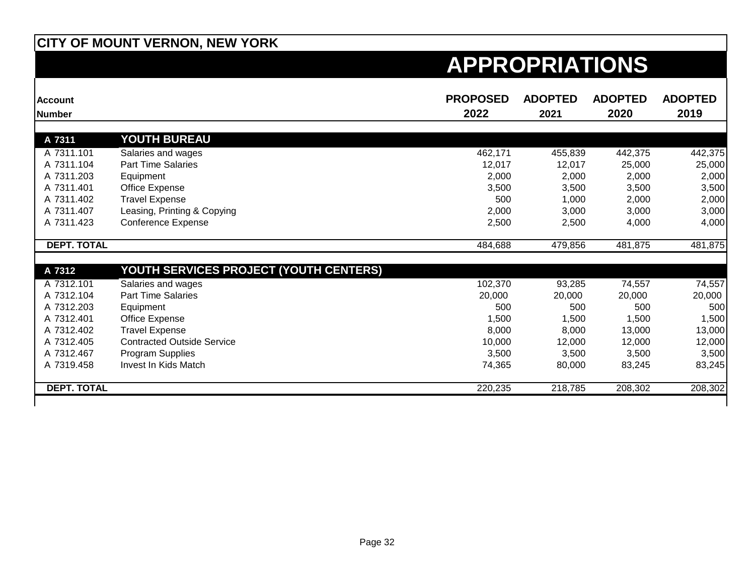| <b>Account</b><br><b>Number</b> |                                               | <b>PROPOSED</b><br>2022 | <b>ADOPTED</b><br>2021 | <b>ADOPTED</b><br>2020 | <b>ADOPTED</b><br>2019 |
|---------------------------------|-----------------------------------------------|-------------------------|------------------------|------------------------|------------------------|
| A 7311                          | <b>YOUTH BUREAU</b>                           |                         |                        |                        |                        |
| A 7311.101                      | Salaries and wages                            | 462,171                 | 455,839                | 442,375                | 442,375                |
| A 7311.104                      | <b>Part Time Salaries</b>                     | 12,017                  | 12,017                 | 25,000                 | 25,000                 |
| A 7311.203                      | Equipment                                     | 2,000                   | 2,000                  | 2,000                  | 2,000                  |
| A 7311.401                      | Office Expense                                | 3,500                   | 3,500                  | 3,500                  | 3,500                  |
| A 7311.402                      | <b>Travel Expense</b>                         | 500                     | 1,000                  | 2,000                  | 2,000                  |
| A 7311.407                      | Leasing, Printing & Copying                   | 2,000                   | 3,000                  | 3,000                  | 3,000                  |
| A 7311.423                      | <b>Conference Expense</b>                     | 2,500                   | 2,500                  | 4,000                  | 4,000                  |
| <b>DEPT. TOTAL</b>              |                                               | 484,688                 | 479,856                | 481,875                | 481,875                |
| A 7312                          | <u>YOUTH SERVICES PROJECT (YOUTH CENTERS)</u> |                         |                        |                        |                        |
| A 7312.101                      | Salaries and wages                            | 102,370                 | 93,285                 | 74,557                 | 74,557                 |
| A 7312.104                      | <b>Part Time Salaries</b>                     | 20,000                  | 20,000                 | 20,000                 | 20,000                 |
| A 7312.203                      | Equipment                                     | 500                     | 500                    | 500                    | 500                    |
| A 7312.401                      | Office Expense                                | 1,500                   | 1,500                  | 1,500                  | 1,500                  |
| A 7312.402                      | <b>Travel Expense</b>                         | 8,000                   | 8,000                  | 13,000                 | 13,000                 |
| A 7312.405                      | <b>Contracted Outside Service</b>             | 10,000                  | 12,000                 | 12,000                 | 12,000                 |
| A 7312.467                      | Program Supplies                              | 3,500                   | 3,500                  | 3,500                  | 3,500                  |
| A 7319.458                      | Invest In Kids Match                          | 74,365                  | 80,000                 | 83,245                 | 83,245                 |
| <b>DEPT. TOTAL</b>              |                                               | 220,235                 | 218,785                | 208,302                | 208,302                |
|                                 |                                               |                         |                        |                        |                        |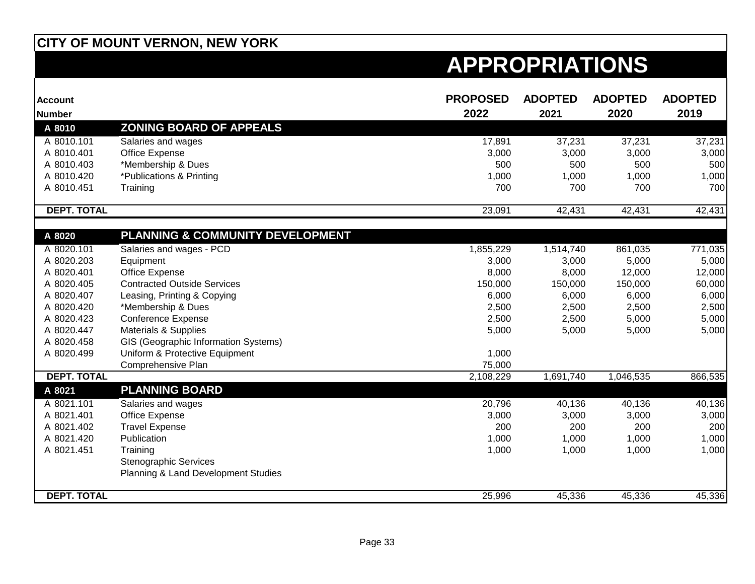| <b>Account</b>     |                                      | <b>PROPOSED</b> | <b>ADOPTED</b> | <b>ADOPTED</b> | <b>ADOPTED</b> |
|--------------------|--------------------------------------|-----------------|----------------|----------------|----------------|
| <b>Number</b>      |                                      | 2022            | 2021           | 2020           | 2019           |
| A 8010             | <b>ZONING BOARD OF APPEALS</b>       |                 |                |                |                |
| A 8010.101         | Salaries and wages                   | 17,891          | 37,231         | 37,231         | 37,231         |
| A 8010.401         | Office Expense                       | 3,000           | 3,000          | 3,000          | 3,000          |
| A 8010.403         | *Membership & Dues                   | 500             | 500            | 500            | 500            |
| A 8010.420         | *Publications & Printing             | 1,000           | 1,000          | 1,000          | 1,000          |
| A 8010.451         | Training                             | 700             | 700            | 700            | 700            |
| <b>DEPT. TOTAL</b> |                                      | 23,091          | 42,431         | 42,431         | 42,431         |
|                    |                                      |                 |                |                |                |
| A 8020             | PLANNING & COMMUNITY DEVELOPMENT     |                 |                |                |                |
| A 8020.101         | Salaries and wages - PCD             | 1,855,229       | 1,514,740      | 861,035        | 771,035        |
| A 8020.203         | Equipment                            | 3,000           | 3,000          | 5,000          | 5,000          |
| A 8020.401         | Office Expense                       | 8,000           | 8,000          | 12,000         | 12,000         |
| A 8020.405         | <b>Contracted Outside Services</b>   | 150,000         | 150,000        | 150,000        | 60,000         |
| A 8020.407         | Leasing, Printing & Copying          | 6,000           | 6,000          | 6,000          | 6,000          |
| A 8020.420         | *Membership & Dues                   | 2,500           | 2,500          | 2,500          | 2,500          |
| A 8020.423         | <b>Conference Expense</b>            | 2,500           | 2,500          | 5,000          | 5,000          |
| A 8020.447         | Materials & Supplies                 | 5,000           | 5,000          | 5,000          | 5,000          |
| A 8020.458         | GIS (Geographic Information Systems) |                 |                |                |                |
| A 8020.499         | Uniform & Protective Equipment       | 1,000           |                |                |                |
|                    | Comprehensive Plan                   | 75,000          |                |                |                |
| <b>DEPT. TOTAL</b> |                                      | 2,108,229       | 1,691,740      | 1,046,535      | 866,535        |
| A 8021             | <b>PLANNING BOARD</b>                |                 |                |                |                |
| A 8021.101         | Salaries and wages                   | 20,796          | 40,136         | 40,136         | 40,136         |
| A 8021.401         | Office Expense                       | 3,000           | 3,000          | 3,000          | 3,000          |
| A 8021.402         | <b>Travel Expense</b>                | 200             | 200            | 200            | 200            |
| A 8021.420         | Publication                          | 1,000           | 1,000          | 1,000          | 1,000          |
| A 8021.451         | Training                             | 1,000           | 1,000          | 1,000          | 1,000          |
|                    | <b>Stenographic Services</b>         |                 |                |                |                |
|                    | Planning & Land Development Studies  |                 |                |                |                |
| <b>DEPT. TOTAL</b> |                                      | 25,996          | 45,336         | 45,336         | 45,336         |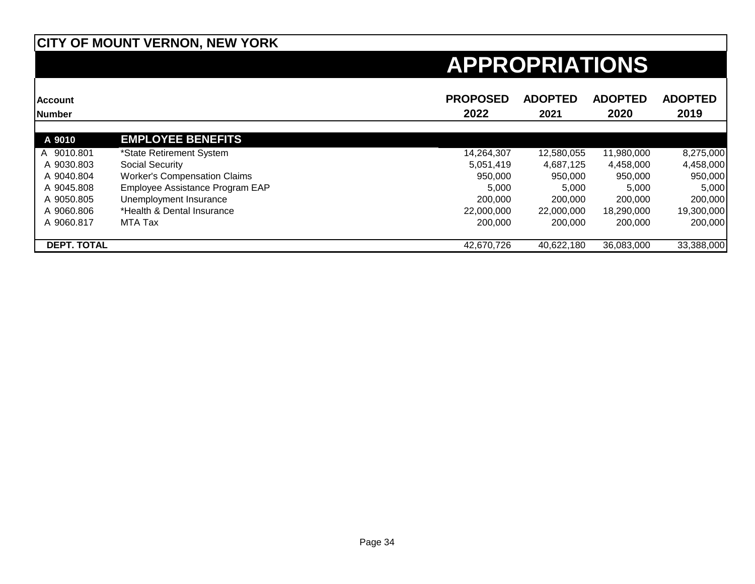| <b>Account</b><br>Number |                                     | <b>PROPOSED</b><br>2022 | <b>ADOPTED</b><br>2021 | <b>ADOPTED</b><br>2020 | <b>ADOPTED</b><br>2019 |
|--------------------------|-------------------------------------|-------------------------|------------------------|------------------------|------------------------|
| A 9010                   | <b>EMPLOYEE BENEFITS</b>            |                         |                        |                        |                        |
| A 9010.801               | *State Retirement System            | 14,264,307              | 12,580,055             | 11,980,000             | 8,275,000              |
| A 9030.803               | Social Security                     | 5,051,419               | 4,687,125              | 4,458,000              | 4,458,000              |
| A 9040.804               | <b>Worker's Compensation Claims</b> | 950.000                 | 950.000                | 950.000                | 950,000                |
| A 9045.808               | Employee Assistance Program EAP     | 5.000                   | 5.000                  | 5,000                  | 5,000                  |
| A 9050.805               | Unemployment Insurance              | 200,000                 | 200,000                | 200,000                | 200,000                |
| A 9060.806               | *Health & Dental Insurance          | 22,000,000              | 22,000,000             | 18.290.000             | 19,300,000             |
| A 9060.817               | MTA Tax                             | 200,000                 | 200,000                | 200,000                | 200,000                |
| <b>DEPT. TOTAL</b>       |                                     | 42,670,726              | 40.622.180             | 36,083,000             | 33,388,000             |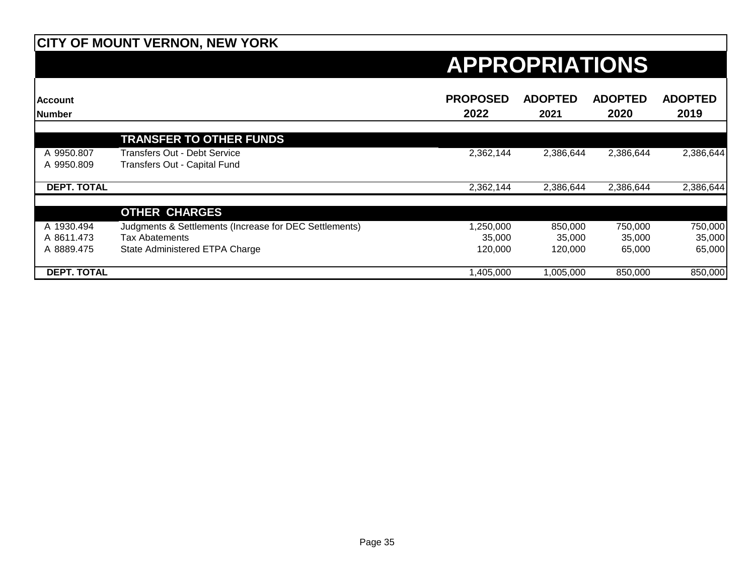| <b>Account</b><br>Number |                                                        | <b>PROPOSED</b><br>2022 | <b>ADOPTED</b><br>2021 | <b>ADOPTED</b><br>2020 | <b>ADOPTED</b><br>2019 |
|--------------------------|--------------------------------------------------------|-------------------------|------------------------|------------------------|------------------------|
|                          |                                                        |                         |                        |                        |                        |
|                          | <b>TRANSFER TO OTHER FUNDS</b>                         |                         |                        |                        |                        |
| A 9950.807               | Transfers Out - Debt Service                           | 2,362,144               | 2,386,644              | 2,386,644              | 2,386,644              |
| A 9950.809               | Transfers Out - Capital Fund                           |                         |                        |                        |                        |
| <b>DEPT. TOTAL</b>       |                                                        | 2,362,144               | 2,386,644              | 2,386,644              | 2,386,644              |
|                          |                                                        |                         |                        |                        |                        |
|                          | <b>OTHER CHARGES</b>                                   |                         |                        |                        |                        |
| A 1930.494               | Judgments & Settlements (Increase for DEC Settlements) | 250,000,                | 850,000                | 750,000                | 750,000                |
| A 8611.473               | <b>Tax Abatements</b>                                  | 35,000                  | 35,000                 | 35,000                 | 35,000                 |
| A 8889.475               | State Administered ETPA Charge                         | 120,000                 | 120,000                | 65,000                 | 65,000                 |
| <b>DEPT. TOTAL</b>       |                                                        | .405.000                | 1,005,000              | 850,000                | 850,000                |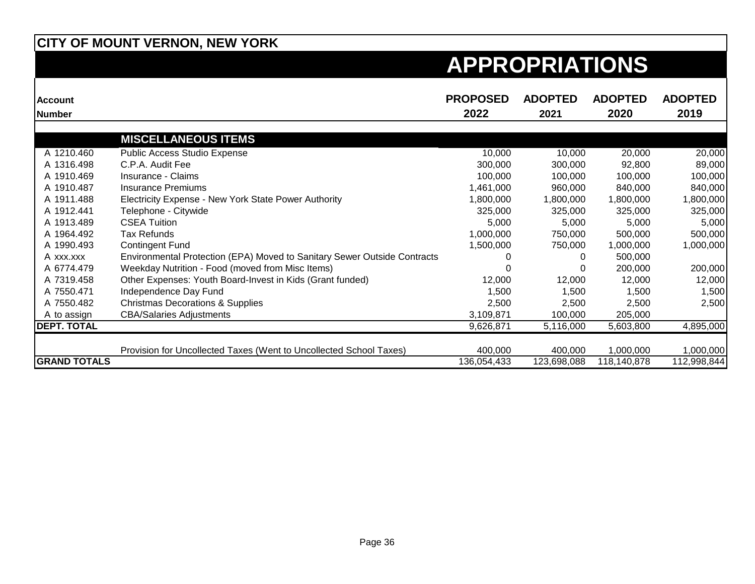| <b>Account</b>      |                                                                          | <b>PROPOSED</b> | <b>ADOPTED</b> | <b>ADOPTED</b> | <b>ADOPTED</b> |
|---------------------|--------------------------------------------------------------------------|-----------------|----------------|----------------|----------------|
| <b>Number</b>       |                                                                          | 2022            | 2021           | 2020           | 2019           |
|                     | <b>MISCELLANEOUS ITEMS</b>                                               |                 |                |                |                |
| A 1210.460          | Public Access Studio Expense                                             | 10,000          | 10,000         | 20,000         | 20,000         |
| A 1316.498          | C.P.A. Audit Fee                                                         | 300,000         | 300,000        | 92,800         | 89,000         |
| A 1910.469          | Insurance - Claims                                                       | 100,000         | 100,000        | 100,000        | 100,000        |
| A 1910.487          | <b>Insurance Premiums</b>                                                | 1,461,000       | 960,000        | 840,000        | 840,000        |
| A 1911.488          | Electricity Expense - New York State Power Authority                     | 1,800,000       | 1,800,000      | 1,800,000      | 1,800,000      |
| A 1912.441          | Telephone - Citywide                                                     | 325,000         | 325,000        | 325,000        | 325,000        |
| A 1913.489          | <b>CSEA Tuition</b>                                                      | 5,000           | 5,000          | 5,000          | 5,000          |
| A 1964.492          | <b>Tax Refunds</b>                                                       | 1,000,000       | 750,000        | 500,000        | 500,000        |
| A 1990.493          | <b>Contingent Fund</b>                                                   | 1,500,000       | 750,000        | 1,000,000      | 1,000,000      |
| A xxx.xxx           | Environmental Protection (EPA) Moved to Sanitary Sewer Outside Contracts |                 | 0              | 500,000        |                |
| A 6774.479          | Weekday Nutrition - Food (moved from Misc Items)                         |                 |                | 200,000        | 200,000        |
| A 7319.458          | Other Expenses: Youth Board-Invest in Kids (Grant funded)                | 12,000          | 12,000         | 12,000         | 12,000         |
| A 7550.471          | Independence Day Fund                                                    | 1,500           | 1,500          | 1,500          | 1,500          |
| A 7550.482          | <b>Christmas Decorations &amp; Supplies</b>                              | 2,500           | 2,500          | 2,500          | 2,500          |
| A to assign         | <b>CBA/Salaries Adjustments</b>                                          | 3,109,871       | 100,000        | 205,000        |                |
| <b>DEPT. TOTAL</b>  |                                                                          | 9,626,871       | 5,116,000      | 5,603,800      | 4,895,000      |
|                     | Provision for Uncollected Taxes (Went to Uncollected School Taxes)       | 400,000         | 400,000        | 1,000,000      | 1,000,000      |
| <b>GRAND TOTALS</b> |                                                                          | 136,054,433     | 123,698,088    | 118,140,878    | 112,998,844    |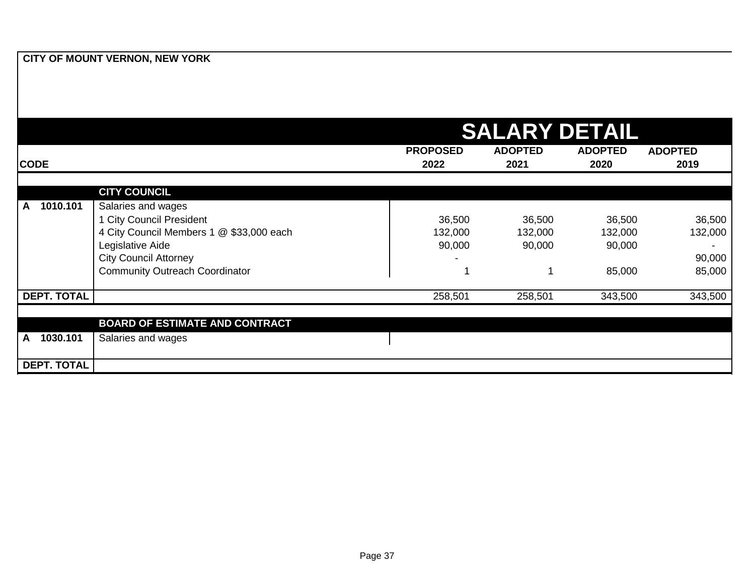|                    |                                          |                         | <b>SALARY DETAIL</b>   |                        |                        |
|--------------------|------------------------------------------|-------------------------|------------------------|------------------------|------------------------|
| <b>CODE</b>        |                                          | <b>PROPOSED</b><br>2022 | <b>ADOPTED</b><br>2021 | <b>ADOPTED</b><br>2020 | <b>ADOPTED</b><br>2019 |
|                    | <b>CITY COUNCIL</b>                      |                         |                        |                        |                        |
| 1010.101<br>A      | Salaries and wages                       |                         |                        |                        |                        |
|                    | 1 City Council President                 | 36,500                  | 36,500                 | 36,500                 | 36,500                 |
|                    | 4 City Council Members 1 @ \$33,000 each | 132,000                 | 132,000                | 132,000                | 132,000                |
|                    | Legislative Aide                         | 90,000                  | 90,000                 | 90,000                 |                        |
|                    | <b>City Council Attorney</b>             |                         |                        |                        | 90,000                 |
|                    | <b>Community Outreach Coordinator</b>    |                         |                        | 85,000                 | 85,000                 |
| <b>DEPT. TOTAL</b> |                                          | 258,501                 | 258,501                | 343,500                | 343,500                |
|                    |                                          |                         |                        |                        |                        |
|                    | <b>BOARD OF ESTIMATE AND CONTRACT</b>    |                         |                        |                        |                        |
| 1030.101<br>A      | Salaries and wages                       |                         |                        |                        |                        |
| <b>DEPT. TOTAL</b> |                                          |                         |                        |                        |                        |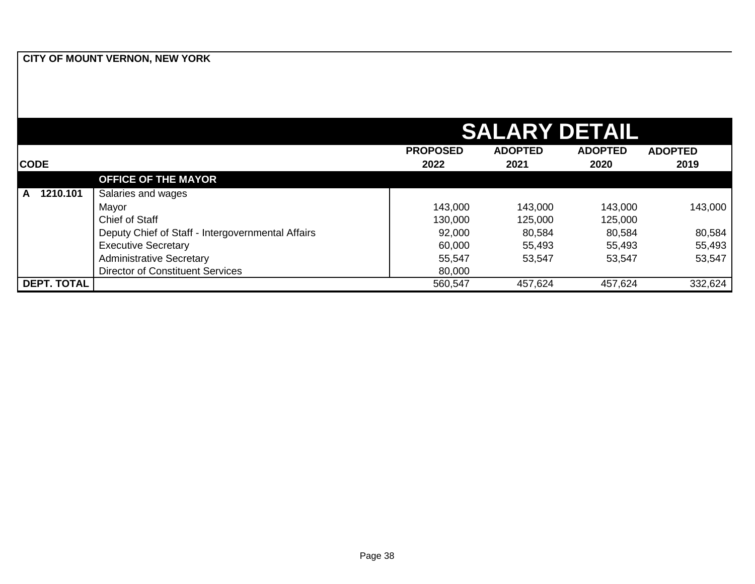|                    |                                                   |                 | <b>SALARY DETAIL</b> |                |                |
|--------------------|---------------------------------------------------|-----------------|----------------------|----------------|----------------|
|                    |                                                   | <b>PROPOSED</b> | <b>ADOPTED</b>       | <b>ADOPTED</b> | <b>ADOPTED</b> |
| <b>CODE</b>        |                                                   | 2022            | 2021                 | 2020           | 2019           |
|                    | <b>OFFICE OF THE MAYOR</b>                        |                 |                      |                |                |
| 1210.101<br>A      | Salaries and wages                                |                 |                      |                |                |
|                    | Mayor                                             | 143,000         | 143,000              | 143,000        | 143,000        |
|                    | Chief of Staff                                    | 130,000         | 125,000              | 125,000        |                |
|                    | Deputy Chief of Staff - Intergovernmental Affairs | 92,000          | 80,584               | 80,584         | 80,584         |
|                    | <b>Executive Secretary</b>                        | 60,000          | 55,493               | 55,493         | 55,493         |
|                    | <b>Administrative Secretary</b>                   | 55,547          | 53,547               | 53,547         | 53,547         |
|                    | <b>Director of Constituent Services</b>           | 80,000          |                      |                |                |
| <b>DEPT. TOTAL</b> |                                                   | 560,547         | 457,624              | 457,624        | 332,624        |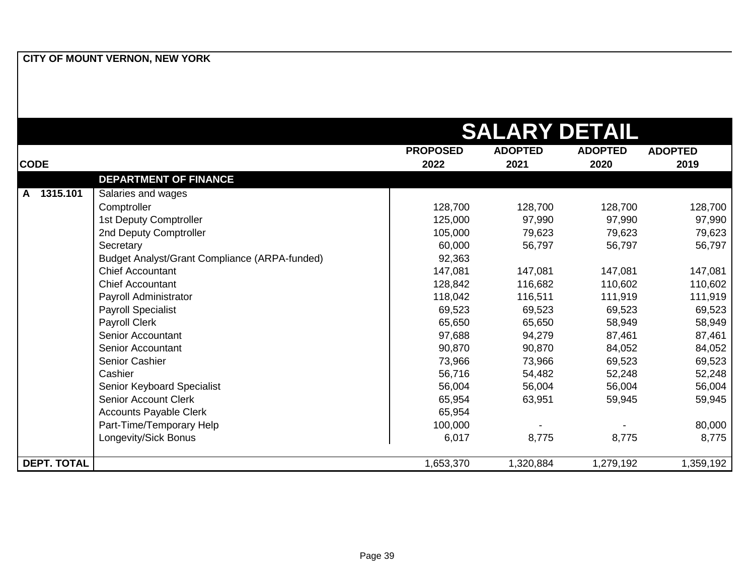|                    |                                               |                 | <b>SALARY DETAIL</b> |                |                |
|--------------------|-----------------------------------------------|-----------------|----------------------|----------------|----------------|
|                    |                                               | <b>PROPOSED</b> | <b>ADOPTED</b>       | <b>ADOPTED</b> | <b>ADOPTED</b> |
| <b>CODE</b>        |                                               | 2022            | 2021                 | 2020           | 2019           |
|                    | <b>DEPARTMENT OF FINANCE</b>                  |                 |                      |                |                |
| 1315.101<br>A      | Salaries and wages                            |                 |                      |                |                |
|                    | Comptroller                                   | 128,700         | 128,700              | 128,700        | 128,700        |
|                    | 1st Deputy Comptroller                        | 125,000         | 97,990               | 97,990         | 97,990         |
|                    | 2nd Deputy Comptroller                        | 105,000         | 79,623               | 79,623         | 79,623         |
|                    | Secretary                                     | 60,000          | 56,797               | 56,797         | 56,797         |
|                    | Budget Analyst/Grant Compliance (ARPA-funded) | 92,363          |                      |                |                |
|                    | <b>Chief Accountant</b>                       | 147,081         | 147,081              | 147,081        | 147,081        |
|                    | <b>Chief Accountant</b>                       | 128,842         | 116,682              | 110,602        | 110,602        |
|                    | Payroll Administrator                         | 118,042         | 116,511              | 111,919        | 111,919        |
|                    | <b>Payroll Specialist</b>                     | 69,523          | 69,523               | 69,523         | 69,523         |
|                    | Payroll Clerk                                 | 65,650          | 65,650               | 58,949         | 58,949         |
|                    | Senior Accountant                             | 97,688          | 94,279               | 87,461         | 87,461         |
|                    | Senior Accountant                             | 90,870          | 90,870               | 84,052         | 84,052         |
|                    | Senior Cashier                                | 73,966          | 73,966               | 69,523         | 69,523         |
|                    | Cashier                                       | 56,716          | 54,482               | 52,248         | 52,248         |
|                    | Senior Keyboard Specialist                    | 56,004          | 56,004               | 56,004         | 56,004         |
|                    | <b>Senior Account Clerk</b>                   | 65,954          | 63,951               | 59,945         | 59,945         |
|                    | <b>Accounts Payable Clerk</b>                 | 65,954          |                      |                |                |
|                    | Part-Time/Temporary Help                      | 100,000         |                      |                | 80,000         |
|                    | Longevity/Sick Bonus                          | 6,017           | 8,775                | 8,775          | 8,775          |
| <b>DEPT. TOTAL</b> |                                               | 1,653,370       | 1,320,884            | 1,279,192      | 1,359,192      |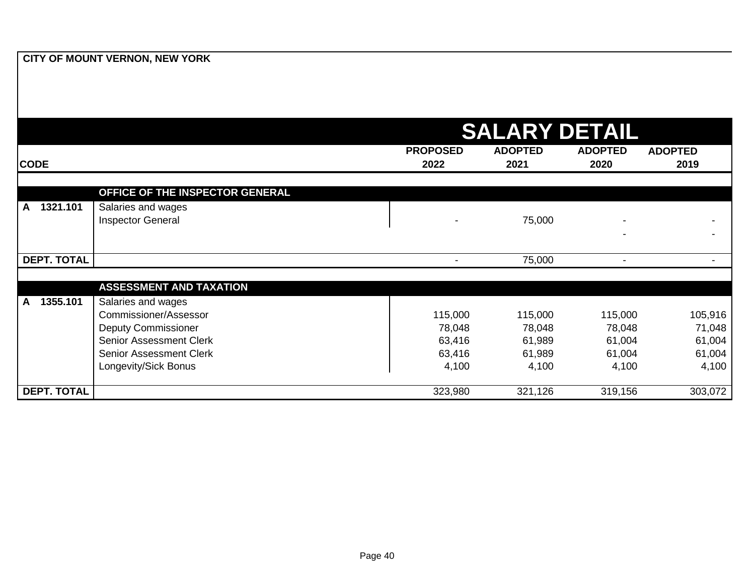|                          |                                                                                                                                                                |                                                | <b>SALARY DETAIL</b>                           |                                                |                                                |
|--------------------------|----------------------------------------------------------------------------------------------------------------------------------------------------------------|------------------------------------------------|------------------------------------------------|------------------------------------------------|------------------------------------------------|
| <b>CODE</b>              |                                                                                                                                                                | <b>PROPOSED</b><br>2022                        | <b>ADOPTED</b><br>2021                         | <b>ADOPTED</b><br>2020                         | <b>ADOPTED</b><br>2019                         |
|                          | OFFICE OF THE INSPECTOR GENERAL                                                                                                                                |                                                |                                                |                                                |                                                |
| 1321.101<br>$\mathbf{A}$ | Salaries and wages<br><b>Inspector General</b>                                                                                                                 |                                                | 75,000                                         |                                                |                                                |
| <b>DEPT. TOTAL</b>       |                                                                                                                                                                | $\blacksquare$                                 | 75,000                                         | $\blacksquare$                                 |                                                |
|                          | <b>ASSESSMENT AND TAXATION</b>                                                                                                                                 |                                                |                                                |                                                |                                                |
| 1355.101<br>A            | Salaries and wages<br>Commissioner/Assessor<br><b>Deputy Commissioner</b><br>Senior Assessment Clerk<br><b>Senior Assessment Clerk</b><br>Longevity/Sick Bonus | 115,000<br>78,048<br>63,416<br>63,416<br>4,100 | 115,000<br>78,048<br>61,989<br>61,989<br>4,100 | 115,000<br>78,048<br>61,004<br>61,004<br>4,100 | 105,916<br>71,048<br>61,004<br>61,004<br>4,100 |
| <b>DEPT. TOTAL</b>       |                                                                                                                                                                | 323,980                                        | 321,126                                        | 319,156                                        | 303,072                                        |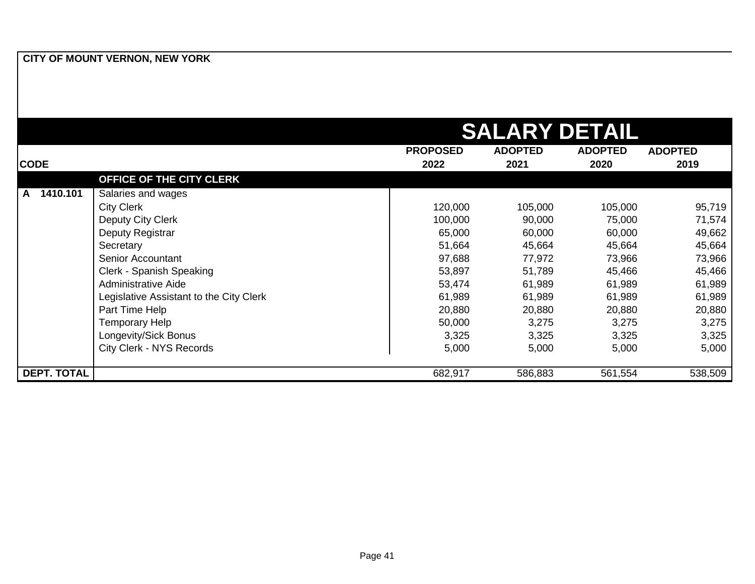|                    |                                         | <b>SALARY DETAIL</b> |                |                |                |
|--------------------|-----------------------------------------|----------------------|----------------|----------------|----------------|
|                    |                                         | <b>PROPOSED</b>      | <b>ADOPTED</b> | <b>ADOPTED</b> | <b>ADOPTED</b> |
| <b>CODE</b>        |                                         | 2022                 | 2021           | 2020           | 2019           |
|                    | OFFICE OF THE CITY CLERK                |                      |                |                |                |
| 1410.101<br>A      | Salaries and wages                      |                      |                |                |                |
|                    | <b>City Clerk</b>                       | 120,000              | 105,000        | 105,000        | 95,719         |
|                    | Deputy City Clerk                       | 100,000              | 90,000         | 75,000         | 71,574         |
|                    | Deputy Registrar                        | 65,000               | 60,000         | 60,000         | 49,662         |
|                    | Secretary                               | 51,664               | 45,664         | 45,664         | 45,664         |
|                    | Senior Accountant                       | 97,688               | 77,972         | 73,966         | 73,966         |
|                    | Clerk - Spanish Speaking                | 53,897               | 51,789         | 45,466         | 45,466         |
|                    | Administrative Aide                     | 53,474               | 61,989         | 61,989         | 61,989         |
|                    | Legislative Assistant to the City Clerk | 61,989               | 61,989         | 61,989         | 61,989         |
|                    | Part Time Help                          | 20,880               | 20,880         | 20,880         | 20,880         |
|                    | <b>Temporary Help</b>                   | 50,000               | 3,275          | 3,275          | 3,275          |
|                    | Longevity/Sick Bonus                    | 3,325                | 3,325          | 3,325          | 3,325          |
|                    | City Clerk - NYS Records                | 5,000                | 5,000          | 5,000          | 5,000          |
| <b>DEPT. TOTAL</b> |                                         | 682,917              | 586,883        | 561,554        | 538,509        |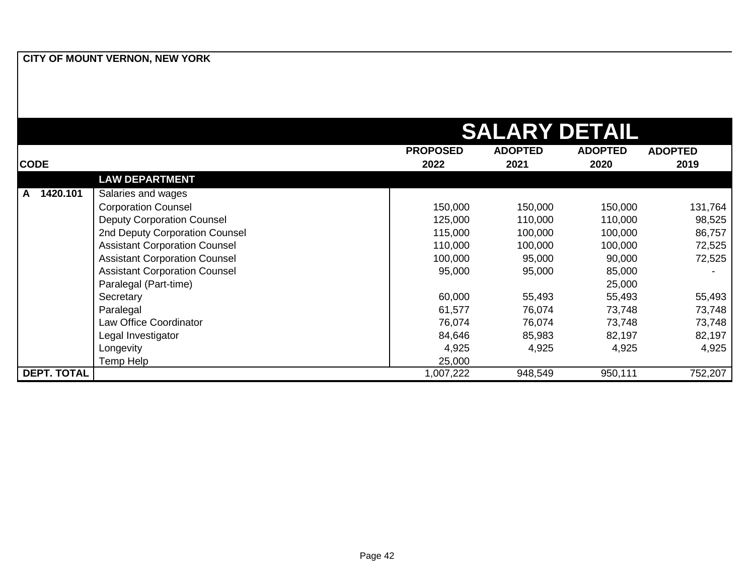|                    |                                      |                 | <b>SALARY DETAIL</b> |                |                |
|--------------------|--------------------------------------|-----------------|----------------------|----------------|----------------|
|                    |                                      | <b>PROPOSED</b> | <b>ADOPTED</b>       | <b>ADOPTED</b> | <b>ADOPTED</b> |
| <b>CODE</b>        |                                      | 2022            | 2021                 | 2020           | 2019           |
|                    | <b>LAW DEPARTMENT</b>                |                 |                      |                |                |
| 1420.101<br>A      | Salaries and wages                   |                 |                      |                |                |
|                    | <b>Corporation Counsel</b>           | 150,000         | 150,000              | 150,000        | 131,764        |
|                    | <b>Deputy Corporation Counsel</b>    | 125,000         | 110,000              | 110,000        | 98,525         |
|                    | 2nd Deputy Corporation Counsel       | 115,000         | 100,000              | 100,000        | 86,757         |
|                    | <b>Assistant Corporation Counsel</b> | 110,000         | 100,000              | 100,000        | 72,525         |
|                    | <b>Assistant Corporation Counsel</b> | 100,000         | 95,000               | 90,000         | 72,525         |
|                    | <b>Assistant Corporation Counsel</b> | 95,000          | 95,000               | 85,000         |                |
|                    | Paralegal (Part-time)                |                 |                      | 25,000         |                |
|                    | Secretary                            | 60,000          | 55,493               | 55,493         | 55,493         |
|                    | Paralegal                            | 61,577          | 76,074               | 73,748         | 73,748         |
|                    | Law Office Coordinator               | 76,074          | 76,074               | 73,748         | 73,748         |
|                    | Legal Investigator                   | 84,646          | 85,983               | 82,197         | 82,197         |
|                    | Longevity                            | 4,925           | 4,925                | 4,925          | 4,925          |
|                    | Temp Help                            | 25,000          |                      |                |                |
| <b>DEPT. TOTAL</b> |                                      | 1,007,222       | 948,549              | 950,111        | 752,207        |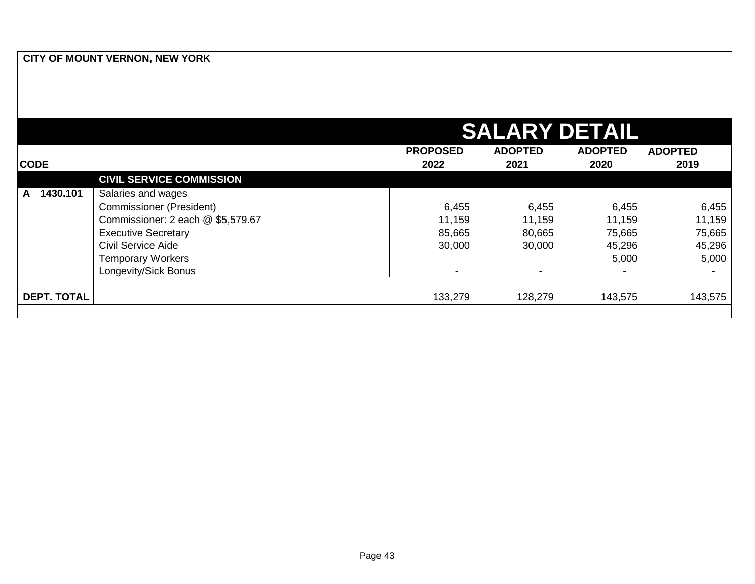|                    |                                   |                 | <b>SALARY DETAIL</b> |                |                |
|--------------------|-----------------------------------|-----------------|----------------------|----------------|----------------|
|                    |                                   | <b>PROPOSED</b> | <b>ADOPTED</b>       | <b>ADOPTED</b> | <b>ADOPTED</b> |
| <b>CODE</b>        |                                   | 2022            | 2021                 | 2020           | 2019           |
|                    | <b>CIVIL SERVICE COMMISSION</b>   |                 |                      |                |                |
| 1430.101<br>A      | Salaries and wages                |                 |                      |                |                |
|                    | <b>Commissioner (President)</b>   | 6,455           | 6,455                | 6,455          | 6,455          |
|                    | Commissioner: 2 each @ \$5,579.67 | 11,159          | 11,159               | 11,159         | 11,159         |
|                    | <b>Executive Secretary</b>        | 85,665          | 80,665               | 75,665         | 75,665         |
|                    | <b>Civil Service Aide</b>         | 30,000          | 30,000               | 45,296         | 45,296         |
|                    | <b>Temporary Workers</b>          |                 |                      | 5,000          | 5,000          |
|                    | Longevity/Sick Bonus              |                 |                      |                |                |
| <b>DEPT. TOTAL</b> |                                   | 133,279         | 128,279              | 143,575        | 143,575        |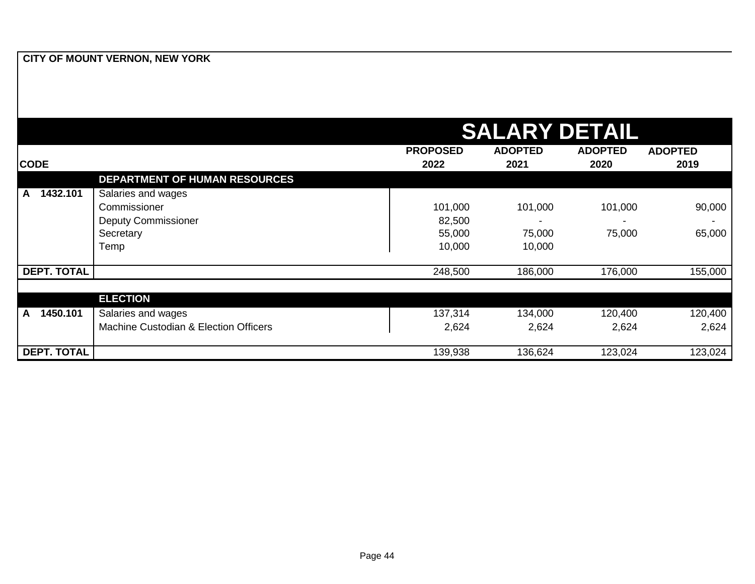|                          |                                       |                 | <b>SALARY DETAIL</b> |                |                |
|--------------------------|---------------------------------------|-----------------|----------------------|----------------|----------------|
|                          |                                       | <b>PROPOSED</b> | <b>ADOPTED</b>       | <b>ADOPTED</b> | <b>ADOPTED</b> |
| <b>CODE</b>              |                                       | 2022            | 2021                 | 2020           | 2019           |
|                          | <b>DEPARTMENT OF HUMAN RESOURCES</b>  |                 |                      |                |                |
| 1432.101<br>A            | Salaries and wages                    |                 |                      |                |                |
|                          | Commissioner                          | 101,000         | 101,000              | 101,000        | 90,000         |
|                          | <b>Deputy Commissioner</b>            | 82,500          |                      |                |                |
|                          | Secretary                             | 55,000          | 75,000               | 75,000         | 65,000         |
|                          | Temp                                  | 10,000          | 10,000               |                |                |
|                          |                                       |                 |                      |                |                |
| <b>DEPT. TOTAL</b>       |                                       | 248,500         | 186,000              | 176,000        | 155,000        |
|                          |                                       |                 |                      |                |                |
|                          | <b>ELECTION</b>                       |                 |                      |                |                |
| 1450.101<br>$\mathsf{A}$ | Salaries and wages                    | 137,314         | 134,000              | 120,400        | 120,400        |
|                          | Machine Custodian & Election Officers | 2,624           | 2,624                | 2,624          | 2,624          |
|                          |                                       |                 |                      |                |                |
| <b>DEPT. TOTAL</b>       |                                       | 139,938         | 136,624              | 123,024        | 123,024        |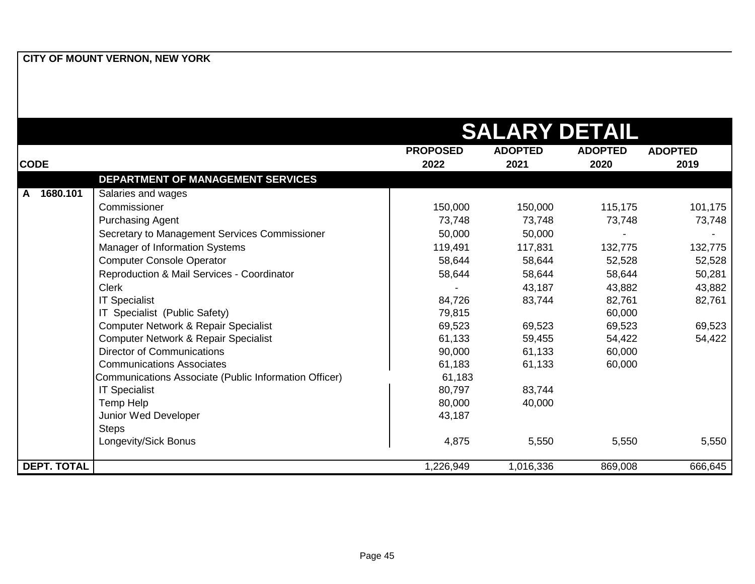|                    |                                                       |                 | <b>SALARY DETAIL</b> |                |                |
|--------------------|-------------------------------------------------------|-----------------|----------------------|----------------|----------------|
|                    |                                                       | <b>PROPOSED</b> | <b>ADOPTED</b>       | <b>ADOPTED</b> | <b>ADOPTED</b> |
| <b>CODE</b>        |                                                       | 2022            | 2021                 | 2020           | 2019           |
|                    | DEPARTMENT OF MANAGEMENT SERVICES                     |                 |                      |                |                |
| 1680.101<br>A      | Salaries and wages                                    |                 |                      |                |                |
|                    | Commissioner                                          | 150,000         | 150,000              | 115,175        | 101,175        |
|                    | <b>Purchasing Agent</b>                               | 73,748          | 73,748               | 73,748         | 73,748         |
|                    | Secretary to Management Services Commissioner         | 50,000          | 50,000               |                |                |
|                    | Manager of Information Systems                        | 119,491         | 117,831              | 132,775        | 132,775        |
|                    | <b>Computer Console Operator</b>                      | 58,644          | 58,644               | 52,528         | 52,528         |
|                    | Reproduction & Mail Services - Coordinator            | 58,644          | 58,644               | 58,644         | 50,281         |
|                    | <b>Clerk</b>                                          |                 | 43,187               | 43,882         | 43,882         |
|                    | <b>IT Specialist</b>                                  | 84,726          | 83,744               | 82,761         | 82,761         |
|                    | IT Specialist (Public Safety)                         | 79,815          |                      | 60,000         |                |
|                    | Computer Network & Repair Specialist                  | 69,523          | 69,523               | 69,523         | 69,523         |
|                    | Computer Network & Repair Specialist                  | 61,133          | 59,455               | 54,422         | 54,422         |
|                    | <b>Director of Communications</b>                     | 90,000          | 61,133               | 60,000         |                |
|                    | <b>Communications Associates</b>                      | 61,183          | 61,133               | 60,000         |                |
|                    | Communications Associate (Public Information Officer) | 61,183          |                      |                |                |
|                    | <b>IT Specialist</b>                                  | 80,797          | 83,744               |                |                |
|                    | Temp Help                                             | 80,000          | 40,000               |                |                |
|                    | Junior Wed Developer                                  | 43,187          |                      |                |                |
|                    | <b>Steps</b>                                          |                 |                      |                |                |
|                    | Longevity/Sick Bonus                                  | 4,875           | 5,550                | 5,550          | 5,550          |
| <b>DEPT. TOTAL</b> |                                                       | 1,226,949       | 1,016,336            | 869,008        | 666,645        |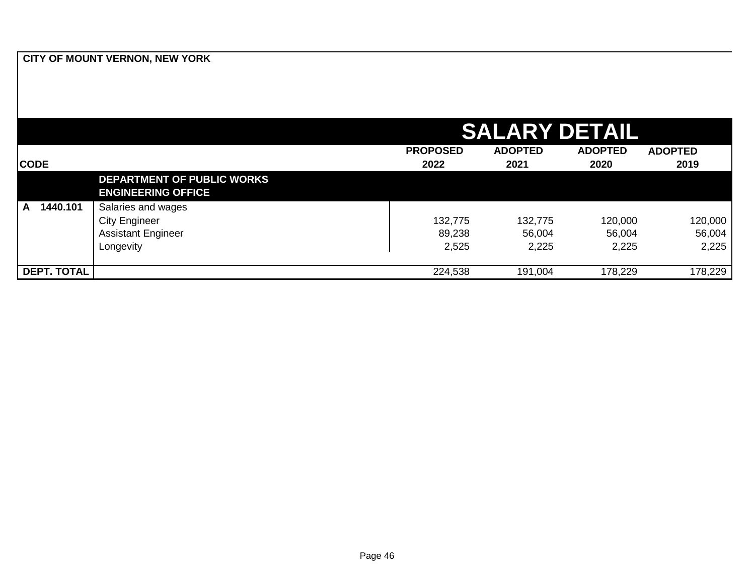|                    |                                                                |                 | <b>SALARY DETAIL</b> |                |                |
|--------------------|----------------------------------------------------------------|-----------------|----------------------|----------------|----------------|
|                    |                                                                | <b>PROPOSED</b> | <b>ADOPTED</b>       | <b>ADOPTED</b> | <b>ADOPTED</b> |
| <b>CODE</b>        |                                                                | 2022            | 2021                 | 2020           | 2019           |
|                    | <b>DEPARTMENT OF PUBLIC WORKS</b><br><b>ENGINEERING OFFICE</b> |                 |                      |                |                |
| 1440.101<br>A      | Salaries and wages                                             |                 |                      |                |                |
|                    | <b>City Engineer</b>                                           | 132,775         | 132,775              | 120,000        | 120,000        |
|                    | <b>Assistant Engineer</b>                                      | 89,238          | 56,004               | 56,004         | 56,004         |
|                    | Longevity                                                      | 2,525           | 2,225                | 2,225          | 2,225          |
| <b>DEPT. TOTAL</b> |                                                                | 224,538         | 191,004              | 178,229        | 178,229        |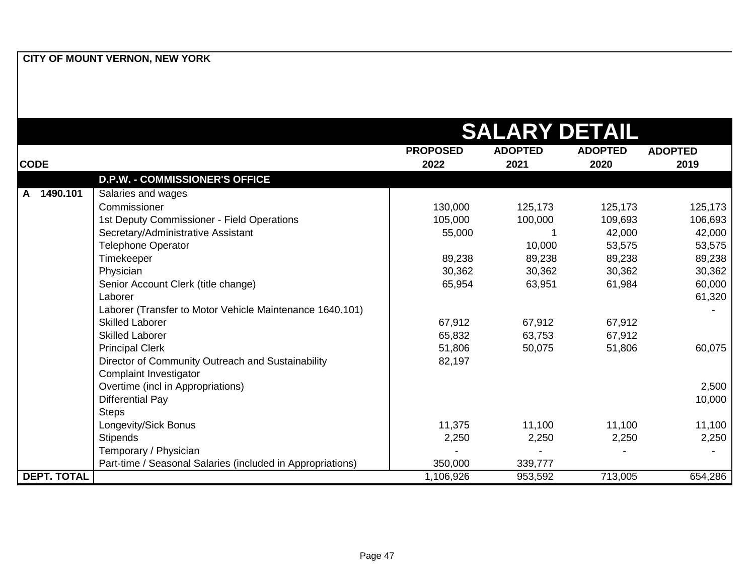|                          |                                                            |                 | <b>SALARY DETAIL</b> |                |                |
|--------------------------|------------------------------------------------------------|-----------------|----------------------|----------------|----------------|
|                          |                                                            | <b>PROPOSED</b> | <b>ADOPTED</b>       | <b>ADOPTED</b> | <b>ADOPTED</b> |
| <b>CODE</b>              |                                                            | 2022            | 2021                 | 2020           | 2019           |
|                          | <b>D.P.W. - COMMISSIONER'S OFFICE</b>                      |                 |                      |                |                |
| 1490.101<br>$\mathbf{A}$ | Salaries and wages                                         |                 |                      |                |                |
|                          | Commissioner                                               | 130,000         | 125,173              | 125,173        | 125,173        |
|                          | 1st Deputy Commissioner - Field Operations                 | 105,000         | 100,000              | 109,693        | 106,693        |
|                          | Secretary/Administrative Assistant                         | 55,000          |                      | 42,000         | 42,000         |
|                          | <b>Telephone Operator</b>                                  |                 | 10,000               | 53,575         | 53,575         |
|                          | Timekeeper                                                 | 89,238          | 89,238               | 89,238         | 89,238         |
|                          | Physician                                                  | 30,362          | 30,362               | 30,362         | 30,362         |
|                          | Senior Account Clerk (title change)                        | 65,954          | 63,951               | 61,984         | 60,000         |
|                          | Laborer                                                    |                 |                      |                | 61,320         |
|                          | Laborer (Transfer to Motor Vehicle Maintenance 1640.101)   |                 |                      |                |                |
|                          | <b>Skilled Laborer</b>                                     | 67,912          | 67,912               | 67,912         |                |
|                          | <b>Skilled Laborer</b>                                     | 65,832          | 63,753               | 67,912         |                |
|                          | <b>Principal Clerk</b>                                     | 51,806          | 50,075               | 51,806         | 60,075         |
|                          | Director of Community Outreach and Sustainability          | 82,197          |                      |                |                |
|                          | Complaint Investigator                                     |                 |                      |                |                |
|                          | Overtime (incl in Appropriations)                          |                 |                      |                | 2,500          |
|                          | <b>Differential Pay</b>                                    |                 |                      |                | 10,000         |
|                          | <b>Steps</b>                                               |                 |                      |                |                |
|                          | Longevity/Sick Bonus                                       | 11,375          | 11,100               | 11,100         | 11,100         |
|                          | <b>Stipends</b>                                            | 2,250           | 2,250                | 2,250          | 2,250          |
|                          | Temporary / Physician                                      |                 |                      |                |                |
|                          | Part-time / Seasonal Salaries (included in Appropriations) | 350,000         | 339,777              |                |                |
| <b>DEPT. TOTAL</b>       |                                                            | 1,106,926       | 953,592              | 713,005        | 654,286        |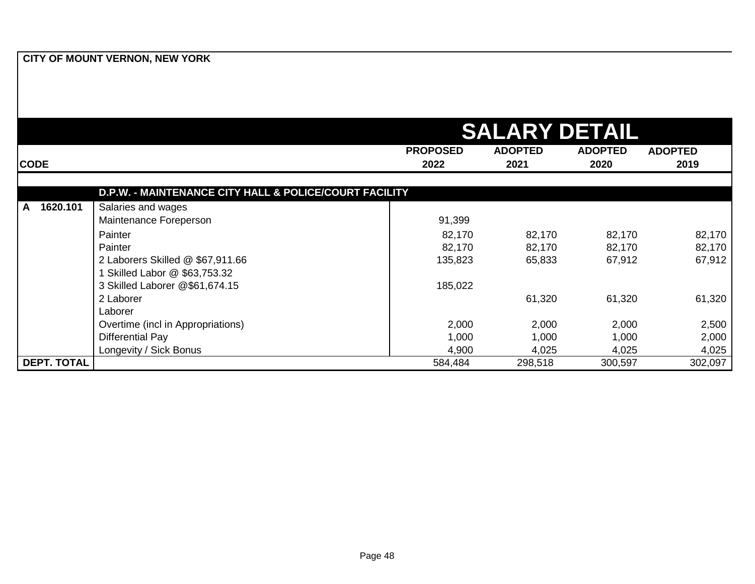|                    |                                                        | <b>SALARY DETAIL</b>    |                        |                        |                        |  |
|--------------------|--------------------------------------------------------|-------------------------|------------------------|------------------------|------------------------|--|
| <b>CODE</b>        |                                                        | <b>PROPOSED</b><br>2022 | <b>ADOPTED</b><br>2021 | <b>ADOPTED</b><br>2020 | <b>ADOPTED</b><br>2019 |  |
|                    | D.P.W. - MAINTENANCE CITY HALL & POLICE/COURT FACILITY |                         |                        |                        |                        |  |
| 1620.101<br>A      | Salaries and wages                                     |                         |                        |                        |                        |  |
|                    | Maintenance Foreperson                                 | 91,399                  |                        |                        |                        |  |
|                    | Painter                                                | 82,170                  | 82,170                 | 82,170                 | 82,170                 |  |
|                    | Painter                                                | 82,170                  | 82,170                 | 82,170                 | 82,170                 |  |
|                    | 2 Laborers Skilled @ \$67,911.66                       | 135,823                 | 65,833                 | 67,912                 | 67,912                 |  |
|                    | Skilled Labor @ \$63,753.32                            |                         |                        |                        |                        |  |
|                    | 3 Skilled Laborer @\$61,674.15                         | 185,022                 |                        |                        |                        |  |
|                    | 2 Laborer                                              |                         | 61,320                 | 61,320                 | 61,320                 |  |
|                    | Laborer                                                |                         |                        |                        |                        |  |
|                    | Overtime (incl in Appropriations)                      | 2,000                   | 2,000                  | 2,000                  | 2,500                  |  |
|                    | <b>Differential Pay</b>                                | 1,000                   | 1,000                  | 1,000                  | 2,000                  |  |
|                    | Longevity / Sick Bonus                                 | 4,900                   | 4,025                  | 4,025                  | 4,025                  |  |
| <b>DEPT. TOTAL</b> |                                                        | 584,484                 | 298,518                | 300,597                | 302,097                |  |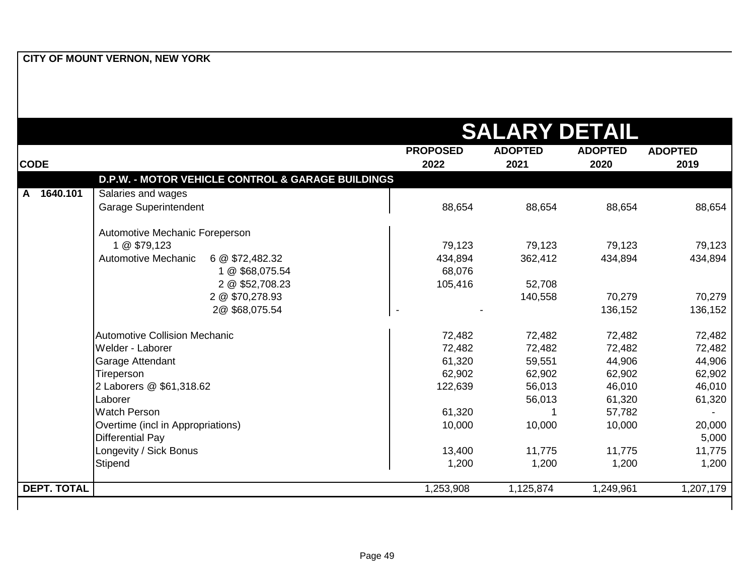|                    |                                                   | <b>SALARY DETAIL</b> |                |                |                |
|--------------------|---------------------------------------------------|----------------------|----------------|----------------|----------------|
|                    |                                                   | <b>PROPOSED</b>      | <b>ADOPTED</b> | <b>ADOPTED</b> | <b>ADOPTED</b> |
| <b>CODE</b>        |                                                   | 2022                 | 2021           | 2020           | 2019           |
|                    | D.P.W. - MOTOR VEHICLE CONTROL & GARAGE BUILDINGS |                      |                |                |                |
| 1640.101<br>A      | Salaries and wages                                |                      |                |                |                |
|                    | <b>Garage Superintendent</b>                      | 88,654               | 88,654         | 88,654         | 88,654         |
|                    | Automotive Mechanic Foreperson                    |                      |                |                |                |
|                    | 1 @ \$79,123                                      | 79,123               | 79,123         | 79,123         | 79,123         |
|                    | Automotive Mechanic<br>6 @ \$72,482.32            | 434,894              | 362,412        | 434,894        | 434,894        |
|                    | 1 @ \$68,075.54                                   | 68,076               |                |                |                |
|                    | 2 @ \$52,708.23                                   | 105,416              | 52,708         |                |                |
|                    | 2 @ \$70,278.93                                   |                      | 140,558        | 70,279         | 70,279         |
|                    | 2@\$68,075.54                                     |                      |                | 136,152        | 136,152        |
|                    | <b>Automotive Collision Mechanic</b>              | 72,482               | 72,482         | 72,482         | 72,482         |
|                    | Welder - Laborer                                  | 72,482               | 72,482         | 72,482         | 72,482         |
|                    | Garage Attendant                                  | 61,320               | 59,551         | 44,906         | 44,906         |
|                    | Tireperson                                        | 62,902               | 62,902         | 62,902         | 62,902         |
|                    | 2 Laborers @ \$61,318.62                          | 122,639              | 56,013         | 46,010         | 46,010         |
|                    | Laborer                                           |                      | 56,013         | 61,320         | 61,320         |
|                    | <b>Watch Person</b>                               | 61,320               | 1              | 57,782         | $\sim$         |
|                    | Overtime (incl in Appropriations)                 | 10,000               | 10,000         | 10,000         | 20,000         |
|                    | <b>Differential Pay</b>                           |                      |                |                | 5,000          |
|                    | Longevity / Sick Bonus                            | 13,400               | 11,775         | 11,775         | 11,775         |
|                    | Stipend                                           | 1,200                | 1,200          | 1,200          | 1,200          |
| <b>DEPT. TOTAL</b> |                                                   | 1,253,908            | 1,125,874      | 1,249,961      | 1,207,179      |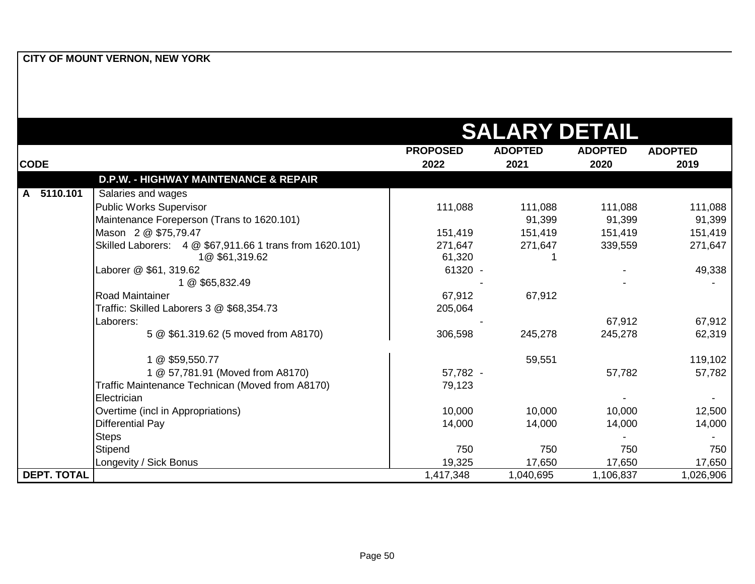|                    |                                                                            |                   | <b>SALARY DETAIL</b> |                |                |
|--------------------|----------------------------------------------------------------------------|-------------------|----------------------|----------------|----------------|
|                    |                                                                            | <b>PROPOSED</b>   | <b>ADOPTED</b>       | <b>ADOPTED</b> | <b>ADOPTED</b> |
| <b>CODE</b>        |                                                                            | 2022              | 2021                 | 2020           | 2019           |
|                    | <b>D.P.W. - HIGHWAY MAINTENANCE &amp; REPAIR</b>                           |                   |                      |                |                |
| 5110.101<br>A      | Salaries and wages                                                         |                   |                      |                |                |
|                    | Public Works Supervisor                                                    | 111,088           | 111,088              | 111,088        | 111,088        |
|                    | Maintenance Foreperson (Trans to 1620.101)                                 |                   | 91,399               | 91,399         | 91,399         |
|                    | Mason 2 @ \$75,79.47                                                       | 151,419           | 151,419              | 151,419        | 151,419        |
|                    | Skilled Laborers: 4 @ \$67,911.66 1 trans from 1620.101)<br>1@ \$61,319.62 | 271,647<br>61,320 | 271,647              | 339,559        | 271,647        |
|                    | Laborer @ \$61, 319.62                                                     | 61320 -           |                      |                | 49,338         |
|                    | 1 @ \$65,832.49                                                            |                   |                      |                |                |
|                    | IRoad Maintainer                                                           | 67,912            | 67,912               |                |                |
|                    | Traffic: Skilled Laborers 3 @ \$68,354.73                                  | 205,064           |                      |                |                |
|                    | Laborers:                                                                  |                   |                      | 67,912         | 67,912         |
|                    | 5 @ \$61.319.62 (5 moved from A8170)                                       | 306,598           | 245,278              | 245,278        | 62,319         |
|                    | 1 @ \$59,550.77                                                            |                   | 59,551               |                | 119,102        |
|                    | 1 @ 57,781.91 (Moved from A8170)                                           | 57,782 -          |                      | 57,782         | 57,782         |
|                    | Traffic Maintenance Technican (Moved from A8170)                           | 79,123            |                      |                |                |
|                    | Electrician                                                                |                   |                      |                |                |
|                    | Overtime (incl in Appropriations)                                          | 10,000            | 10,000               | 10,000         | 12,500         |
|                    | <b>Differential Pay</b>                                                    | 14,000            | 14,000               | 14,000         | 14,000         |
|                    | <b>Steps</b>                                                               |                   |                      |                |                |
|                    | Stipend                                                                    | 750               | 750                  | 750            | 750            |
|                    | Longevity / Sick Bonus                                                     | 19,325            | 17,650               | 17,650         | 17,650         |
| <b>DEPT. TOTAL</b> |                                                                            | 1,417,348         | 1,040,695            | 1,106,837      | 1,026,906      |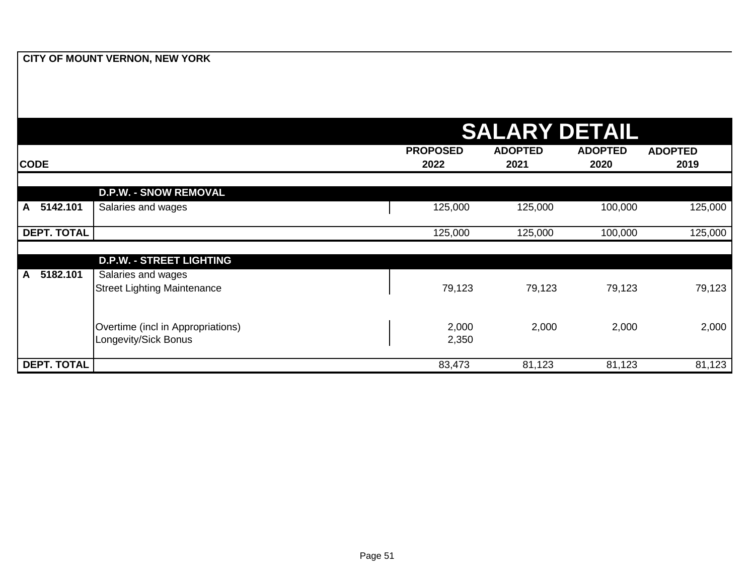|                          |                                    |                 | <b>SALARY DETAIL</b> |                |                |
|--------------------------|------------------------------------|-----------------|----------------------|----------------|----------------|
|                          |                                    | <b>PROPOSED</b> | <b>ADOPTED</b>       | <b>ADOPTED</b> | <b>ADOPTED</b> |
| <b>CODE</b>              |                                    | 2022            | 2021                 | 2020           | 2019           |
|                          |                                    |                 |                      |                |                |
|                          | <b>D.P.W. - SNOW REMOVAL</b>       |                 |                      |                |                |
| 5142.101<br>$\mathsf{A}$ | Salaries and wages                 | 125,000         | 125,000              | 100,000        | 125,000        |
| <b>DEPT. TOTAL</b>       |                                    | 125,000         | 125,000              | 100,000        | 125,000        |
|                          |                                    |                 |                      |                |                |
|                          | <b>D.P.W. - STREET LIGHTING</b>    |                 |                      |                |                |
| 5182.101<br>$\mathsf{A}$ | Salaries and wages                 |                 |                      |                |                |
|                          | <b>Street Lighting Maintenance</b> | 79,123          | 79,123               | 79,123         | 79,123         |
|                          |                                    |                 |                      |                |                |
|                          | Overtime (incl in Appropriations)  | 2,000           | 2,000                | 2,000          | 2,000          |
|                          | Longevity/Sick Bonus               | 2,350           |                      |                |                |
|                          |                                    |                 |                      |                |                |
| <b>DEPT. TOTAL</b>       |                                    | 83,473          | 81,123               | 81,123         | 81,123         |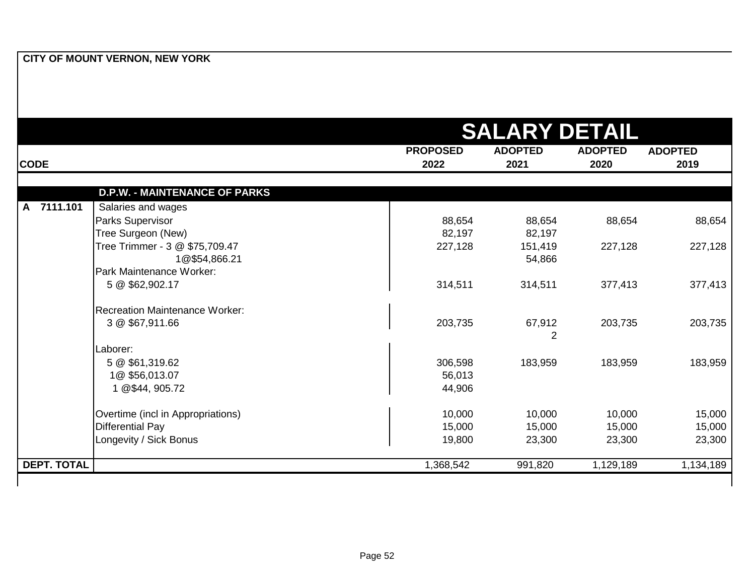|                    |                                       |                 | <b>SALARY DETAIL</b> |                |                |
|--------------------|---------------------------------------|-----------------|----------------------|----------------|----------------|
|                    |                                       | <b>PROPOSED</b> | <b>ADOPTED</b>       | <b>ADOPTED</b> | <b>ADOPTED</b> |
| <b>CODE</b>        |                                       | 2022            | 2021                 | 2020           | 2019           |
|                    | <b>D.P.W. - MAINTENANCE OF PARKS</b>  |                 |                      |                |                |
| 7111.101<br>A.     | Salaries and wages                    |                 |                      |                |                |
|                    | Parks Supervisor                      | 88,654          | 88,654               | 88,654         | 88,654         |
|                    | Tree Surgeon (New)                    | 82,197          | 82,197               |                |                |
|                    | Tree Trimmer - 3 @ \$75,709.47        | 227,128         | 151,419              | 227,128        | 227,128        |
|                    | 1@\$54,866.21                         |                 | 54,866               |                |                |
|                    | Park Maintenance Worker:              |                 |                      |                |                |
|                    | 5 @ \$62,902.17                       | 314,511         | 314,511              | 377,413        | 377,413        |
|                    | <b>Recreation Maintenance Worker:</b> |                 |                      |                |                |
|                    | 3 @ \$67,911.66                       | 203,735         | 67,912               | 203,735        | 203,735        |
|                    |                                       |                 | $\overline{2}$       |                |                |
|                    | Laborer:                              |                 |                      |                |                |
|                    | 5 @ \$61,319.62                       | 306,598         | 183,959              | 183,959        | 183,959        |
|                    | 1@\$56,013.07                         | 56,013          |                      |                |                |
|                    | 1 @\$44, 905.72                       | 44,906          |                      |                |                |
|                    | Overtime (incl in Appropriations)     | 10,000          | 10,000               | 10,000         | 15,000         |
|                    | <b>Differential Pay</b>               | 15,000          | 15,000               | 15,000         | 15,000         |
|                    | Longevity / Sick Bonus                | 19,800          | 23,300               | 23,300         | 23,300         |
| <b>DEPT. TOTAL</b> |                                       | 1,368,542       | 991,820              | 1,129,189      | 1,134,189      |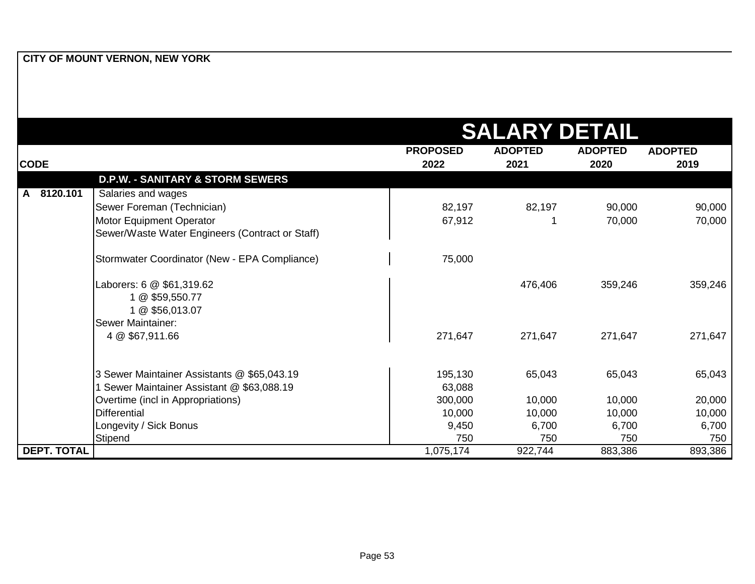|                    |                                                 | <b>SALARY DETAIL</b> |                |                |                |  |
|--------------------|-------------------------------------------------|----------------------|----------------|----------------|----------------|--|
|                    |                                                 | <b>PROPOSED</b>      | <b>ADOPTED</b> | <b>ADOPTED</b> | <b>ADOPTED</b> |  |
| <b>CODE</b>        |                                                 | 2022                 | 2021           | 2020           | 2019           |  |
|                    | <b>D.P.W. - SANITARY &amp; STORM SEWERS</b>     |                      |                |                |                |  |
| 8120.101<br>A      | Salaries and wages                              |                      |                |                |                |  |
|                    | Sewer Foreman (Technician)                      | 82,197               | 82,197         | 90,000         | 90,000         |  |
|                    | Motor Equipment Operator                        | 67,912               |                | 70,000         | 70,000         |  |
|                    | Sewer/Waste Water Engineers (Contract or Staff) |                      |                |                |                |  |
|                    | Stormwater Coordinator (New - EPA Compliance)   | 75,000               |                |                |                |  |
|                    | Laborers: 6 @ \$61,319.62                       |                      | 476,406        | 359,246        | 359,246        |  |
|                    | 1 @ \$59,550.77                                 |                      |                |                |                |  |
|                    | 1 @ \$56,013.07                                 |                      |                |                |                |  |
|                    | Sewer Maintainer:                               |                      |                |                |                |  |
|                    | 4 @ \$67,911.66                                 | 271,647              | 271,647        | 271,647        | 271,647        |  |
|                    | 3 Sewer Maintainer Assistants @ \$65,043.19     | 195,130              | 65,043         | 65,043         | 65,043         |  |
|                    | Sewer Maintainer Assistant @ \$63,088.19        | 63,088               |                |                |                |  |
|                    | Overtime (incl in Appropriations)               | 300,000              | 10,000         | 10,000         | 20,000         |  |
|                    | <b>Differential</b>                             | 10,000               | 10,000         | 10,000         | 10,000         |  |
|                    | Longevity / Sick Bonus                          | 9,450                | 6,700          | 6,700          | 6,700          |  |
|                    | Stipend                                         | 750                  | 750            | 750            | 750            |  |
| <b>DEPT. TOTAL</b> |                                                 | 1,075,174            | 922,744        | 883,386        | 893,386        |  |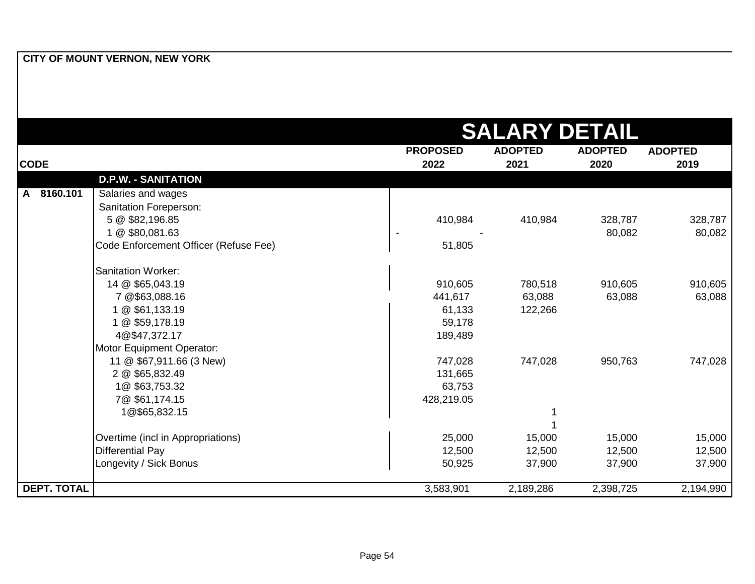|                    |                                       |                 | <b>SALARY DETAIL</b> |                |                |
|--------------------|---------------------------------------|-----------------|----------------------|----------------|----------------|
|                    |                                       | <b>PROPOSED</b> | <b>ADOPTED</b>       | <b>ADOPTED</b> | <b>ADOPTED</b> |
| <b>CODE</b>        |                                       | 2022            | 2021                 | 2020           | 2019           |
|                    | <b>D.P.W. - SANITATION</b>            |                 |                      |                |                |
| A 8160.101         | Salaries and wages                    |                 |                      |                |                |
|                    | Sanitation Foreperson:                |                 |                      |                |                |
|                    | 5 @ \$82,196.85                       | 410,984         | 410,984              | 328,787        | 328,787        |
|                    | 1 @ \$80,081.63                       |                 |                      | 80,082         | 80,082         |
|                    | Code Enforcement Officer (Refuse Fee) | 51,805          |                      |                |                |
|                    | <b>Sanitation Worker:</b>             |                 |                      |                |                |
|                    | 14 @ \$65,043.19                      | 910,605         | 780,518              | 910,605        | 910,605        |
|                    | 7 @\$63,088.16                        | 441,617         | 63,088               | 63,088         | 63,088         |
|                    | 1 @ \$61,133.19                       | 61,133          | 122,266              |                |                |
|                    | 1 @ \$59,178.19                       | 59,178          |                      |                |                |
|                    | 4@\$47,372.17                         | 189,489         |                      |                |                |
|                    | Motor Equipment Operator:             |                 |                      |                |                |
|                    | 11 @ \$67,911.66 (3 New)              | 747,028         | 747,028              | 950,763        | 747,028        |
|                    | 2 @ \$65,832.49                       | 131,665         |                      |                |                |
|                    | 1@\$63,753.32                         | 63,753          |                      |                |                |
|                    | 7@ \$61,174.15                        | 428,219.05      |                      |                |                |
|                    | 1@\$65,832.15                         |                 |                      |                |                |
|                    |                                       |                 |                      |                |                |
|                    | Overtime (incl in Appropriations)     | 25,000          | 15,000               | 15,000         | 15,000         |
|                    | <b>Differential Pay</b>               | 12,500          | 12,500               | 12,500         | 12,500         |
|                    | Longevity / Sick Bonus                | 50,925          | 37,900               | 37,900         | 37,900         |
| <b>DEPT. TOTAL</b> |                                       | 3,583,901       | 2,189,286            | 2,398,725      | 2,194,990      |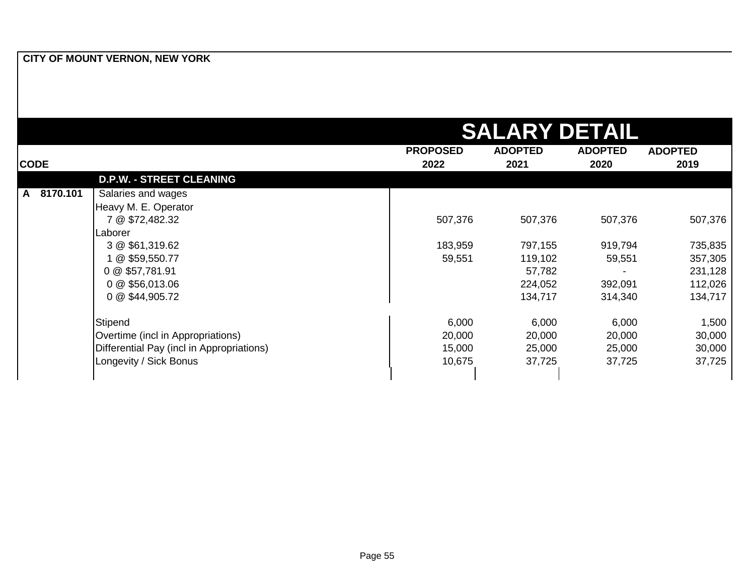|               |                                           |                 | <b>SALARY DETAIL</b> |                |                |
|---------------|-------------------------------------------|-----------------|----------------------|----------------|----------------|
|               |                                           | <b>PROPOSED</b> | <b>ADOPTED</b>       | <b>ADOPTED</b> | <b>ADOPTED</b> |
| <b>CODE</b>   |                                           | 2022            | 2021                 | 2020           | 2019           |
|               | <b>D.P.W. - STREET CLEANING</b>           |                 |                      |                |                |
| 8170.101<br>A | Salaries and wages                        |                 |                      |                |                |
|               | Heavy M. E. Operator                      |                 |                      |                |                |
|               | 7 @ \$72,482.32                           | 507,376         | 507,376              | 507,376        | 507,376        |
|               | Laborer                                   |                 |                      |                |                |
|               | 3 @ \$61,319.62                           | 183,959         | 797,155              | 919,794        | 735,835        |
|               | 1 @ \$59,550.77                           | 59,551          | 119,102              | 59,551         | 357,305        |
|               | 0 @ \$57,781.91                           |                 | 57,782               |                | 231,128        |
|               | 0 @ \$56,013.06                           |                 | 224,052              | 392,091        | 112,026        |
|               | 0 @ \$44,905.72                           |                 | 134,717              | 314,340        | 134,717        |
|               | Stipend                                   | 6,000           | 6,000                | 6,000          | 1,500          |
|               | Overtime (incl in Appropriations)         | 20,000          | 20,000               | 20,000         | 30,000         |
|               | Differential Pay (incl in Appropriations) | 15,000          | 25,000               | 25,000         | 30,000         |
|               | Longevity / Sick Bonus                    | 10,675          | 37,725               | 37,725         | 37,725         |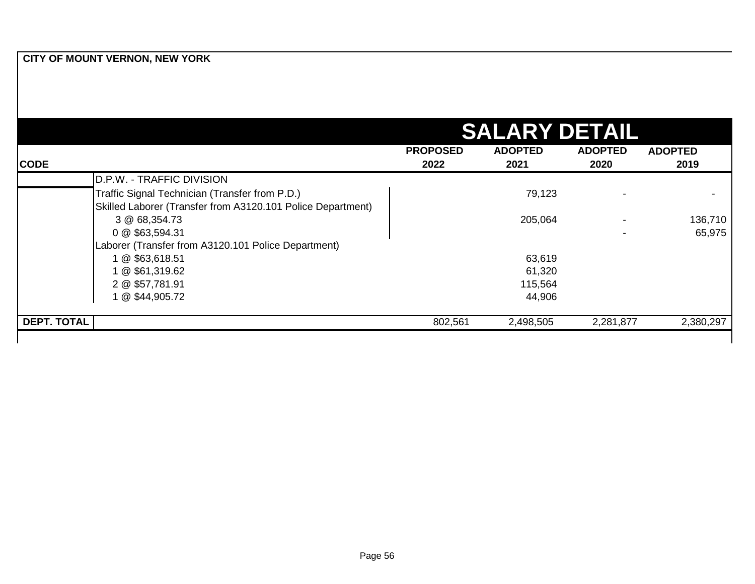|                    |                                                             | <b>SALARY DETAIL</b> |                |                |                          |  |  |
|--------------------|-------------------------------------------------------------|----------------------|----------------|----------------|--------------------------|--|--|
|                    |                                                             | <b>PROPOSED</b>      | <b>ADOPTED</b> | <b>ADOPTED</b> | <b>ADOPTED</b>           |  |  |
| <b>CODE</b>        |                                                             | 2022                 | 2021           | 2020           | 2019                     |  |  |
|                    | D.P.W. - TRAFFIC DIVISION                                   |                      |                |                |                          |  |  |
|                    | Traffic Signal Technician (Transfer from P.D.)              |                      | 79,123         |                | $\overline{\phantom{0}}$ |  |  |
|                    | Skilled Laborer (Transfer from A3120.101 Police Department) |                      |                |                |                          |  |  |
|                    | 3 @ 68,354.73                                               |                      | 205,064        |                | 136,710                  |  |  |
|                    | 0 @ \$63,594.31                                             |                      |                |                | 65,975                   |  |  |
|                    | Laborer (Transfer from A3120.101 Police Department)         |                      |                |                |                          |  |  |
|                    | 1 @ \$63,618.51                                             |                      | 63,619         |                |                          |  |  |
|                    | 1 @ \$61,319.62                                             |                      | 61,320         |                |                          |  |  |
|                    | 2 @ \$57,781.91                                             |                      | 115,564        |                |                          |  |  |
|                    | 1 @ \$44,905.72                                             |                      | 44,906         |                |                          |  |  |
| <b>DEPT. TOTAL</b> |                                                             | 802,561              | 2,498,505      | 2,281,877      | 2,380,297                |  |  |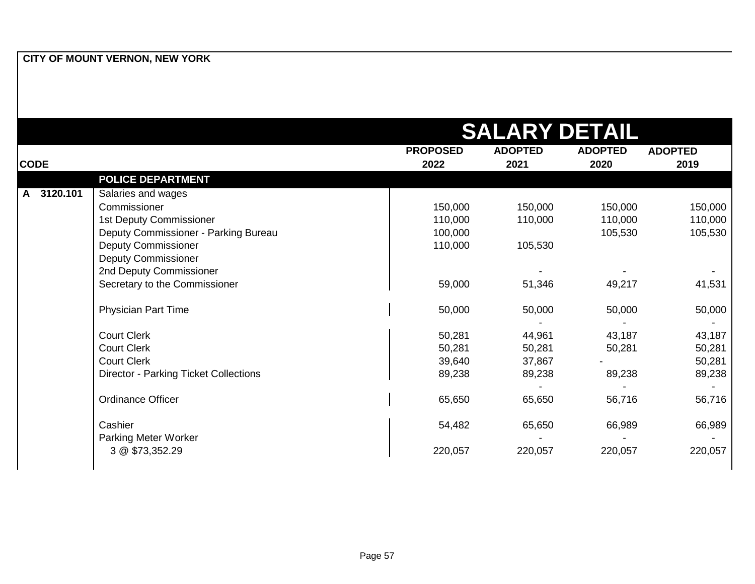|             |                                              |                 | <b>SALARY DETAIL</b> |                |                |
|-------------|----------------------------------------------|-----------------|----------------------|----------------|----------------|
|             |                                              | <b>PROPOSED</b> | <b>ADOPTED</b>       | <b>ADOPTED</b> | <b>ADOPTED</b> |
| <b>CODE</b> |                                              | 2022            | 2021                 | 2020           | 2019           |
|             | <b>POLICE DEPARTMENT</b>                     |                 |                      |                |                |
| A 3120.101  | Salaries and wages                           |                 |                      |                |                |
|             | Commissioner                                 | 150,000         | 150,000              | 150,000        | 150,000        |
|             | 1st Deputy Commissioner                      | 110,000         | 110,000              | 110,000        | 110,000        |
|             | Deputy Commissioner - Parking Bureau         | 100,000         |                      | 105,530        | 105,530        |
|             | <b>Deputy Commissioner</b>                   | 110,000         | 105,530              |                |                |
|             | <b>Deputy Commissioner</b>                   |                 |                      |                |                |
|             | 2nd Deputy Commissioner                      |                 |                      |                |                |
|             | Secretary to the Commissioner                | 59,000          | 51,346               | 49,217         | 41,531         |
|             | <b>Physician Part Time</b>                   | 50,000          | 50,000               | 50,000         | 50,000         |
|             |                                              |                 |                      |                |                |
|             | <b>Court Clerk</b>                           | 50,281          | 44,961               | 43,187         | 43,187         |
|             | <b>Court Clerk</b>                           | 50,281          | 50,281               | 50,281         | 50,281         |
|             | <b>Court Clerk</b>                           | 39,640          | 37,867               |                | 50,281         |
|             | <b>Director - Parking Ticket Collections</b> | 89,238          | 89,238               | 89,238         | 89,238         |
|             | Ordinance Officer                            | 65,650          | 65,650               | 56,716         | 56,716         |
|             | Cashier                                      | 54,482          | 65,650               | 66,989         | 66,989         |
|             | Parking Meter Worker                         |                 |                      |                |                |
|             | 3 @ \$73,352.29                              | 220,057         | 220,057              | 220,057        | 220,057        |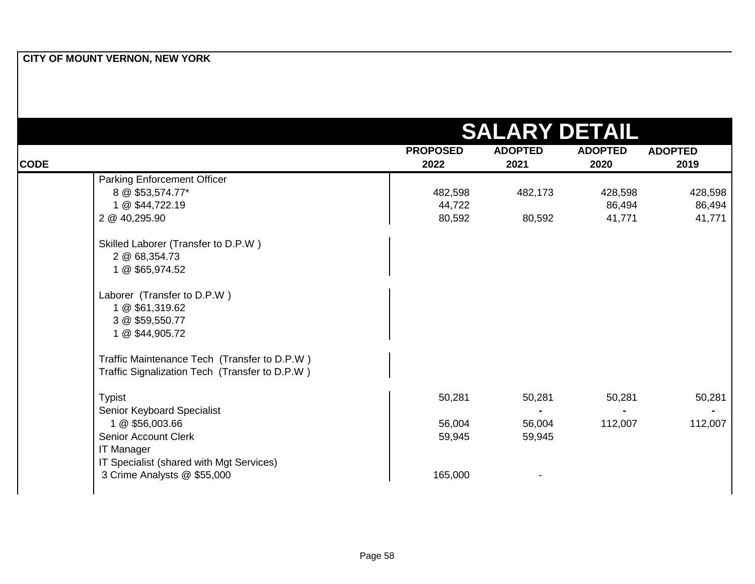|                                                |                         | <b>SALARY DETAIL</b>   |                        |                        |
|------------------------------------------------|-------------------------|------------------------|------------------------|------------------------|
| <b>CODE</b>                                    | <b>PROPOSED</b><br>2022 | <b>ADOPTED</b><br>2021 | <b>ADOPTED</b><br>2020 | <b>ADOPTED</b><br>2019 |
| <b>Parking Enforcement Officer</b>             |                         |                        |                        |                        |
| 8 @ \$53,574.77*                               | 482,598                 | 482,173                | 428,598                | 428,598                |
| 1 @ \$44,722.19                                | 44,722                  |                        | 86,494                 | 86,494                 |
| 2 @ 40,295.90                                  | 80,592                  | 80,592                 | 41,771                 | 41,771                 |
| Skilled Laborer (Transfer to D.P.W)            |                         |                        |                        |                        |
| 2 @ 68,354.73                                  |                         |                        |                        |                        |
| 1 @ \$65,974.52                                |                         |                        |                        |                        |
| Laborer (Transfer to D.P.W)                    |                         |                        |                        |                        |
| 1 @ \$61,319.62                                |                         |                        |                        |                        |
| 3 @ \$59,550.77                                |                         |                        |                        |                        |
| 1 @ \$44,905.72                                |                         |                        |                        |                        |
| Traffic Maintenance Tech (Transfer to D.P.W)   |                         |                        |                        |                        |
| Traffic Signalization Tech (Transfer to D.P.W) |                         |                        |                        |                        |
| <b>Typist</b>                                  | 50,281                  | 50,281                 | 50,281                 | 50,281                 |
| Senior Keyboard Specialist                     |                         |                        |                        |                        |
| 1 @ \$56,003.66                                | 56,004                  | 56,004                 | 112,007                | 112,007                |
| Senior Account Clerk                           | 59,945                  | 59,945                 |                        |                        |
| <b>IT Manager</b>                              |                         |                        |                        |                        |
| IT Specialist (shared with Mgt Services)       |                         |                        |                        |                        |
| 3 Crime Analysts @ \$55,000                    | 165,000                 |                        |                        |                        |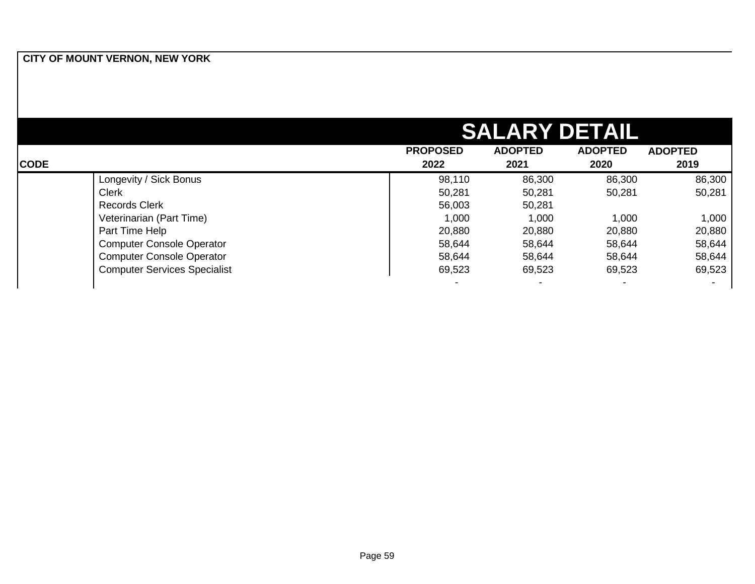|             |                                     |                         | <b>SALARY DETAIL</b>   |                        |                        |
|-------------|-------------------------------------|-------------------------|------------------------|------------------------|------------------------|
| <b>CODE</b> |                                     | <b>PROPOSED</b><br>2022 | <b>ADOPTED</b><br>2021 | <b>ADOPTED</b><br>2020 | <b>ADOPTED</b><br>2019 |
|             | Longevity / Sick Bonus              | 98,110                  | 86,300                 | 86,300                 | 86,300                 |
|             | <b>Clerk</b>                        | 50,281                  | 50,281                 | 50,281                 | 50,281                 |
|             | <b>Records Clerk</b>                | 56,003                  | 50,281                 |                        |                        |
|             | Veterinarian (Part Time)            | 1,000                   | 1,000                  | 1,000                  | 1,000                  |
|             | Part Time Help                      | 20,880                  | 20,880                 | 20,880                 | 20,880                 |
|             | <b>Computer Console Operator</b>    | 58,644                  | 58,644                 | 58,644                 | 58,644                 |
|             | <b>Computer Console Operator</b>    | 58,644                  | 58,644                 | 58,644                 | 58,644                 |
|             | <b>Computer Services Specialist</b> | 69,523                  | 69,523                 | 69,523                 | 69,523                 |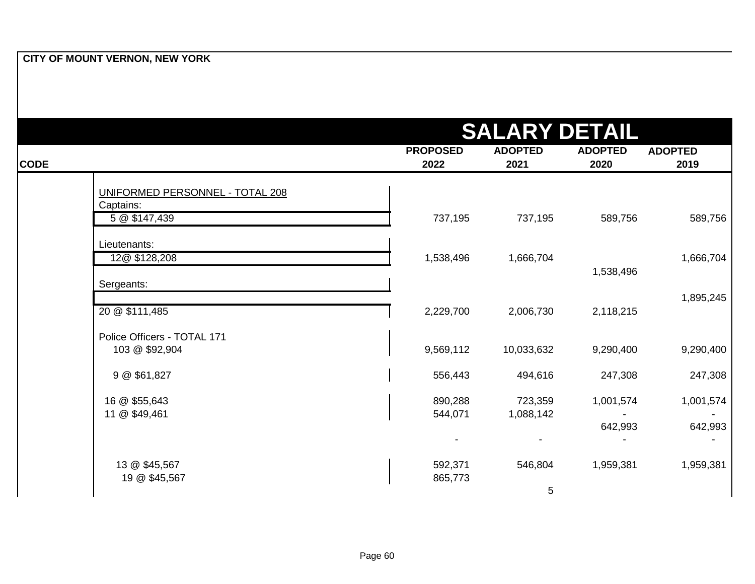|             | CITY OF MOUNT VERNON, NEW YORK  |                 |                      |                |                |
|-------------|---------------------------------|-----------------|----------------------|----------------|----------------|
|             |                                 |                 |                      |                |                |
|             |                                 |                 |                      |                |                |
|             |                                 |                 |                      |                |                |
|             |                                 |                 |                      |                |                |
|             |                                 |                 | <b>SALARY DETAIL</b> |                |                |
|             |                                 |                 |                      |                |                |
|             |                                 | <b>PROPOSED</b> | <b>ADOPTED</b>       | <b>ADOPTED</b> | <b>ADOPTED</b> |
| <b>CODE</b> |                                 | 2022            | 2021                 | 2020           | 2019           |
|             |                                 |                 |                      |                |                |
|             | UNIFORMED PERSONNEL - TOTAL 208 |                 |                      |                |                |
|             | Captains:                       |                 |                      |                |                |
|             | 5 @ \$147,439                   | 737,195         | 737,195              | 589,756        | 589,756        |
|             |                                 |                 |                      |                |                |
|             | Lieutenants:                    |                 |                      |                |                |
|             | 12@ \$128,208                   | 1,538,496       | 1,666,704            |                | 1,666,704      |
|             |                                 |                 |                      | 1,538,496      |                |
|             | Sergeants:                      |                 |                      |                | 1,895,245      |
|             | 20 @ \$111,485                  | 2,229,700       | 2,006,730            | 2,118,215      |                |
|             |                                 |                 |                      |                |                |
|             | Police Officers - TOTAL 171     |                 |                      |                |                |
|             | 103 @ \$92,904                  | 9,569,112       | 10,033,632           | 9,290,400      | 9,290,400      |
|             |                                 |                 |                      |                |                |
|             | 9 @ \$61,827                    | 556,443         | 494,616              | 247,308        | 247,308        |
|             |                                 |                 |                      |                |                |
|             | 16 @ \$55,643                   | 890,288         | 723,359              | 1,001,574      | 1,001,574      |
|             | 11 @ \$49,461                   | 544,071         | 1,088,142            |                |                |
|             |                                 |                 |                      | 642,993        | 642,993        |
|             |                                 |                 |                      |                |                |
|             |                                 |                 |                      |                |                |
|             | 13 @ \$45,567                   | 592,371         | 546,804              | 1,959,381      | 1,959,381      |
|             | 19 @ \$45,567                   | 865,773         |                      |                |                |
|             |                                 |                 | 5                    |                |                |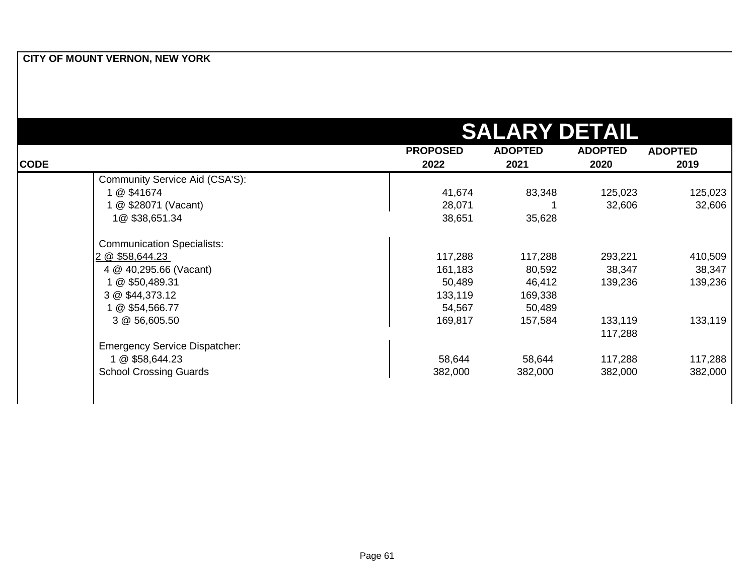|             |                                      |                 | <b>SALARY DETAIL</b> |                |                |
|-------------|--------------------------------------|-----------------|----------------------|----------------|----------------|
|             |                                      | <b>PROPOSED</b> | <b>ADOPTED</b>       | <b>ADOPTED</b> | <b>ADOPTED</b> |
| <b>CODE</b> |                                      | 2022            | 2021                 | 2020           | 2019           |
|             | Community Service Aid (CSA'S):       |                 |                      |                |                |
|             | 1 @ \$41674                          | 41,674          | 83,348               | 125,023        | 125,023        |
|             | 1 @ \$28071 (Vacant)                 | 28,071          |                      | 32,606         | 32,606         |
|             | 1@\$38,651.34                        | 38,651          | 35,628               |                |                |
|             | <b>Communication Specialists:</b>    |                 |                      |                |                |
|             | 2 @ \$58,644.23                      | 117,288         | 117,288              | 293,221        | 410,509        |
|             | 4 @ 40,295.66 (Vacant)               | 161,183         | 80,592               | 38,347         | 38,347         |
|             | 1 @ \$50,489.31                      | 50,489          | 46,412               | 139,236        | 139,236        |
|             | 3 @ \$44,373.12                      | 133,119         | 169,338              |                |                |
|             | 1 @ \$54,566.77                      | 54,567          | 50,489               |                |                |
|             | 3 @ 56,605.50                        | 169,817         | 157,584              | 133,119        | 133,119        |
|             |                                      |                 |                      | 117,288        |                |
|             | <b>Emergency Service Dispatcher:</b> |                 |                      |                |                |
|             | 1 @ \$58,644.23                      | 58,644          | 58,644               | 117,288        | 117,288        |
|             | <b>School Crossing Guards</b>        | 382,000         | 382,000              | 382,000        | 382,000        |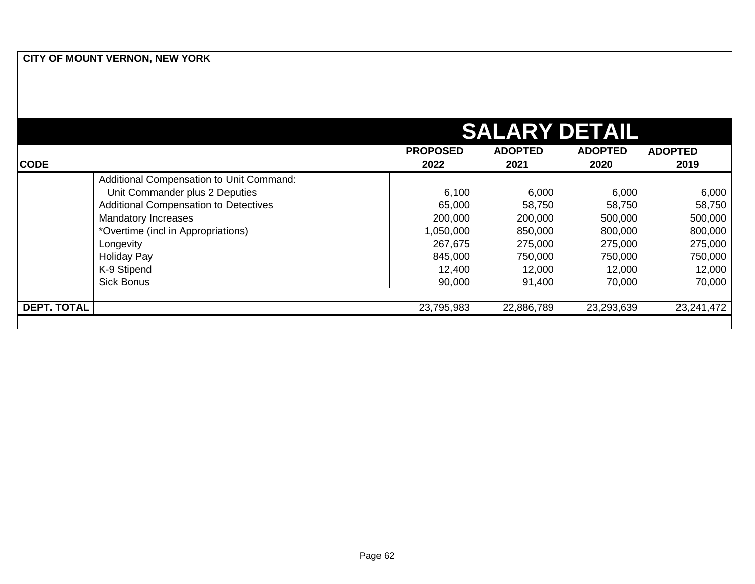|                    |                                              |                 | <b>SALARY DETAIL</b> |                |                |
|--------------------|----------------------------------------------|-----------------|----------------------|----------------|----------------|
|                    |                                              | <b>PROPOSED</b> | <b>ADOPTED</b>       | <b>ADOPTED</b> | <b>ADOPTED</b> |
| <b>CODE</b>        |                                              | 2022            | 2021                 | 2020           | 2019           |
|                    | Additional Compensation to Unit Command:     |                 |                      |                |                |
|                    | Unit Commander plus 2 Deputies               | 6,100           | 6,000                | 6,000          | 6,000          |
|                    | <b>Additional Compensation to Detectives</b> | 65,000          | 58,750               | 58,750         | 58,750         |
|                    | <b>Mandatory Increases</b>                   | 200,000         | 200,000              | 500,000        | 500,000        |
|                    | *Overtime (incl in Appropriations)           | 1,050,000       | 850,000              | 800,000        | 800,000        |
|                    | Longevity                                    | 267,675         | 275,000              | 275,000        | 275,000        |
|                    | <b>Holiday Pay</b>                           | 845,000         | 750,000              | 750,000        | 750,000        |
|                    | K-9 Stipend                                  | 12,400          | 12,000               | 12,000         | 12,000         |
|                    | <b>Sick Bonus</b>                            | 90,000          | 91,400               | 70,000         | 70,000         |
| <b>DEPT. TOTAL</b> |                                              | 23,795,983      | 22,886,789           | 23,293,639     | 23,241,472     |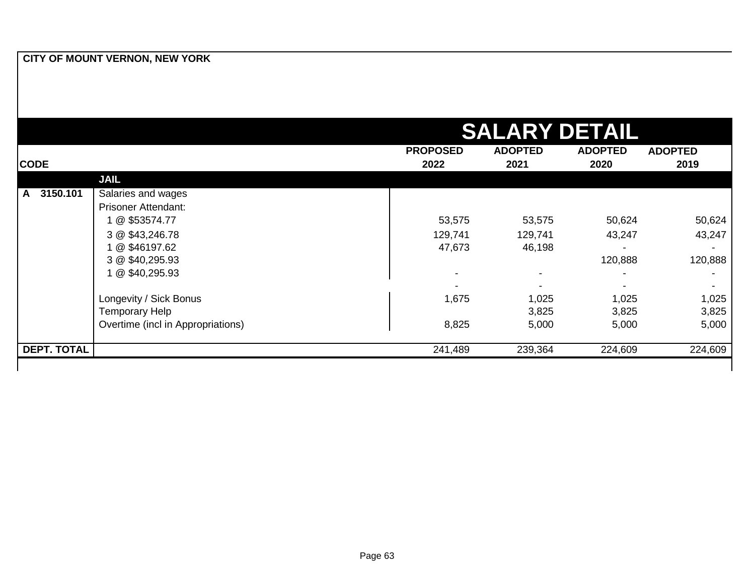|                    |                                   |                 | <b>SALARY DETAIL</b>     |                |                |
|--------------------|-----------------------------------|-----------------|--------------------------|----------------|----------------|
|                    |                                   | <b>PROPOSED</b> | <b>ADOPTED</b>           | <b>ADOPTED</b> | <b>ADOPTED</b> |
| <b>CODE</b>        |                                   | 2022            | 2021                     | 2020           | 2019           |
|                    | <b>JAIL</b>                       |                 |                          |                |                |
| 3150.101<br>A      | Salaries and wages                |                 |                          |                |                |
|                    | <b>Prisoner Attendant:</b>        |                 |                          |                |                |
|                    | 1 @ \$53574.77                    | 53,575          | 53,575                   | 50,624         | 50,624         |
|                    | 3 @ \$43,246.78                   | 129,741         | 129,741                  | 43,247         | 43,247         |
|                    | 1 @ \$46197.62                    | 47,673          | 46,198                   |                |                |
|                    | 3 @ \$40,295.93                   |                 |                          | 120,888        | 120,888        |
|                    | 1 @ \$40,295.93                   |                 | $\overline{\phantom{0}}$ |                |                |
|                    |                                   |                 |                          |                |                |
|                    | Longevity / Sick Bonus            | 1,675           | 1,025                    | 1,025          | 1,025          |
|                    | Temporary Help                    |                 | 3,825                    | 3,825          | 3,825          |
|                    | Overtime (incl in Appropriations) | 8,825           | 5,000                    | 5,000          | 5,000          |
| <b>DEPT. TOTAL</b> |                                   | 241,489         | 239,364                  | 224,609        | 224,609        |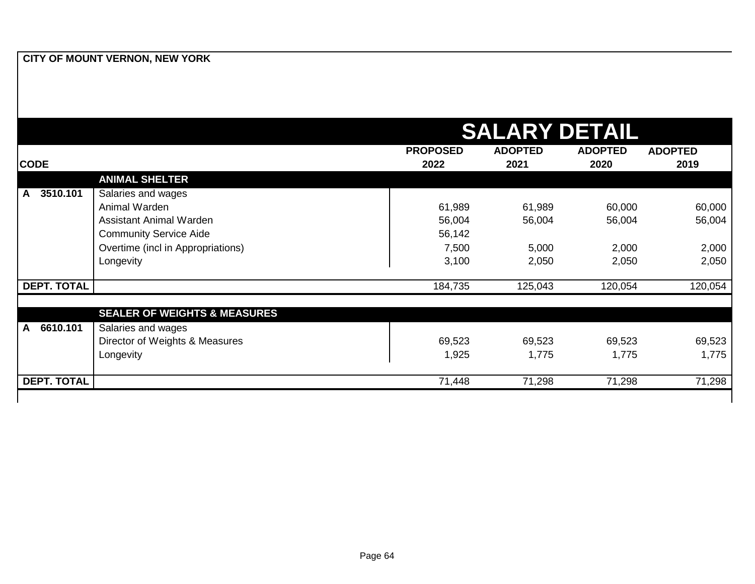|                          |                                         | <b>SALARY DETAIL</b>    |                        |                        |                        |  |
|--------------------------|-----------------------------------------|-------------------------|------------------------|------------------------|------------------------|--|
| <b>CODE</b>              |                                         | <b>PROPOSED</b><br>2022 | <b>ADOPTED</b><br>2021 | <b>ADOPTED</b><br>2020 | <b>ADOPTED</b><br>2019 |  |
|                          | <b>ANIMAL SHELTER</b>                   |                         |                        |                        |                        |  |
| 3510.101<br>$\mathsf{A}$ | Salaries and wages                      |                         |                        |                        |                        |  |
|                          | Animal Warden                           | 61,989                  | 61,989                 | 60,000                 | 60,000                 |  |
|                          | <b>Assistant Animal Warden</b>          | 56,004                  | 56,004                 | 56,004                 | 56,004                 |  |
|                          | <b>Community Service Aide</b>           | 56,142                  |                        |                        |                        |  |
| Longevity                | Overtime (incl in Appropriations)       | 7,500                   | 5,000                  | 2,000                  | 2,000                  |  |
|                          |                                         | 3,100                   | 2,050                  | 2,050                  | 2,050                  |  |
| <b>DEPT. TOTAL</b>       |                                         | 184,735                 | 125,043                | 120,054                | 120,054                |  |
|                          | <b>SEALER OF WEIGHTS &amp; MEASURES</b> |                         |                        |                        |                        |  |
| 6610.101<br>A            | Salaries and wages                      |                         |                        |                        |                        |  |
|                          | Director of Weights & Measures          | 69,523                  | 69,523                 | 69,523                 | 69,523                 |  |
|                          | Longevity                               | 1,925                   | 1,775                  | 1,775                  | 1,775                  |  |
| <b>DEPT. TOTAL</b>       |                                         | 71,448                  | 71,298                 | 71,298                 | 71,298                 |  |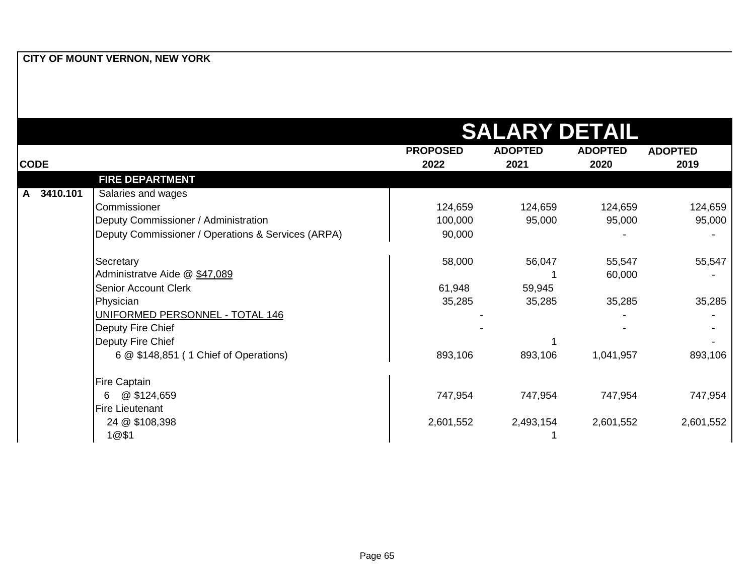|                |                                                    |                         | <b>SALARY DETAIL</b>   |                        |                        |
|----------------|----------------------------------------------------|-------------------------|------------------------|------------------------|------------------------|
| <b>CODE</b>    |                                                    | <b>PROPOSED</b><br>2022 | <b>ADOPTED</b><br>2021 | <b>ADOPTED</b><br>2020 | <b>ADOPTED</b><br>2019 |
|                | <b>FIRE DEPARTMENT</b>                             |                         |                        |                        |                        |
| 3410.101<br>A. | Salaries and wages                                 |                         |                        |                        |                        |
|                | Commissioner                                       | 124,659                 | 124,659                | 124,659                | 124,659                |
|                | Deputy Commissioner / Administration               | 100,000                 | 95,000                 | 95,000                 | 95,000                 |
|                | Deputy Commissioner / Operations & Services (ARPA) | 90,000                  |                        |                        |                        |
|                | Secretary                                          | 58,000                  | 56,047                 | 55,547                 | 55,547                 |
|                | Administratve Aide @ \$47,089                      |                         |                        | 60,000                 |                        |
|                | <b>Senior Account Clerk</b>                        | 61,948                  | 59,945                 |                        |                        |
|                | Physician                                          | 35,285                  | 35,285                 | 35,285                 | 35,285                 |
|                | UNIFORMED PERSONNEL - TOTAL 146                    |                         |                        |                        |                        |
|                | Deputy Fire Chief                                  |                         |                        |                        |                        |
|                | Deputy Fire Chief                                  |                         |                        |                        |                        |
|                | 6 @ \$148,851 (1 Chief of Operations)              | 893,106                 | 893,106                | 1,041,957              | 893,106                |
|                | <b>Fire Captain</b>                                |                         |                        |                        |                        |
|                | @ \$124,659<br>6                                   | 747,954                 | 747,954                | 747,954                | 747,954                |
|                | <b>Fire Lieutenant</b>                             |                         |                        |                        |                        |
|                | 24 @ \$108,398                                     | 2,601,552               | 2,493,154              | 2,601,552              | 2,601,552              |
|                | 1@\$1                                              |                         |                        |                        |                        |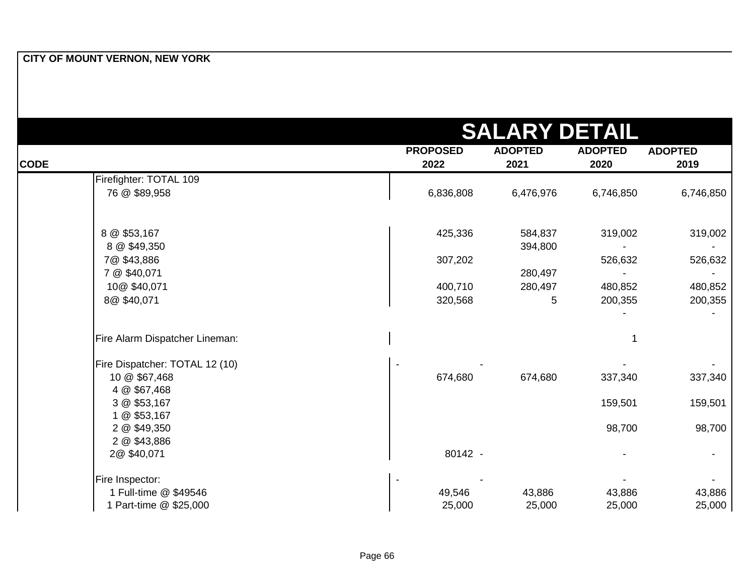|             |                                |                 | <b>SALARY DETAIL</b> |                |                |
|-------------|--------------------------------|-----------------|----------------------|----------------|----------------|
|             |                                | <b>PROPOSED</b> | <b>ADOPTED</b>       | <b>ADOPTED</b> | <b>ADOPTED</b> |
| <b>CODE</b> |                                | 2022            | 2021                 | 2020           | 2019           |
|             | Firefighter: TOTAL 109         |                 |                      |                |                |
|             | 76 @ \$89,958                  | 6,836,808       | 6,476,976            | 6,746,850      | 6,746,850      |
|             | 8 @ \$53,167                   | 425,336         | 584,837              | 319,002        | 319,002        |
|             | 8 @ \$49,350                   |                 | 394,800              |                |                |
|             | 7@\$43,886                     | 307,202         |                      | 526,632        | 526,632        |
|             | 7 @ \$40,071                   |                 | 280,497              |                |                |
|             | 10@ \$40,071                   | 400,710         | 280,497              | 480,852        | 480,852        |
|             | 8@\$40,071                     | 320,568         | 5                    | 200,355        | 200,355        |
|             | Fire Alarm Dispatcher Lineman: |                 |                      |                |                |
|             | Fire Dispatcher: TOTAL 12 (10) |                 |                      |                |                |
|             | 10 @ \$67,468<br>4 @ \$67,468  | 674,680         | 674,680              | 337,340        | 337,340        |
|             | 3 @ \$53,167<br>1 @ \$53,167   |                 |                      | 159,501        | 159,501        |
|             | 2 @ \$49,350                   |                 |                      | 98,700         | 98,700         |
|             | 2 @ \$43,886<br>2@\$40,071     | 80142 -         |                      |                |                |
|             | Fire Inspector:                |                 |                      |                |                |
|             | 1 Full-time @ \$49546          | 49,546          | 43,886               | 43,886         | 43,886         |
|             | 1 Part-time @ \$25,000         | 25,000          | 25,000               | 25,000         | 25,000         |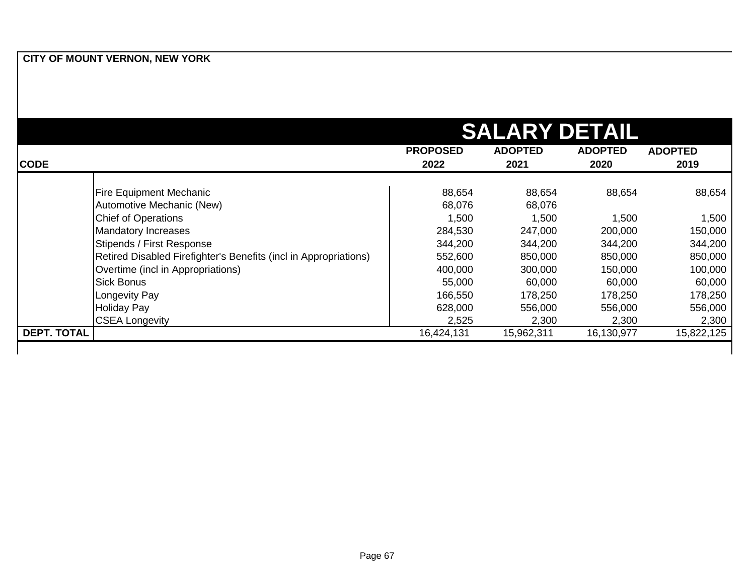|                    | <b>SALARY DETAIL</b>                                             |                         |                        |                        |                        |
|--------------------|------------------------------------------------------------------|-------------------------|------------------------|------------------------|------------------------|
| <b>CODE</b>        |                                                                  | <b>PROPOSED</b><br>2022 | <b>ADOPTED</b><br>2021 | <b>ADOPTED</b><br>2020 | <b>ADOPTED</b><br>2019 |
|                    | <b>Fire Equipment Mechanic</b>                                   | 88,654                  | 88,654                 | 88,654                 | 88,654                 |
|                    | Automotive Mechanic (New)                                        | 68,076                  | 68,076                 |                        |                        |
|                    | <b>Chief of Operations</b>                                       | 1,500                   | 1,500                  | 1,500                  | 1,500                  |
|                    | <b>Mandatory Increases</b>                                       | 284,530                 | 247,000                | 200,000                | 150,000                |
|                    | Stipends / First Response                                        | 344,200                 | 344,200                | 344,200                | 344,200                |
|                    | Retired Disabled Firefighter's Benefits (incl in Appropriations) | 552,600                 | 850,000                | 850,000                | 850,000                |
|                    | Overtime (incl in Appropriations)                                | 400,000                 | 300,000                | 150,000                | 100,000                |
|                    | <b>Sick Bonus</b>                                                | 55,000                  | 60,000                 | 60,000                 | 60,000                 |
|                    | Longevity Pay                                                    | 166,550                 | 178,250                | 178,250                | 178,250                |
|                    | <b>Holiday Pay</b>                                               | 628,000                 | 556,000                | 556,000                | 556,000                |
|                    | <b>CSEA Longevity</b>                                            | 2,525                   | 2,300                  | 2,300                  | 2,300                  |
| <b>DEPT. TOTAL</b> |                                                                  | 16,424,131              | 15,962,311             | 16,130,977             | 15,822,125             |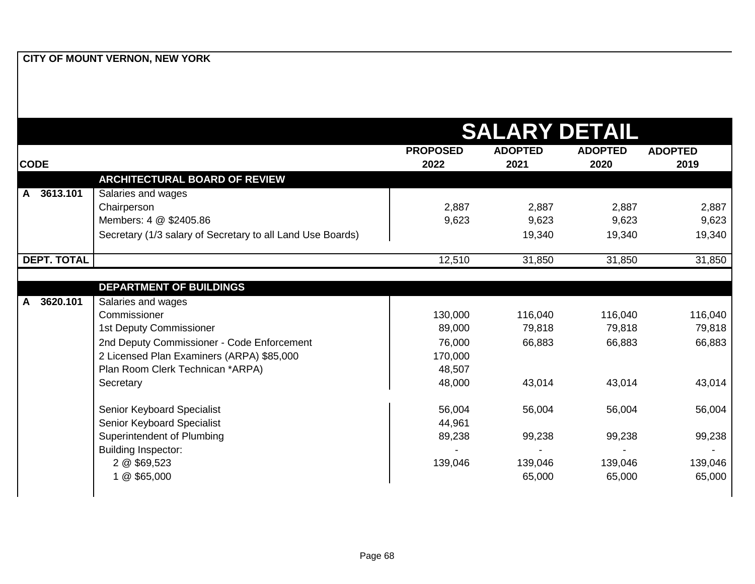|                          |                                                            |                 | <b>SALARY DETAIL</b> |                |                |
|--------------------------|------------------------------------------------------------|-----------------|----------------------|----------------|----------------|
|                          |                                                            | <b>PROPOSED</b> | <b>ADOPTED</b>       | <b>ADOPTED</b> | <b>ADOPTED</b> |
| <b>CODE</b>              |                                                            | 2022            | 2021                 | 2020           | 2019           |
|                          | <b>ARCHITECTURAL BOARD OF REVIEW</b>                       |                 |                      |                |                |
| 3613.101<br>$\mathsf{A}$ | Salaries and wages                                         |                 |                      |                |                |
|                          | Chairperson                                                | 2,887           | 2,887                | 2,887          | 2,887          |
|                          | Members: 4 @ \$2405.86                                     | 9,623           | 9,623                | 9,623          | 9,623          |
|                          | Secretary (1/3 salary of Secretary to all Land Use Boards) |                 | 19,340               | 19,340         | 19,340         |
| <b>DEPT. TOTAL</b>       |                                                            | 12,510          | 31,850               | 31,850         | 31,850         |
|                          | <b>DEPARTMENT OF BUILDINGS</b>                             |                 |                      |                |                |
| 3620.101<br>$\mathsf{A}$ | Salaries and wages                                         |                 |                      |                |                |
|                          | Commissioner                                               | 130,000         | 116,040              | 116,040        | 116,040        |
|                          | <b>1st Deputy Commissioner</b>                             | 89,000          | 79,818               | 79,818         | 79,818         |
|                          | 2nd Deputy Commissioner - Code Enforcement                 | 76,000          | 66,883               | 66,883         | 66,883         |
|                          | 2 Licensed Plan Examiners (ARPA) \$85,000                  | 170,000         |                      |                |                |
|                          | Plan Room Clerk Technican *ARPA)                           | 48,507          |                      |                |                |
|                          | Secretary                                                  | 48,000          | 43,014               | 43,014         | 43,014         |
|                          | Senior Keyboard Specialist                                 | 56,004          | 56,004               | 56,004         | 56,004         |
|                          | Senior Keyboard Specialist                                 | 44,961          |                      |                |                |
|                          | Superintendent of Plumbing                                 | 89,238          | 99,238               | 99,238         | 99,238         |
|                          | <b>Building Inspector:</b>                                 |                 |                      |                |                |
|                          | 2 @ \$69,523                                               | 139,046         | 139,046              | 139,046        | 139,046        |
|                          |                                                            |                 |                      |                |                |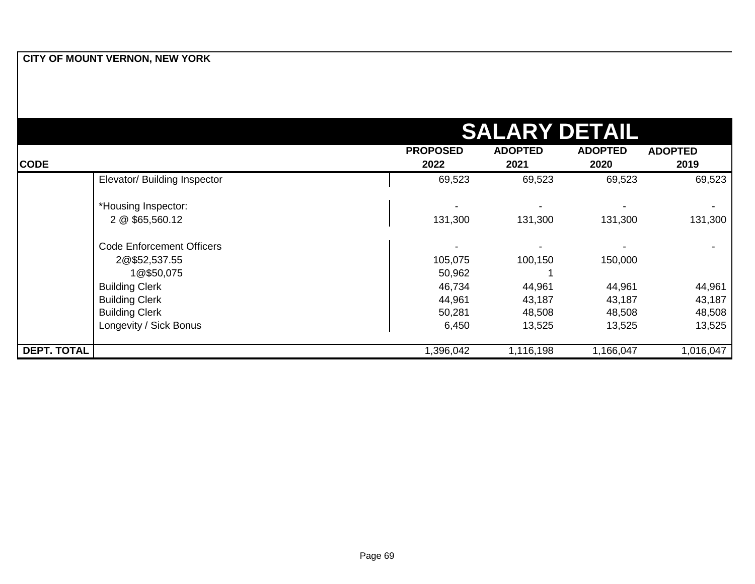|                    |                                        |                 | <b>SALARY DETAIL</b> |                |                |
|--------------------|----------------------------------------|-----------------|----------------------|----------------|----------------|
|                    |                                        | <b>PROPOSED</b> | <b>ADOPTED</b>       | <b>ADOPTED</b> | <b>ADOPTED</b> |
| <b>CODE</b>        |                                        | 2022            | 2021                 | 2020           | 2019           |
|                    | Elevator/ Building Inspector           | 69,523          | 69,523               | 69,523         | 69,523         |
|                    | *Housing Inspector:<br>2 @ \$65,560.12 | 131,300         | 131,300              | 131,300        | 131,300        |
|                    | <b>Code Enforcement Officers</b>       |                 |                      |                |                |
|                    | 2@\$52,537.55                          | 105,075         | 100,150              | 150,000        |                |
|                    | 1@\$50,075                             | 50,962          |                      |                |                |
|                    | <b>Building Clerk</b>                  | 46,734          | 44,961               | 44,961         | 44,961         |
|                    | <b>Building Clerk</b>                  | 44,961          | 43,187               | 43,187         | 43,187         |
|                    | <b>Building Clerk</b>                  | 50,281          | 48,508               | 48,508         | 48,508         |
|                    | Longevity / Sick Bonus                 | 6,450           | 13,525               | 13,525         | 13,525         |
| <b>DEPT. TOTAL</b> |                                        | 1,396,042       | 1,116,198            | 1,166,047      | 1,016,047      |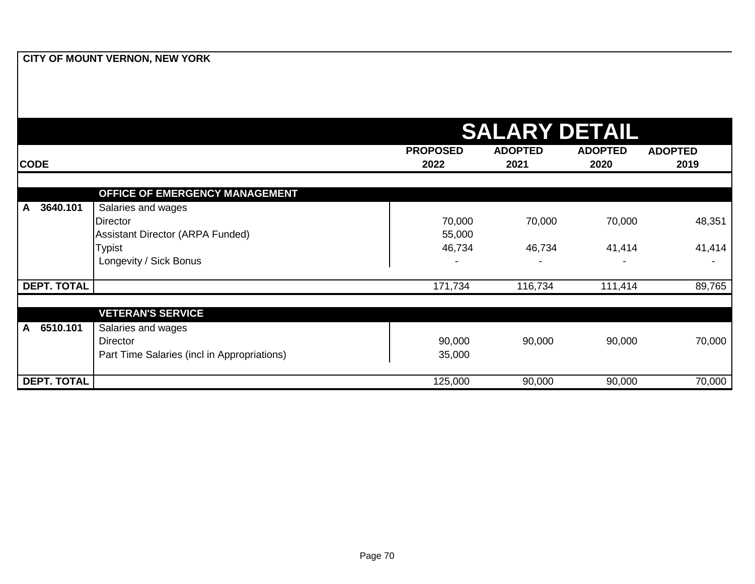|                          |                                                                               | <b>SALARY DETAIL</b>    |                        |                        |                        |  |
|--------------------------|-------------------------------------------------------------------------------|-------------------------|------------------------|------------------------|------------------------|--|
| <b>CODE</b>              |                                                                               | <b>PROPOSED</b><br>2022 | <b>ADOPTED</b><br>2021 | <b>ADOPTED</b><br>2020 | <b>ADOPTED</b><br>2019 |  |
|                          | <b>OFFICE OF EMERGENCY MANAGEMENT</b>                                         |                         |                        |                        |                        |  |
| 3640.101<br>$\mathsf{A}$ | Salaries and wages<br><b>Director</b><br>Assistant Director (ARPA Funded)     | 70,000<br>55,000        | 70,000                 | 70,000                 | 48,351                 |  |
|                          | <b>Typist</b><br>Longevity / Sick Bonus                                       | 46,734                  | 46,734                 | 41,414                 | 41,414                 |  |
| <b>DEPT. TOTAL</b>       |                                                                               | 171,734                 | 116,734                | 111,414                | 89,765                 |  |
|                          | <b>VETERAN'S SERVICE</b>                                                      |                         |                        |                        |                        |  |
| 6510.101<br>A            | Salaries and wages<br>Director<br>Part Time Salaries (incl in Appropriations) | 90,000<br>35,000        | 90,000                 | 90,000                 | 70,000                 |  |
| <b>DEPT. TOTAL</b>       |                                                                               | 125,000                 | 90,000                 | 90,000                 | 70,000                 |  |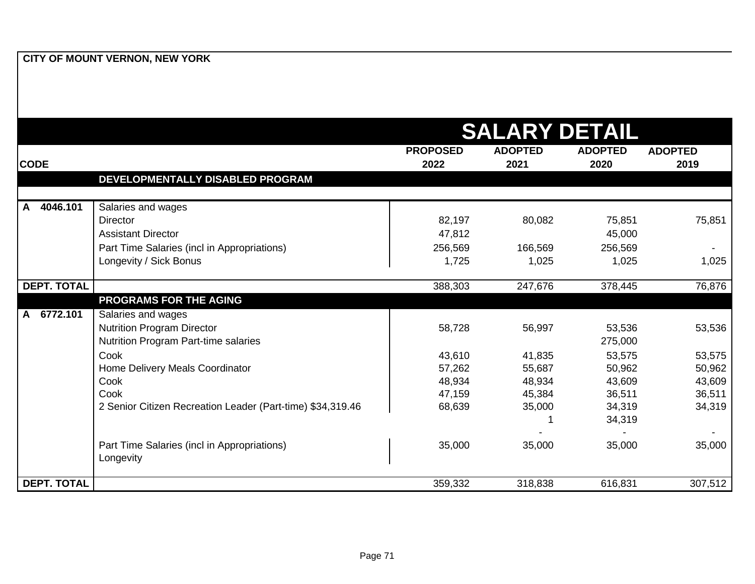|                                                                                | <b>SALARY DETAIL</b> |  |  |  |  |
|--------------------------------------------------------------------------------|----------------------|--|--|--|--|
| <b>PROPOSED</b><br><b>ADOPTED</b><br><b>ADOPTED</b>                            | <b>ADOPTED</b>       |  |  |  |  |
| <b>CODE</b><br>2022<br>2021<br>2020                                            | 2019                 |  |  |  |  |
| DEVELOPMENTALLY DISABLED PROGRAM                                               |                      |  |  |  |  |
|                                                                                |                      |  |  |  |  |
| 4046.101<br>Salaries and wages<br>$\mathsf{A}$                                 |                      |  |  |  |  |
| 82,197<br><b>Director</b><br>80,082                                            | 75,851<br>75,851     |  |  |  |  |
| 47,812<br><b>Assistant Director</b>                                            | 45,000               |  |  |  |  |
| Part Time Salaries (incl in Appropriations)<br>256,569<br>166,569              | 256,569              |  |  |  |  |
| Longevity / Sick Bonus<br>1,725<br>1,025                                       | 1,025<br>1,025       |  |  |  |  |
|                                                                                |                      |  |  |  |  |
| <b>DEPT. TOTAL</b><br>247,676<br>388,303                                       | 378,445<br>76,876    |  |  |  |  |
| PROGRAMS FOR THE AGING                                                         |                      |  |  |  |  |
| 6772.101<br>Salaries and wages<br>A                                            |                      |  |  |  |  |
| <b>Nutrition Program Director</b><br>58,728<br>56,997                          | 53,536<br>53,536     |  |  |  |  |
| Nutrition Program Part-time salaries                                           | 275,000              |  |  |  |  |
| Cook<br>43,610<br>41,835                                                       | 53,575<br>53,575     |  |  |  |  |
| Home Delivery Meals Coordinator<br>57,262<br>55,687                            | 50,962<br>50,962     |  |  |  |  |
| Cook<br>48,934<br>48,934                                                       | 43,609<br>43,609     |  |  |  |  |
| Cook<br>47,159<br>45,384                                                       | 36,511<br>36,511     |  |  |  |  |
| 2 Senior Citizen Recreation Leader (Part-time) \$34,319.46<br>68,639<br>35,000 | 34,319<br>34,319     |  |  |  |  |
|                                                                                | 34,319               |  |  |  |  |
|                                                                                |                      |  |  |  |  |
| Part Time Salaries (incl in Appropriations)<br>35,000<br>35,000                | 35,000<br>35,000     |  |  |  |  |
| Longevity                                                                      |                      |  |  |  |  |
| <b>DEPT. TOTAL</b><br>359,332<br>318,838                                       | 307,512<br>616,831   |  |  |  |  |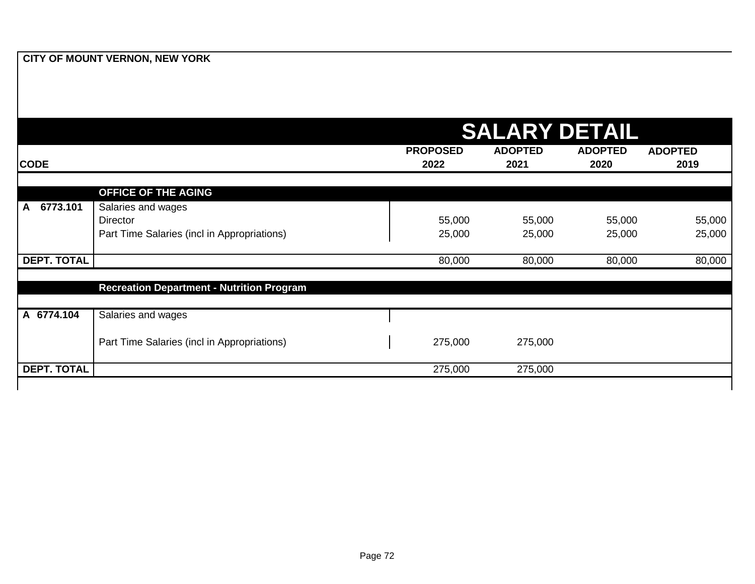|                          |                                                                               | <b>SALARY DETAIL</b>    |                        |                        |                        |  |
|--------------------------|-------------------------------------------------------------------------------|-------------------------|------------------------|------------------------|------------------------|--|
| <b>CODE</b>              |                                                                               | <b>PROPOSED</b><br>2022 | <b>ADOPTED</b><br>2021 | <b>ADOPTED</b><br>2020 | <b>ADOPTED</b><br>2019 |  |
|                          | <b>OFFICE OF THE AGING</b>                                                    |                         |                        |                        |                        |  |
| 6773.101<br>$\mathsf{A}$ | Salaries and wages<br>Director<br>Part Time Salaries (incl in Appropriations) | 55,000<br>25,000        | 55,000<br>25,000       | 55,000<br>25,000       | 55,000<br>25,000       |  |
| <b>DEPT. TOTAL</b>       |                                                                               | 80,000                  | 80,000                 | 80,000                 | 80,000                 |  |
|                          | <b>Recreation Department - Nutrition Program</b>                              |                         |                        |                        |                        |  |
| A 6774.104               | Salaries and wages                                                            |                         |                        |                        |                        |  |
|                          | Part Time Salaries (incl in Appropriations)                                   | 275,000                 | 275,000                |                        |                        |  |
| <b>DEPT. TOTAL</b>       |                                                                               | 275,000                 | 275,000                |                        |                        |  |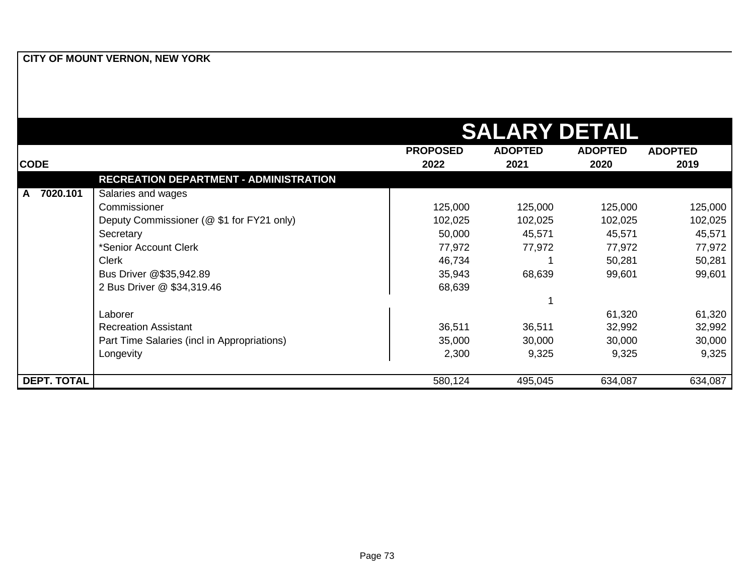| CITY OF MOUNT VERNON, NEW YORK |  |
|--------------------------------|--|
|--------------------------------|--|

|               | <b>SALARY DETAIL</b>                          |                 |                |                |                |  |
|---------------|-----------------------------------------------|-----------------|----------------|----------------|----------------|--|
|               |                                               | <b>PROPOSED</b> | <b>ADOPTED</b> | <b>ADOPTED</b> | <b>ADOPTED</b> |  |
| <b>CODE</b>   |                                               | 2022            | 2021           | 2020           | 2019           |  |
|               | <b>RECREATION DEPARTMENT - ADMINISTRATION</b> |                 |                |                |                |  |
| 7020.101<br>A | Salaries and wages                            |                 |                |                |                |  |
|               | Commissioner                                  | 125,000         | 125,000        | 125,000        | 125,000        |  |
|               | Deputy Commissioner (@ \$1 for FY21 only)     | 102,025         | 102,025        | 102,025        | 102,025        |  |
|               | Secretary                                     | 50,000          | 45,571         | 45,571         | 45,571         |  |
|               | *Senior Account Clerk                         | 77,972          | 77,972         | 77,972         | 77,972         |  |
|               | <b>Clerk</b>                                  | 46,734          |                | 50,281         | 50,281         |  |
|               | Bus Driver @\$35,942.89                       | 35,943          | 68,639         | 99,601         | 99,601         |  |
|               | 2 Bus Driver @ \$34,319.46                    | 68,639          |                |                |                |  |
|               |                                               |                 |                |                |                |  |
|               | Laborer                                       |                 |                | 61,320         | 61,320         |  |
|               | <b>Recreation Assistant</b>                   | 36,511          | 36,511         | 32,992         | 32,992         |  |
|               | Part Time Salaries (incl in Appropriations)   | 35,000          | 30,000         | 30,000         | 30,000         |  |
|               | Longevity                                     | 2,300           | 9,325          | 9,325          | 9,325          |  |
| DEPT. TOTAL   |                                               | 580,124         | 495,045        | 634,087        | 634,087        |  |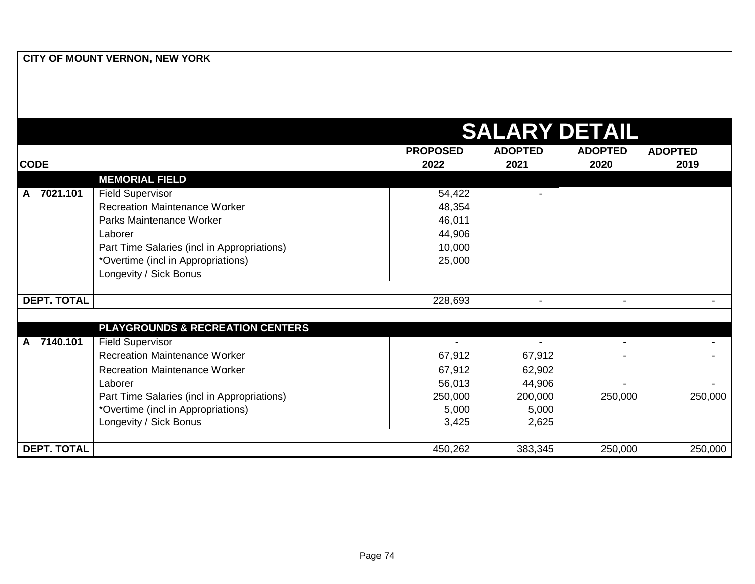|                    |                                             | <b>SALARY DETAIL</b> |                |                |                |  |
|--------------------|---------------------------------------------|----------------------|----------------|----------------|----------------|--|
|                    |                                             | <b>PROPOSED</b>      | <b>ADOPTED</b> | <b>ADOPTED</b> | <b>ADOPTED</b> |  |
| <b>CODE</b>        |                                             | 2022                 | 2021           | 2020           | 2019           |  |
|                    | <b>MEMORIAL FIELD</b>                       |                      |                |                |                |  |
| A 7021.101         | <b>Field Supervisor</b>                     | 54,422               |                |                |                |  |
|                    | <b>Recreation Maintenance Worker</b>        | 48,354               |                |                |                |  |
|                    | Parks Maintenance Worker                    | 46,011               |                |                |                |  |
|                    | Laborer                                     | 44,906               |                |                |                |  |
|                    | Part Time Salaries (incl in Appropriations) | 10,000               |                |                |                |  |
|                    | *Overtime (incl in Appropriations)          | 25,000               |                |                |                |  |
|                    | Longevity / Sick Bonus                      |                      |                |                |                |  |
|                    |                                             |                      |                |                |                |  |
| <b>DEPT. TOTAL</b> |                                             | 228,693              | $\blacksquare$ |                |                |  |
|                    | <b>PLAYGROUNDS &amp; RECREATION CENTERS</b> |                      |                |                |                |  |
| 7140.101<br>A      | <b>Field Supervisor</b>                     |                      |                |                |                |  |
|                    | <b>Recreation Maintenance Worker</b>        | 67,912               | 67,912         |                |                |  |
|                    | <b>Recreation Maintenance Worker</b>        | 67,912               | 62,902         |                |                |  |
|                    | Laborer                                     | 56,013               | 44,906         |                |                |  |
|                    | Part Time Salaries (incl in Appropriations) | 250,000              | 200,000        | 250,000        | 250,000        |  |
|                    | *Overtime (incl in Appropriations)          | 5,000                | 5,000          |                |                |  |
|                    | Longevity / Sick Bonus                      | 3,425                | 2,625          |                |                |  |
|                    |                                             |                      |                |                |                |  |
| <b>DEPT. TOTAL</b> |                                             | 450,262              | 383,345        | 250,000        | 250,000        |  |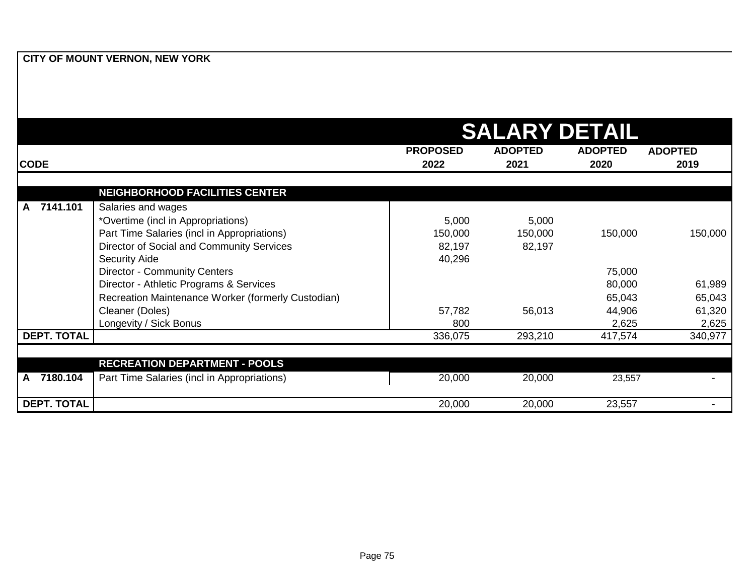|                    |                                                    |                 | <b>SALARY DETAIL</b> |                |                          |
|--------------------|----------------------------------------------------|-----------------|----------------------|----------------|--------------------------|
|                    |                                                    | <b>PROPOSED</b> | <b>ADOPTED</b>       | <b>ADOPTED</b> | <b>ADOPTED</b>           |
| <b>CODE</b>        |                                                    | 2022            | 2021                 | 2020           | 2019                     |
|                    | <b>NEIGHBORHOOD FACILITIES CENTER</b>              |                 |                      |                |                          |
| 7141.101<br>A      | Salaries and wages                                 |                 |                      |                |                          |
|                    | *Overtime (incl in Appropriations)                 | 5,000           | 5,000                |                |                          |
|                    | Part Time Salaries (incl in Appropriations)        | 150,000         | 150,000              | 150,000        | 150,000                  |
|                    | Director of Social and Community Services          | 82,197          | 82,197               |                |                          |
|                    | <b>Security Aide</b>                               | 40,296          |                      |                |                          |
|                    | <b>Director - Community Centers</b>                |                 |                      | 75,000         |                          |
|                    | Director - Athletic Programs & Services            |                 |                      | 80,000         | 61,989                   |
|                    | Recreation Maintenance Worker (formerly Custodian) |                 |                      | 65,043         | 65,043                   |
|                    | Cleaner (Doles)                                    | 57,782          | 56,013               | 44,906         | 61,320                   |
|                    | Longevity / Sick Bonus                             | 800             |                      | 2,625          | 2,625                    |
| <b>DEPT. TOTAL</b> |                                                    | 336,075         | 293,210              | 417,574        | 340,977                  |
|                    |                                                    |                 |                      |                |                          |
|                    | <b>RECREATION DEPARTMENT - POOLS</b>               |                 |                      |                |                          |
| 7180.104<br>A      | Part Time Salaries (incl in Appropriations)        | 20,000          | 20,000               | 23,557         |                          |
| <b>DEPT. TOTAL</b> |                                                    | 20,000          | 20,000               | 23,557         | $\overline{\phantom{0}}$ |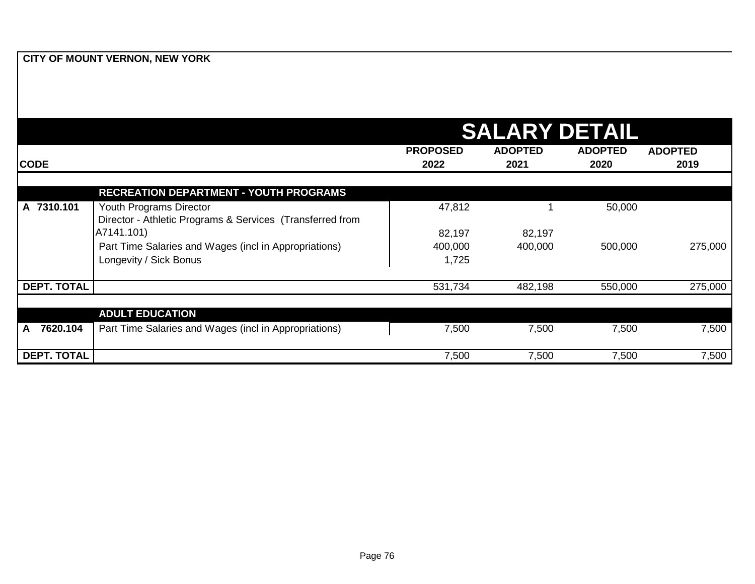|                    |                                                                                      | <b>SALARY DETAIL</b>    |                        |                        |                        |
|--------------------|--------------------------------------------------------------------------------------|-------------------------|------------------------|------------------------|------------------------|
| <b>CODE</b>        |                                                                                      | <b>PROPOSED</b><br>2022 | <b>ADOPTED</b><br>2021 | <b>ADOPTED</b><br>2020 | <b>ADOPTED</b><br>2019 |
|                    | <b>RECREATION DEPARTMENT - YOUTH PROGRAMS</b>                                        |                         |                        |                        |                        |
| A 7310.101         | Youth Programs Director<br>Director - Athletic Programs & Services (Transferred from | 47,812                  |                        | 50,000                 |                        |
|                    | A7141.101)                                                                           | 82,197                  | 82,197                 |                        |                        |
|                    | Part Time Salaries and Wages (incl in Appropriations)<br>Longevity / Sick Bonus      | 400,000<br>1,725        | 400,000                | 500,000                | 275,000                |
| <b>DEPT. TOTAL</b> |                                                                                      | 531,734                 | 482,198                | 550,000                | 275,000                |
|                    |                                                                                      |                         |                        |                        |                        |
|                    | <b>ADULT EDUCATION</b>                                                               |                         |                        |                        |                        |
| 7620.104<br>A      | Part Time Salaries and Wages (incl in Appropriations)                                | 7,500                   | 7,500                  | 7,500                  | 7,500                  |
| <b>DEPT. TOTAL</b> |                                                                                      | 7,500                   | 7,500                  | 7,500                  | 7,500                  |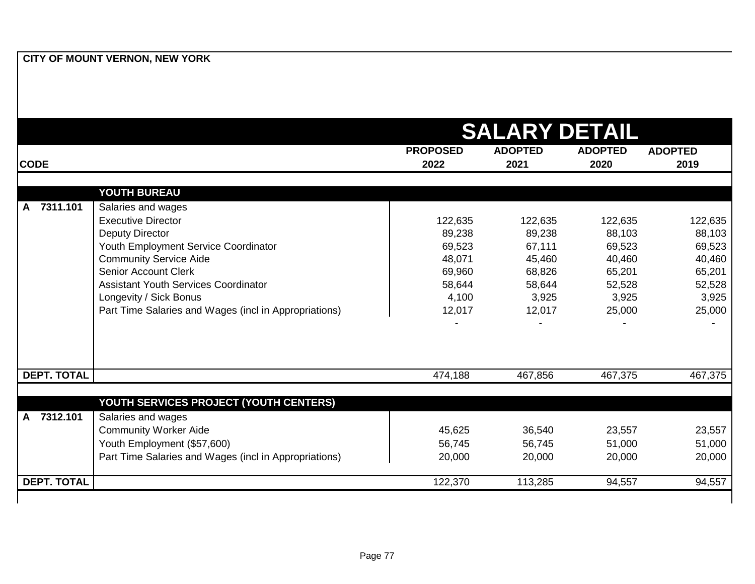|                          |                                                              |                         | <b>SALARY DETAIL</b>   |                        |                        |
|--------------------------|--------------------------------------------------------------|-------------------------|------------------------|------------------------|------------------------|
| <b>CODE</b>              |                                                              | <b>PROPOSED</b><br>2022 | <b>ADOPTED</b><br>2021 | <b>ADOPTED</b><br>2020 | <b>ADOPTED</b><br>2019 |
|                          |                                                              |                         |                        |                        |                        |
|                          | YOUTH BUREAU                                                 |                         |                        |                        |                        |
| A 7311.101               | Salaries and wages                                           |                         |                        |                        |                        |
|                          | <b>Executive Director</b>                                    | 122,635                 | 122,635                | 122,635                | 122,635                |
|                          | <b>Deputy Director</b>                                       | 89,238                  | 89,238                 | 88,103                 | 88,103                 |
|                          | Youth Employment Service Coordinator                         | 69,523                  | 67,111                 | 69,523                 | 69,523                 |
|                          | <b>Community Service Aide</b><br><b>Senior Account Clerk</b> | 48,071                  | 45,460                 | 40,460                 | 40,460                 |
|                          | <b>Assistant Youth Services Coordinator</b>                  | 69,960                  | 68,826                 | 65,201                 | 65,201                 |
|                          | Longevity / Sick Bonus                                       | 58,644<br>4,100         | 58,644<br>3,925        | 52,528<br>3,925        | 52,528<br>3,925        |
|                          | Part Time Salaries and Wages (incl in Appropriations)        | 12,017                  | 12,017                 | 25,000                 | 25,000                 |
|                          |                                                              |                         |                        |                        |                        |
| <b>DEPT. TOTAL</b>       |                                                              | 474,188                 | 467,856                | 467,375                | 467,375                |
|                          | YOUTH SERVICES PROJECT (YOUTH CENTERS)                       |                         |                        |                        |                        |
| 7312.101<br>$\mathsf{A}$ | Salaries and wages                                           |                         |                        |                        |                        |
|                          | <b>Community Worker Aide</b>                                 | 45,625                  | 36,540                 | 23,557                 | 23,557                 |
|                          | Youth Employment (\$57,600)                                  | 56,745                  | 56,745                 | 51,000                 | 51,000                 |
|                          | Part Time Salaries and Wages (incl in Appropriations)        | 20,000                  | 20,000                 | 20,000                 | 20,000                 |
|                          |                                                              |                         |                        |                        |                        |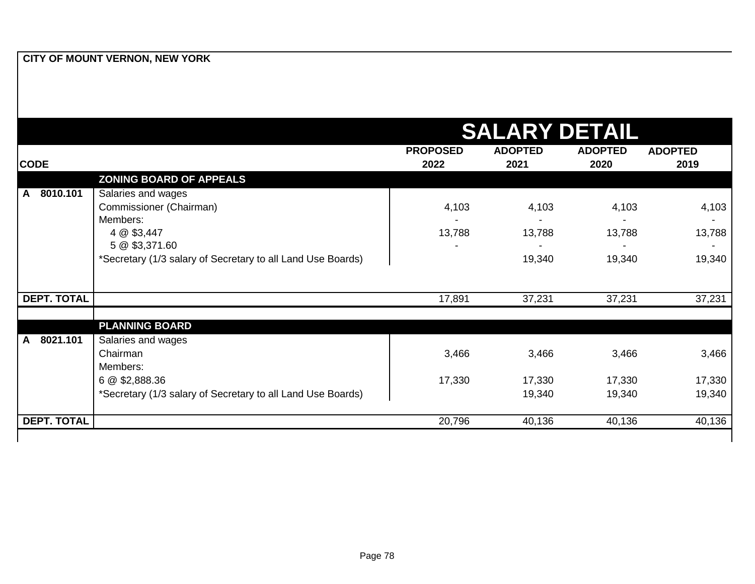|                          | <b>SALARY DETAIL</b>                                                          |                         |                        |                        |                        |
|--------------------------|-------------------------------------------------------------------------------|-------------------------|------------------------|------------------------|------------------------|
| <b>CODE</b>              |                                                                               | <b>PROPOSED</b><br>2022 | <b>ADOPTED</b><br>2021 | <b>ADOPTED</b><br>2020 | <b>ADOPTED</b><br>2019 |
|                          | <b>ZONING BOARD OF APPEALS</b>                                                |                         |                        |                        |                        |
| 8010.101<br>$\mathsf{A}$ | Salaries and wages                                                            |                         |                        |                        |                        |
|                          | Commissioner (Chairman)                                                       | 4,103                   | 4,103                  | 4,103                  | 4,103                  |
|                          | Members:                                                                      |                         |                        |                        |                        |
|                          | 4 @ \$3,447                                                                   | 13,788                  | 13,788                 | 13,788                 | 13,788                 |
|                          | 5 @ \$3,371.60<br>*Secretary (1/3 salary of Secretary to all Land Use Boards) |                         | 19,340                 | 19,340                 | 19,340                 |
|                          |                                                                               |                         |                        |                        |                        |
| <b>DEPT. TOTAL</b>       |                                                                               | 17,891                  | 37,231                 | 37,231                 | 37,231                 |
|                          | <b>PLANNING BOARD</b>                                                         |                         |                        |                        |                        |
| 8021.101<br>A            | Salaries and wages                                                            |                         |                        |                        |                        |
|                          | Chairman                                                                      | 3,466                   | 3,466                  | 3,466                  | 3,466                  |
|                          | Members:                                                                      |                         |                        |                        |                        |
|                          | 6 @ \$2,888.36                                                                | 17,330                  | 17,330                 | 17,330                 | 17,330                 |
|                          | *Secretary (1/3 salary of Secretary to all Land Use Boards)                   |                         | 19,340                 | 19,340                 | 19,340                 |
| <b>DEPT. TOTAL</b>       |                                                                               | 20,796                  | 40,136                 | 40,136                 | 40,136                 |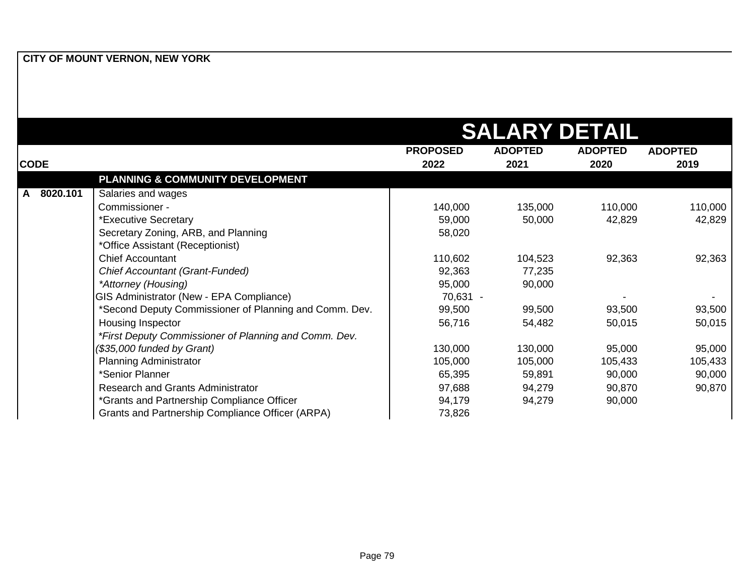|               |                                                        |                 | <b>SALARY DETAIL</b> |                |                |
|---------------|--------------------------------------------------------|-----------------|----------------------|----------------|----------------|
|               |                                                        | <b>PROPOSED</b> | <b>ADOPTED</b>       | <b>ADOPTED</b> | <b>ADOPTED</b> |
| <b>CODE</b>   |                                                        | 2022            | 2021                 | 2020           | 2019           |
|               | PLANNING & COMMUNITY DEVELOPMENT                       |                 |                      |                |                |
| 8020.101<br>A | Salaries and wages                                     |                 |                      |                |                |
|               | Commissioner -                                         | 140,000         | 135,000              | 110,000        | 110,000        |
|               | *Executive Secretary                                   | 59,000          | 50,000               | 42,829         | 42,829         |
|               | Secretary Zoning, ARB, and Planning                    | 58,020          |                      |                |                |
|               | *Office Assistant (Receptionist)                       |                 |                      |                |                |
|               | <b>Chief Accountant</b>                                | 110,602         | 104,523              | 92,363         | 92,363         |
|               | Chief Accountant (Grant-Funded)                        | 92,363          | 77,235               |                |                |
|               | *Attorney (Housing)                                    | 95,000          | 90,000               |                |                |
|               | GIS Administrator (New - EPA Compliance)               | 70,631 -        |                      |                |                |
|               | *Second Deputy Commissioner of Planning and Comm. Dev. | 99,500          | 99,500               | 93,500         | 93,500         |
|               | Housing Inspector                                      | 56,716          | 54,482               | 50,015         | 50,015         |
|               | *First Deputy Commissioner of Planning and Comm. Dev.  |                 |                      |                |                |
|               | (\$35,000 funded by Grant)                             | 130,000         | 130,000              | 95,000         | 95,000         |
|               | <b>Planning Administrator</b>                          | 105,000         | 105,000              | 105,433        | 105,433        |
|               | *Senior Planner                                        | 65,395          | 59,891               | 90,000         | 90,000         |
|               | <b>Research and Grants Administrator</b>               | 97,688          | 94,279               | 90,870         | 90,870         |
|               | *Grants and Partnership Compliance Officer             | 94,179          | 94,279               | 90,000         |                |
|               | Grants and Partnership Compliance Officer (ARPA)       | 73,826          |                      |                |                |